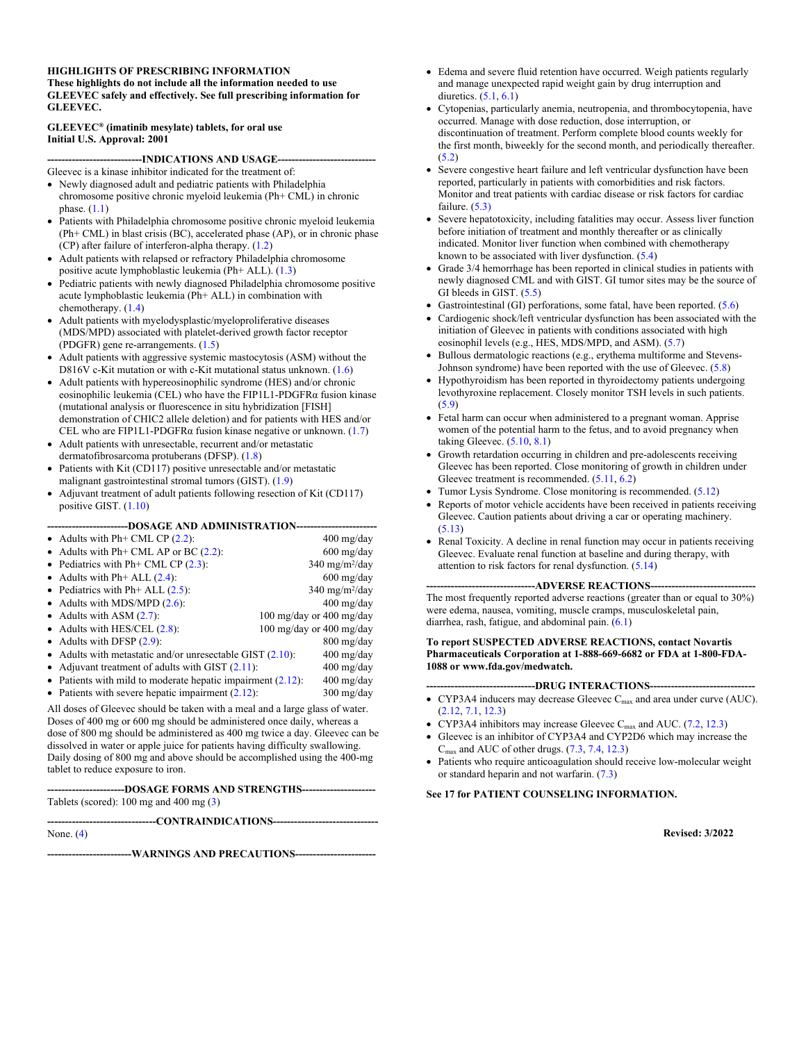#### **HIGHLIGHTS OF PRESCRIBING INFORMATION These highlights do not include all the information needed to use GLEEVEC safely and effectively. See full prescribing information for GLEEVEC.**

#### **GLEEVEC® (imatinib mesylate) tablets, for oral use Initial U.S. Approval: 2001**

**---------------------------INDICATIONS AND USAGE----------------------------**

- Gleevec is a kinase inhibitor indicated for the treatment of:
- Newly diagnosed adult and pediatric patients with Philadelphia chromosome positive chronic myeloid leukemia (Ph+ CML) in chronic phase.  $(1.1)$  $(1.1)$
- Patients with Philadelphia chromosome positive chronic myeloid leukemia (Ph+ CML) in blast crisis (BC), accelerated phase (AP), or in chronic phase (CP) after failure of interferon-alpha therapy. [\(1.2](#page-2-1))
- Adult patients with relapsed or refractory Philadelphia chromosome positive acute lymphoblastic leukemia (Ph+ ALL). [\(1.3](#page-2-2))
- Pediatric patients with newly diagnosed Philadelphia chromosome positive acute lymphoblastic leukemia (Ph+ ALL) in combination with chemotherapy. ([1.4\)](#page-2-3)
- Adult patients with myelodysplastic/myeloproliferative diseases (MDS/MPD) associated with platelet-derived growth factor receptor (PDGFR) gene re-arrangements. ([1.5\)](#page-2-4)
- Adult patients with aggressive systemic mastocytosis (ASM) without the D816V c-Kit mutation or with c-Kit mutational status unknown. ([1.6\)](#page-2-5)
- Adult patients with hypereosinophilic syndrome (HES) and/or chronic eosinophilic leukemia (CEL) who have the FIP1L1-PDGFRα fusion kinase (mutational analysis or fluorescence in situ hybridization [FISH] demonstration of CHIC2 allele deletion) and for patients with HES and/or CEL who are FIP1L1-PDGFR $\alpha$  fusion kinase negative or unknown. ([1.7](#page-2-6))
- Adult patients with unresectable, recurrent and/or metastatic dermatofibrosarcoma protuberans (DFSP). [\(1.8](#page-2-7))
- Patients with Kit (CD117) positive unresectable and/or metastatic malignant gastrointestinal stromal tumors (GIST). ([1.9\)](#page-2-8)
- Adjuvant treatment of adult patients following resection of Kit (CD117) positive GIST. ([1.10\)](#page-2-9)

#### **-----------------------DOSAGE AND ADMINISTRATION-----------------------**

| • Adults with Ph+ CML CP $(2.2)$ :                                                                                                                     | $400 \text{ mg}/\text{day}$     |
|--------------------------------------------------------------------------------------------------------------------------------------------------------|---------------------------------|
| • Adults with Ph+ CML AP or BC $(2.2)$ :                                                                                                               | $600 \text{ mg/day}$            |
| • Pediatrics with Ph+ CML CP $(2.3)$ :                                                                                                                 | $340 \text{ mg/m}^2/\text{day}$ |
| • Adults with Ph+ ALL $(2.4)$ :                                                                                                                        | $600 \text{ mg/day}$            |
| • Pediatrics with Ph+ ALL $(2.5)$ :                                                                                                                    | $340 \text{ mg/m}^2/\text{day}$ |
| • Adults with MDS/MPD $(2.6)$ :                                                                                                                        | $400 \text{ mg/day}$            |
| • Adults with ASM $(2.7)$ :                                                                                                                            | 100 mg/day or 400 mg/day        |
| • Adults with HES/CEL $(2.8)$ :                                                                                                                        | 100 mg/day or 400 mg/day        |
| • Adults with DFSP $(2.9)$ :                                                                                                                           | $800 \text{ mg}/\text{day}$     |
| Adults with metastatic and/or unresectable GIST $(2.10)$ :                                                                                             | $400 \text{ mg/day}$            |
| • Adjuvant treatment of adults with GIST $(2.11)$ :                                                                                                    | $400 \text{ mg/day}$            |
| • Patients with mild to moderate hepatic impairment $(2.12)$ :                                                                                         | $400 \text{ mg/day}$            |
| • Patients with severe hepatic impairment $(2.12)$ :                                                                                                   | $300 \text{ mg/day}$            |
| All doses of Gleevec should be taken with a meal and a large glass of water.<br>Doses of 400 mg or 600 mg should be administered once daily, whereas a |                                 |

dose of 800 mg should be administered as 400 mg twice a day. Gleevec can be dissolved in water or apple juice for patients having difficulty swallowing. Daily dosing of 800 mg and above should be accomplished using the 400-mg tablet to reduce exposure to iron.

**----------------------DOSAGE FORMS AND STRENGTHS---------------------** Tablets (scored): 100 mg and 400 mg ([3\)](#page-5-0)

**-------------------------------CONTRAINDICATIONS------------------------------** None. ([4\)](#page-5-1) **------------------------WARNINGS AND PRECAUTIONS-----------------------**

- Edema and severe fluid retention have occurred. Weigh patients regularly and manage unexpected rapid weight gain by drug interruption and diuretics. [\(5.1](#page-5-2), [6.1](#page-8-0))
- Cytopenias, particularly anemia, neutropenia, and thrombocytopenia, have occurred. Manage with dose reduction, dose interruption, or discontinuation of treatment. Perform complete blood counts weekly for the first month, biweekly for the second month, and periodically thereafter.  $(5.2)$  $(5.2)$
- Severe congestive heart failure and left ventricular dysfunction have been reported, particularly in patients with comorbidities and risk factors. Monitor and treat patients with cardiac disease or risk factors for cardiac failure. ([5.3\)](#page-6-1)
- Severe hepatotoxicity, including fatalities may occur. Assess liver function before initiation of treatment and monthly thereafter or as clinically indicated. Monitor liver function when combined with chemotherapy known to be associated with liver dysfunction. ([5.4\)](#page-6-2)
- Grade 3/4 hemorrhage has been reported in clinical studies in patients with newly diagnosed CML and with GIST. GI tumor sites may be the source of GI bleeds in GIST. ([5.5\)](#page-6-3)
- Gastrointestinal (GI) perforations, some fatal, have been reported. ([5.6\)](#page-6-4)
- Cardiogenic shock/left ventricular dysfunction has been associated with the initiation of Gleevec in patients with conditions associated with high eosinophil levels (e.g., HES, MDS/MPD, and ASM). [\(5.7](#page-6-5))
- Bullous dermatologic reactions (e.g., erythema multiforme and Stevens-Johnson syndrome) have been reported with the use of Gleevec. [\(5.8](#page-7-0))
- Hypothyroidism has been reported in thyroidectomy patients undergoing levothyroxine replacement. Closely monitor TSH levels in such patients. ([5.9\)](#page-7-1)
- Fetal harm can occur when administered to a pregnant woman. Apprise women of the potential harm to the fetus, and to avoid pregnancy when taking Gleevec. ([5.10,](#page-7-2) [8.1\)](#page-23-0)
- Growth retardation occurring in children and pre-adolescents receiving Gleevec has been reported. Close monitoring of growth in children under Gleevec treatment is recommended. ([5.11,](#page-7-3) [6.2\)](#page-22-0)
- Tumor Lysis Syndrome. Close monitoring is recommended. [\(5.12](#page-7-4))
- Reports of motor vehicle accidents have been received in patients receiving Gleevec. Caution patients about driving a car or operating machinery. ([5.13\)](#page-7-5)
- Renal Toxicity. A decline in renal function may occur in patients receiving Gleevec. Evaluate renal function at baseline and during therapy, with attention to risk factors for renal dysfunction. ([5.14\)](#page-7-6)

#### ---ADVERSE REACTIONS---

The most frequently reported adverse reactions (greater than or equal to 30%) were edema, nausea, vomiting, muscle cramps, musculoskeletal pain, diarrhea, rash, fatigue, and abdominal pain. ([6.1\)](#page-8-0)

#### **To report SUSPECTED ADVERSE REACTIONS, contact Novartis Pharmaceuticals Corporation at 1-888-669-6682 or FDA at 1-800-FDA-1088 or www.fda.gov/medwatch.**

- **-------------------------------DRUG INTERACTIONS------------------------------**
- CYP3A4 inducers may decrease Gleevec  $C_{\text{max}}$  and area under curve (AUC). ([2.12,](#page-4-0) [7.1,](#page-23-1) [12.3\)](#page-26-0)
- CYP3A4 inhibitors may increase Gleevec C<sub>max</sub> and AUC.  $(7.2, 12.3)$  $(7.2, 12.3)$  $(7.2, 12.3)$  $(7.2, 12.3)$
- Gleevec is an inhibitor of CYP3A4 and CYP2D6 which may increase the  $C_{\text{max}}$  and AUC of other drugs.  $(7.3, 7.4, 12.3)$  $(7.3, 7.4, 12.3)$  $(7.3, 7.4, 12.3)$  $(7.3, 7.4, 12.3)$  $(7.3, 7.4, 12.3)$  $(7.3, 7.4, 12.3)$
- Patients who require anticoagulation should receive low-molecular weight or standard heparin and not warfarin. [\(7.3](#page-23-3))

#### **See 17 for PATIENT COUNSELING INFORMATION.**

**Revised: 3/2022**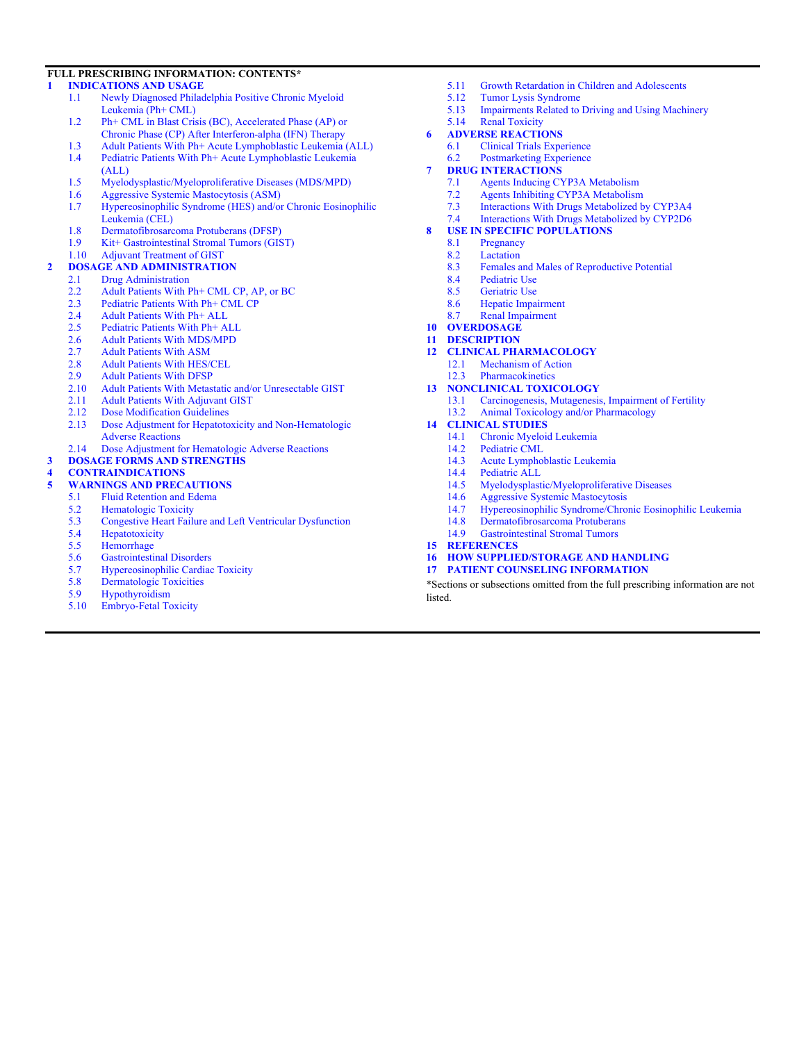#### **FULL PRESCRIBING INFORMATION: CONTENTS\***

#### **[1 INDICATIONS AND USAGE](#page-2-10)**

- [1.1 Newly Diagnosed Philadelphia Positive Chronic Myeloid](#page-2-0)  [Leukemia \(Ph+ CML\)](#page-2-0)
- [1.2 Ph+ CML in Blast Crisis \(BC\), Accelerated Phase \(AP\) or](#page-2-1)  [Chronic Phase \(CP\) After Interferon-alpha \(IFN\) Therapy](#page-2-1)
- [1.3 Adult Patients With Ph+ Acute Lymphoblastic Leukemia \(ALL\)](#page-2-2) [1.4 Pediatric Patients With Ph+ Acute Lymphoblastic Leukemia](#page-2-3)
- [\(ALL\)](#page-2-3)
- [1.5 Myelodysplastic/Myeloproliferative Diseases \(MDS/MPD\)](#page-2-4)
- [1.6 Aggressive Systemic Mastocytosis \(ASM\)](#page-2-5)
- [1.7 Hypereosinophilic Syndrome \(HES\) and/or Chronic Eosinophilic](#page-2-6)  [Leukemia \(CEL\)](#page-2-6)
- [1.8 Dermatofibrosarcoma Protuberans \(DFSP\)](#page-2-7)
- [1.9 Kit+ Gastrointestinal Stromal Tumors \(GIST\)](#page-2-8)<br>1.10 Adjuvant Treatment of GIST
- Adjuvant Treatment of GIST
- **[2 DOSAGE AND ADMINISTRATION](#page-2-11)**
	- [2.1 Drug Administration](#page-2-12)
	- [2.2 Adult Patients With Ph+ CML CP, AP, or BC](#page-3-0)<br>2.3 Pediatric Patients With Ph+ CML CP
	- [2.3 Pediatric Patients With Ph+ CML CP](#page-3-1)<br>2.4 Adult Patients With Ph+ ALL
	- [2.4 Adult Patients With Ph+ ALL](#page-3-2)<br>2.5 Pediatric Patients With Ph+ A
	- Pediatric Patients With Ph+ ALL
	- [2.6 Adult Patients With MDS/MPD](#page-3-4)<br>2.7 Adult Patients With ASM
	- **Adult Patients With ASM**
	- [2.8 Adult Patients With HES/CEL](#page-3-6)<br>2.9 Adult Patients With DFSP
	- [2.9 Adult Patients With DFSP](#page-3-7)<br>2.10 Adult Patients With Metas
	- [2.10 Adult Patients With Metastatic and/or Unresectable GIST](#page-3-8)<br>2.11 Adult Patients With Adjuvant GIST
	- **Adult Patients With Adjuvant GIST**
	- [2.12 Dose Modification Guidelines](#page-4-0)
	- [2.13 Dose Adjustment for Hepatotoxicity and Non-Hematologic](#page-4-1)  [Adverse Reactions](#page-4-1)
	- [2.14 Dose Adjustment for Hematologic Adverse Reactions](#page-4-2)
- **[3 DOSAGE FORMS AND STRENGTHS](#page-5-0)**

# **[4 CONTRAINDICATIONS](#page-5-1)**

# **WARNINGS AND PRECAUTIONS**<br>5.1 Fluid Retention and Edema

- [5.1 Fluid Retention and Edema](#page-5-2)
- [5.2 Hematologic Toxicity](#page-6-0)<br>5.3 Congestive Heart Failu
- [5.3 Congestive Heart Failure and Left Ventricular Dysfunction](#page-6-1)<br>5.4 Hepatotoxicity
- **Hepatotoxicity**
- [5.5 Hemorrhage](#page-6-3)
- [5.6 Gastrointestinal Disorders](#page-6-4)
- [5.7 Hypereosinophilic Cardiac Toxicity](#page-6-5)<br>5.8 Dermatologic Toxicities
- [5.8 Dermatologic Toxicities](#page-7-0)<br>5.9 Hypothyroidism
- 
- [5.9 Hypothyroidism](#page-7-1)<br>5.10 Embryo-Fetal To Embryo-Fetal Toxicity
- [5.11 Growth Retardation in Children and Adolescents](#page-7-3)
- [5.12 Tumor Lysis Syndrome](#page-7-4)
- [5.13 Impairments Related to Driving and Using Machinery](#page-7-5)<br>5.14 Renal Toxicity
- Renal Toxicity
- **[6 ADVERSE REACTIONS](#page-7-7)**
	- [6.1 Clinical Trials Experience](#page-8-0) [6.2 Postmarketing Experience](#page-22-0)
- **[7 DRUG INTERACTIONS](#page-23-5)**
	- [7.1 Agents Inducing CYP3A Metabolism](#page-23-1)
	- [7.2 Agents Inhibiting CYP3A Metabolism](#page-23-2)
	-
	- [7.3 Interactions With Drugs Metabolized by CYP3A4](#page-23-3) Interactions With Drugs Metabolized by CYP2D6

#### **[8 USE IN SPECIFIC POPULATIONS](#page-23-6)**

- [8.1 Pregnancy](#page-23-0)
- [8.2 Lactation](#page-24-0)<br>8.3 Females a
- Females and Males of Reproductive Potential
- [8.4 Pediatric Use](#page-24-2)
- 
- [8.5 Geriatric Use](#page-24-3)<br>8.6 Henatic Imna Hepatic Impairment
- [8.7 Renal Impairment](#page-25-0)
- **[10 OVERDOSAGE](#page-25-1)**
- **[11 DESCRIPTION](#page-26-1)**
- **[12 CLINICAL PHARMACOLOGY](#page-26-2)**
	- [12.1 Mechanism of Action](#page-26-3)
	- [12.3 Pharmacokinetics](#page-26-0)
- **[13 NONCLINICAL TOXICOLOGY](#page-28-0)**
	- [13.1 Carcinogenesis, Mutagenesis, Impairment of Fertility](#page-28-1) [13.2 Animal Toxicology and/or Pharmacology](#page-29-0)
- **[14 CLINICAL STUDIES](#page-29-1)**
	- [14.1 Chronic Myeloid Leukemia](#page-29-2)<br>14.2 Pediatric CML
	- Pediatric CML
	- [14.3 Acute Lymphoblastic Leukemia](#page-35-0)
	- [14.4 Pediatric ALL](#page-35-1)
	- [14.5 Myelodysplastic/Myeloproliferative Diseases](#page-36-0)<br>14.6 Aggressive Systemic Mastocytosis
	- [14.6 Aggressive Systemic Mastocytosis](#page-36-1)
	- [14.7 Hypereosinophilic Syndrome/Chronic Eosinophilic Leukemia](#page-37-0)
	- [14.8 Dermatofibrosarcoma Protuberans](#page-37-1)<br>14.9 Gastrointestinal Stromal Tumors
	- Gastrointestinal Stromal Tumors
- **[15 REFERENCES](#page-40-0)**
- **[16 HOW SUPPLIED/STORAGE AND HANDLING](#page-40-1) [17 PATIENT COUNSELING INFORMATION](#page-41-0)**

\*Sections or subsections omitted from the full prescribing information are not **listed**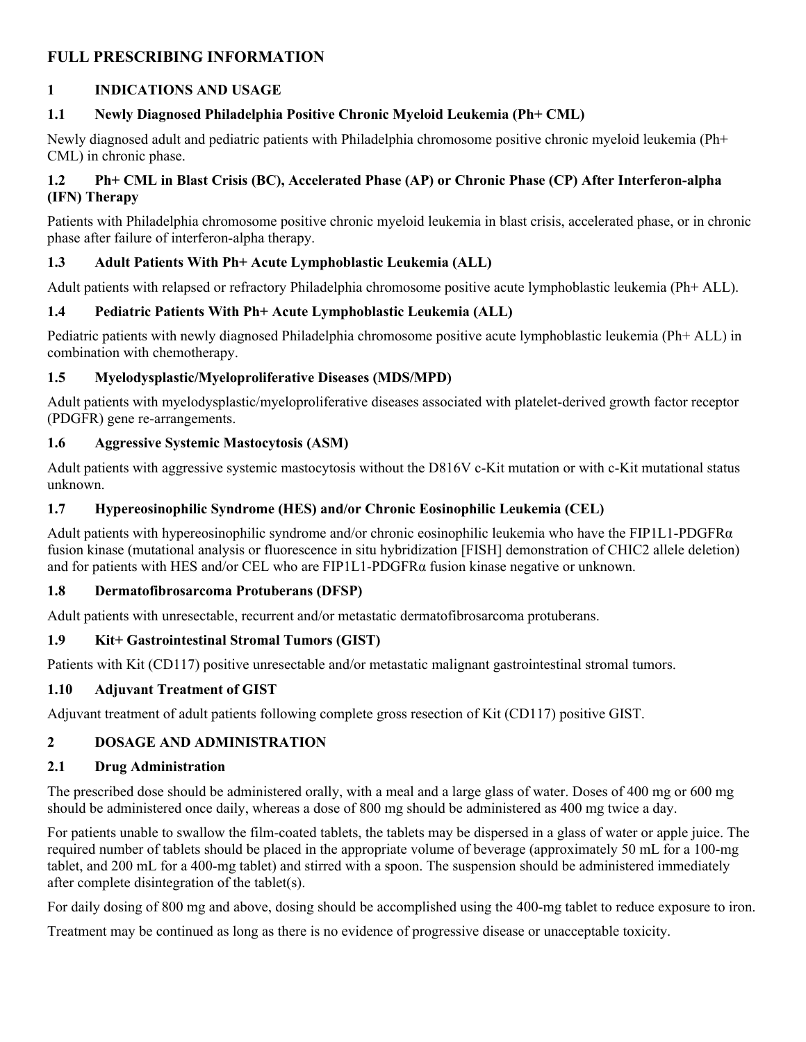## **FULL PRESCRIBING INFORMATION**

### <span id="page-2-10"></span>**1 INDICATIONS AND USAGE**

### <span id="page-2-0"></span>**1.1 Newly Diagnosed Philadelphia Positive Chronic Myeloid Leukemia (Ph+ CML)**

Newly diagnosed adult and pediatric patients with Philadelphia chromosome positive chronic myeloid leukemia (Ph+ CML) in chronic phase.

### <span id="page-2-1"></span>**1.2 Ph+ CML in Blast Crisis (BC), Accelerated Phase (AP) or Chronic Phase (CP) After Interferon-alpha (IFN) Therapy**

Patients with Philadelphia chromosome positive chronic myeloid leukemia in blast crisis, accelerated phase, or in chronic phase after failure of interferon-alpha therapy.

### <span id="page-2-2"></span>**1.3 Adult Patients With Ph+ Acute Lymphoblastic Leukemia (ALL)**

Adult patients with relapsed or refractory Philadelphia chromosome positive acute lymphoblastic leukemia (Ph+ ALL).

### <span id="page-2-3"></span>**1.4 Pediatric Patients With Ph+ Acute Lymphoblastic Leukemia (ALL)**

Pediatric patients with newly diagnosed Philadelphia chromosome positive acute lymphoblastic leukemia (Ph+ ALL) in combination with chemotherapy.

### <span id="page-2-4"></span>**1.5 Myelodysplastic/Myeloproliferative Diseases (MDS/MPD)**

Adult patients with myelodysplastic/myeloproliferative diseases associated with platelet-derived growth factor receptor (PDGFR) gene re-arrangements.

### <span id="page-2-5"></span>**1.6 Aggressive Systemic Mastocytosis (ASM)**

Adult patients with aggressive systemic mastocytosis without the D816V c-Kit mutation or with c-Kit mutational status unknown.

### <span id="page-2-6"></span>**1.7 Hypereosinophilic Syndrome (HES) and/or Chronic Eosinophilic Leukemia (CEL)**

Adult patients with hypereosinophilic syndrome and/or chronic eosinophilic leukemia who have the FIP1L1-PDGFR $\alpha$ fusion kinase (mutational analysis or fluorescence in situ hybridization [FISH] demonstration of CHIC2 allele deletion) and for patients with HES and/or CEL who are FIP1L1-PDGFR $\alpha$  fusion kinase negative or unknown.

### <span id="page-2-7"></span>**1.8 Dermatofibrosarcoma Protuberans (DFSP)**

Adult patients with unresectable, recurrent and/or metastatic dermatofibrosarcoma protuberans.

### <span id="page-2-8"></span>**1.9 Kit+ Gastrointestinal Stromal Tumors (GIST)**

Patients with Kit (CD117) positive unresectable and/or metastatic malignant gastrointestinal stromal tumors.

### <span id="page-2-9"></span>**1.10 Adjuvant Treatment of GIST**

Adjuvant treatment of adult patients following complete gross resection of Kit (CD117) positive GIST.

### <span id="page-2-11"></span>**2 DOSAGE AND ADMINISTRATION**

### <span id="page-2-12"></span>**2.1 Drug Administration**

The prescribed dose should be administered orally, with a meal and a large glass of water. Doses of 400 mg or 600 mg should be administered once daily, whereas a dose of 800 mg should be administered as 400 mg twice a day.

For patients unable to swallow the film-coated tablets, the tablets may be dispersed in a glass of water or apple juice. The required number of tablets should be placed in the appropriate volume of beverage (approximately 50 mL for a 100-mg tablet, and 200 mL for a 400-mg tablet) and stirred with a spoon. The suspension should be administered immediately after complete disintegration of the tablet(s).

For daily dosing of 800 mg and above, dosing should be accomplished using the 400-mg tablet to reduce exposure to iron.

Treatment may be continued as long as there is no evidence of progressive disease or unacceptable toxicity.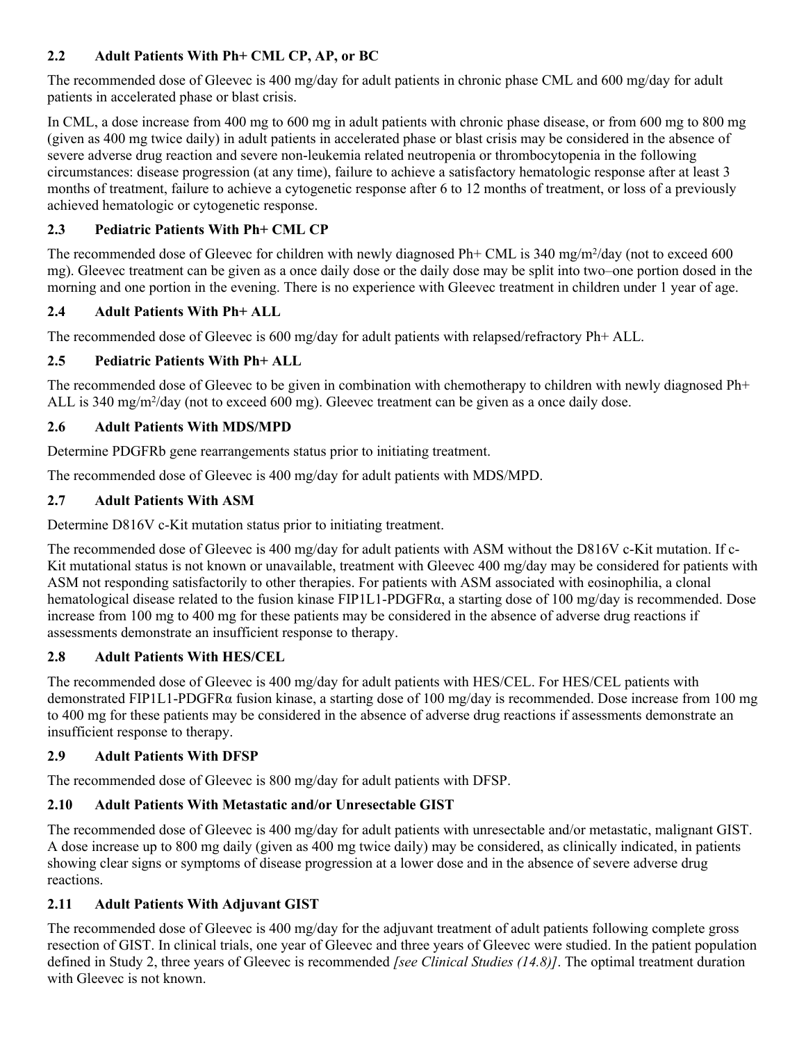### <span id="page-3-0"></span>**2.2 Adult Patients With Ph+ CML CP, AP, or BC**

The recommended dose of Gleevec is 400 mg/day for adult patients in chronic phase CML and 600 mg/day for adult patients in accelerated phase or blast crisis.

In CML, a dose increase from 400 mg to 600 mg in adult patients with chronic phase disease, or from 600 mg to 800 mg (given as 400 mg twice daily) in adult patients in accelerated phase or blast crisis may be considered in the absence of severe adverse drug reaction and severe non-leukemia related neutropenia or thrombocytopenia in the following circumstances: disease progression (at any time), failure to achieve a satisfactory hematologic response after at least 3 months of treatment, failure to achieve a cytogenetic response after 6 to 12 months of treatment, or loss of a previously achieved hematologic or cytogenetic response.

### <span id="page-3-1"></span>**2.3 Pediatric Patients With Ph+ CML CP**

The recommended dose of Gleevec for children with newly diagnosed Ph+ CML is 340 mg/m<sup>2</sup>/day (not to exceed 600 mg). Gleevec treatment can be given as a once daily dose or the daily dose may be split into two–one portion dosed in the morning and one portion in the evening. There is no experience with Gleevec treatment in children under 1 year of age.

### <span id="page-3-2"></span>**2.4 Adult Patients With Ph+ ALL**

The recommended dose of Gleevec is 600 mg/day for adult patients with relapsed/refractory Ph+ ALL.

### <span id="page-3-3"></span>**2.5 Pediatric Patients With Ph+ ALL**

The recommended dose of Gleevec to be given in combination with chemotherapy to children with newly diagnosed Ph+ ALL is 340 mg/m<sup>2</sup>/day (not to exceed 600 mg). Gleevec treatment can be given as a once daily dose.

### <span id="page-3-4"></span>**2.6 Adult Patients With MDS/MPD**

Determine PDGFRb gene rearrangements status prior to initiating treatment.

The recommended dose of Gleevec is 400 mg/day for adult patients with MDS/MPD.

### <span id="page-3-5"></span>**2.7 Adult Patients With ASM**

Determine D816V c-Kit mutation status prior to initiating treatment.

The recommended dose of Gleevec is 400 mg/day for adult patients with ASM without the D816V c-Kit mutation. If c-Kit mutational status is not known or unavailable, treatment with Gleevec 400 mg/day may be considered for patients with ASM not responding satisfactorily to other therapies. For patients with ASM associated with eosinophilia, a clonal hematological disease related to the fusion kinase FIP1L1-PDGFRα, a starting dose of 100 mg/day is recommended. Dose increase from 100 mg to 400 mg for these patients may be considered in the absence of adverse drug reactions if assessments demonstrate an insufficient response to therapy.

### <span id="page-3-6"></span>**2.8 Adult Patients With HES/CEL**

The recommended dose of Gleevec is 400 mg/day for adult patients with HES/CEL. For HES/CEL patients with demonstrated FIP1L1-PDGFRα fusion kinase, a starting dose of 100 mg/day is recommended. Dose increase from 100 mg to 400 mg for these patients may be considered in the absence of adverse drug reactions if assessments demonstrate an insufficient response to therapy.

### <span id="page-3-7"></span>**2.9 Adult Patients With DFSP**

The recommended dose of Gleevec is 800 mg/day for adult patients with DFSP.

### <span id="page-3-8"></span>**2.10 Adult Patients With Metastatic and/or Unresectable GIST**

The recommended dose of Gleevec is 400 mg/day for adult patients with unresectable and/or metastatic, malignant GIST. A dose increase up to 800 mg daily (given as 400 mg twice daily) may be considered, as clinically indicated, in patients showing clear signs or symptoms of disease progression at a lower dose and in the absence of severe adverse drug reactions.

### <span id="page-3-9"></span>**2.11 Adult Patients With Adjuvant GIST**

The recommended dose of Gleevec is 400 mg/day for the adjuvant treatment of adult patients following complete gross resection of GIST. In clinical trials, one year of Gleevec and three years of Gleevec were studied. In the patient population defined in Study 2, three years of Gleevec is recommended *[see Clinical Studies (14.8)]*. The optimal treatment duration with Gleevec is not known.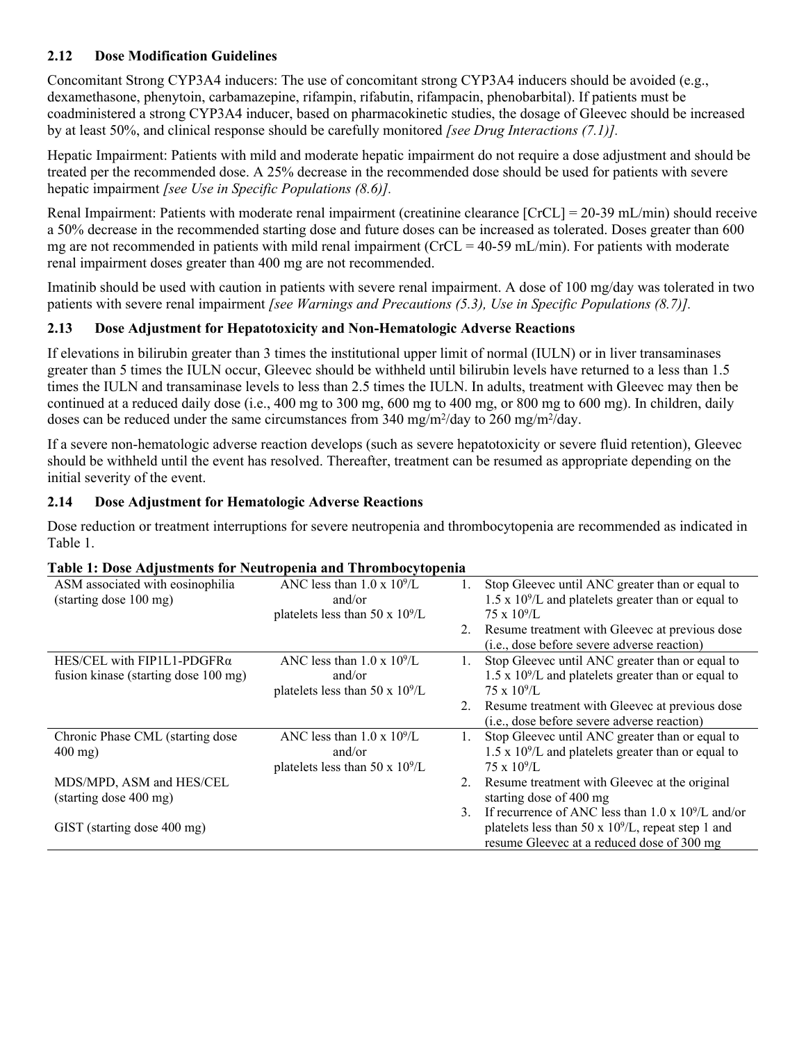### <span id="page-4-0"></span>**2.12 Dose Modification Guidelines**

Concomitant Strong CYP3A4 inducers: The use of concomitant strong CYP3A4 inducers should be avoided (e.g., dexamethasone, phenytoin, carbamazepine, rifampin, rifabutin, rifampacin, phenobarbital). If patients must be coadministered a strong CYP3A4 inducer, based on pharmacokinetic studies, the dosage of Gleevec should be increased by at least 50%, and clinical response should be carefully monitored *[see Drug Interactions (7.1)].*

Hepatic Impairment: Patients with mild and moderate hepatic impairment do not require a dose adjustment and should be treated per the recommended dose. A 25% decrease in the recommended dose should be used for patients with severe hepatic impairment *[see Use in Specific Populations (8.6)].*

Renal Impairment: Patients with moderate renal impairment (creatinine clearance [CrCL] = 20-39 mL/min) should receive a 50% decrease in the recommended starting dose and future doses can be increased as tolerated. Doses greater than 600 mg are not recommended in patients with mild renal impairment ( $CrCL = 40-59$  mL/min). For patients with moderate renal impairment doses greater than 400 mg are not recommended.

Imatinib should be used with caution in patients with severe renal impairment. A dose of 100 mg/day was tolerated in two patients with severe renal impairment *[see Warnings and Precautions (5.3), Use in Specific Populations (8.7)].*

### <span id="page-4-1"></span>**2.13 Dose Adjustment for Hepatotoxicity and Non-Hematologic Adverse Reactions**

If elevations in bilirubin greater than 3 times the institutional upper limit of normal (IULN) or in liver transaminases greater than 5 times the IULN occur, Gleevec should be withheld until bilirubin levels have returned to a less than 1.5 times the IULN and transaminase levels to less than 2.5 times the IULN. In adults, treatment with Gleevec may then be continued at a reduced daily dose (i.e., 400 mg to 300 mg, 600 mg to 400 mg, or 800 mg to 600 mg). In children, daily doses can be reduced under the same circumstances from  $340 \text{ mg/m}^2/\text{day}$  to  $260 \text{ mg/m}^2/\text{day}$ .

If a severe non-hematologic adverse reaction develops (such as severe hepatotoxicity or severe fluid retention), Gleevec should be withheld until the event has resolved. Thereafter, treatment can be resumed as appropriate depending on the initial severity of the event.

### <span id="page-4-2"></span>**2.14 Dose Adjustment for Hematologic Adverse Reactions**

Dose reduction or treatment interruptions for severe neutropenia and thrombocytopenia are recommended as indicated in Table 1.

| ASM associated with eosinophilia     | ANC less than $1.0 \times 10^9$ /L | $1_{-}$ | Stop Gleevec until ANC greater than or equal to             |
|--------------------------------------|------------------------------------|---------|-------------------------------------------------------------|
| (starting dose 100 mg)               | and/or                             |         | $1.5 \times 10^9$ /L and platelets greater than or equal to |
|                                      | platelets less than 50 x $10^9$ /L |         | $75 \times 10^9$ /L                                         |
|                                      |                                    | 2.      | Resume treatment with Gleevec at previous dose              |
|                                      |                                    |         | (i.e., dose before severe adverse reaction)                 |
| HES/CEL with FIP1L1-PDGFR $\alpha$   | ANC less than $1.0 \times 10^9$ /L | 1.      | Stop Gleevec until ANC greater than or equal to             |
| fusion kinase (starting dose 100 mg) | and/or                             |         | $1.5 \times 10^9$ /L and platelets greater than or equal to |
|                                      | platelets less than 50 x $10^9$ /L |         | $75 \times 10^9$ /L                                         |
|                                      |                                    |         | Resume treatment with Gleevec at previous dose              |
|                                      |                                    |         | (i.e., dose before severe adverse reaction)                 |
| Chronic Phase CML (starting dose     | ANC less than $1.0 \times 10^9$ /L |         | Stop Gleevec until ANC greater than or equal to             |
| $400$ mg)                            | and/or                             |         | $1.5 \times 10^9$ /L and platelets greater than or equal to |
|                                      | platelets less than 50 x $10^9$ /L |         | $75 \times 10^9$ /L                                         |
| MDS/MPD, ASM and HES/CEL             |                                    | 2.      | Resume treatment with Gleevec at the original               |
| (starting dose 400 mg)               |                                    |         | starting dose of 400 mg                                     |
|                                      |                                    | $3_{-}$ | If recurrence of ANC less than $1.0 \times 10^9$ /L and/or  |
| GIST (starting dose 400 mg)          |                                    |         | platelets less than 50 x $10^9$ /L, repeat step 1 and       |
|                                      |                                    |         | resume Gleevec at a reduced dose of 300 mg                  |

### **Table 1: Dose Adjustments for Neutropenia and Thrombocytopenia**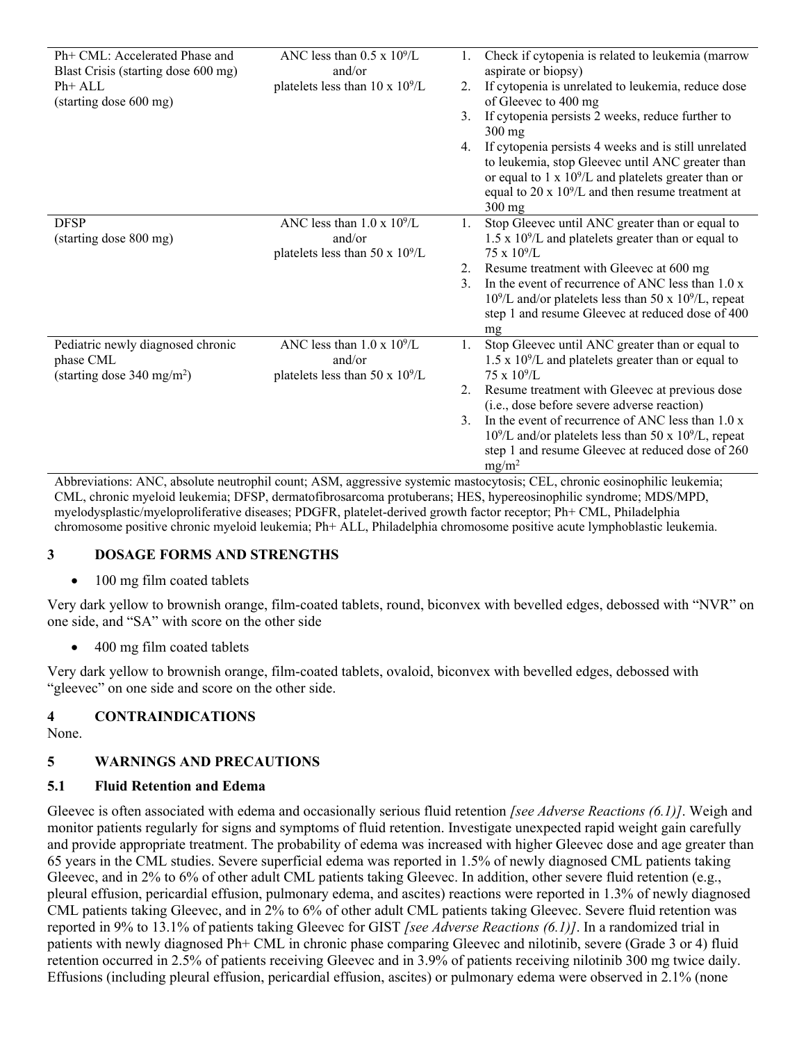| Ph+ CML: Accelerated Phase and<br>Blast Crisis (starting dose 600 mg)<br>$Ph+ALL$<br>(starting dose 600 mg) | ANC less than $0.5 \times 10^9$ /L<br>and/or<br>platelets less than $10 \times 10^9$ /L | 2.<br>3 <sub>1</sub><br>4.     | Check if cytopenia is related to leukemia (marrow<br>aspirate or biopsy)<br>If cytopenia is unrelated to leukemia, reduce dose<br>of Gleevec to 400 mg<br>If cytopenia persists 2 weeks, reduce further to<br>$300$ mg<br>If cytopenia persists 4 weeks and is still unrelated<br>to leukemia, stop Gleevec until ANC greater than<br>or equal to 1 x $10^9$ /L and platelets greater than or<br>equal to 20 x $10^9$ /L and then resume treatment at |
|-------------------------------------------------------------------------------------------------------------|-----------------------------------------------------------------------------------------|--------------------------------|-------------------------------------------------------------------------------------------------------------------------------------------------------------------------------------------------------------------------------------------------------------------------------------------------------------------------------------------------------------------------------------------------------------------------------------------------------|
| <b>DFSP</b><br>(starting dose 800 mg)                                                                       | ANC less than $1.0 \times 10^9$ /L<br>and/or<br>platelets less than 50 x $10^9$ /L      | 1.<br>2.<br>$\mathcal{E}$      | $300$ mg<br>Stop Gleevec until ANC greater than or equal to<br>$1.5 \times 10^9$ /L and platelets greater than or equal to<br>$75 \times 10^9$ /L<br>Resume treatment with Gleevec at 600 mg<br>In the event of recurrence of ANC less than 1.0 x<br>$10^9$ /L and/or platelets less than 50 x $10^9$ /L, repeat<br>step 1 and resume Gleevec at reduced dose of 400<br>mg                                                                            |
| Pediatric newly diagnosed chronic<br>phase CML<br>(starting dose $340 \text{ mg/m}^2$ )                     | ANC less than $1.0 \times 10^9$ /L<br>and/or<br>platelets less than 50 x $10^9$ /L      | 1.<br>$2_{-}$<br>$\mathcal{E}$ | Stop Gleevec until ANC greater than or equal to<br>$1.5 \times 10^9$ /L and platelets greater than or equal to<br>$75 \times 10^9$ /L<br>Resume treatment with Gleevec at previous dose<br>(i.e., dose before severe adverse reaction)<br>In the event of recurrence of ANC less than 1.0 x<br>$10^9$ /L and/or platelets less than 50 x $10^9$ /L, repeat<br>step 1 and resume Gleevec at reduced dose of 260<br>$mg/m^2$                            |

Abbreviations: ANC, absolute neutrophil count; ASM, aggressive systemic mastocytosis; CEL, chronic eosinophilic leukemia; CML, chronic myeloid leukemia; DFSP, dermatofibrosarcoma protuberans; HES, hypereosinophilic syndrome; MDS/MPD, myelodysplastic/myeloproliferative diseases; PDGFR, platelet-derived growth factor receptor; Ph+ CML, Philadelphia chromosome positive chronic myeloid leukemia; Ph+ ALL, Philadelphia chromosome positive acute lymphoblastic leukemia.

### <span id="page-5-0"></span>**3 DOSAGE FORMS AND STRENGTHS**

### • 100 mg film coated tablets

Very dark yellow to brownish orange, film-coated tablets, round, biconvex with bevelled edges, debossed with "NVR" on one side, and "SA" with score on the other side

400 mg film coated tablets

Very dark yellow to brownish orange, film-coated tablets, ovaloid, biconvex with bevelled edges, debossed with "gleevec" on one side and score on the other side.

### <span id="page-5-1"></span>**4 CONTRAINDICATIONS**

None.

### <span id="page-5-3"></span>**5 WARNINGS AND PRECAUTIONS**

### <span id="page-5-2"></span>**5.1 Fluid Retention and Edema**

Gleevec is often associated with edema and occasionally serious fluid retention *[see Adverse Reactions (6.1)]*. Weigh and monitor patients regularly for signs and symptoms of fluid retention. Investigate unexpected rapid weight gain carefully and provide appropriate treatment. The probability of edema was increased with higher Gleevec dose and age greater than 65 years in the CML studies. Severe superficial edema was reported in 1.5% of newly diagnosed CML patients taking Gleevec, and in 2% to 6% of other adult CML patients taking Gleevec. In addition, other severe fluid retention (e.g., pleural effusion, pericardial effusion, pulmonary edema, and ascites) reactions were reported in 1.3% of newly diagnosed CML patients taking Gleevec, and in 2% to 6% of other adult CML patients taking Gleevec. Severe fluid retention was reported in 9% to 13.1% of patients taking Gleevec for GIST *[see Adverse Reactions (6.1)]*. In a randomized trial in patients with newly diagnosed Ph+ CML in chronic phase comparing Gleevec and nilotinib, severe (Grade 3 or 4) fluid retention occurred in 2.5% of patients receiving Gleevec and in 3.9% of patients receiving nilotinib 300 mg twice daily. Effusions (including pleural effusion, pericardial effusion, ascites) or pulmonary edema were observed in 2.1% (none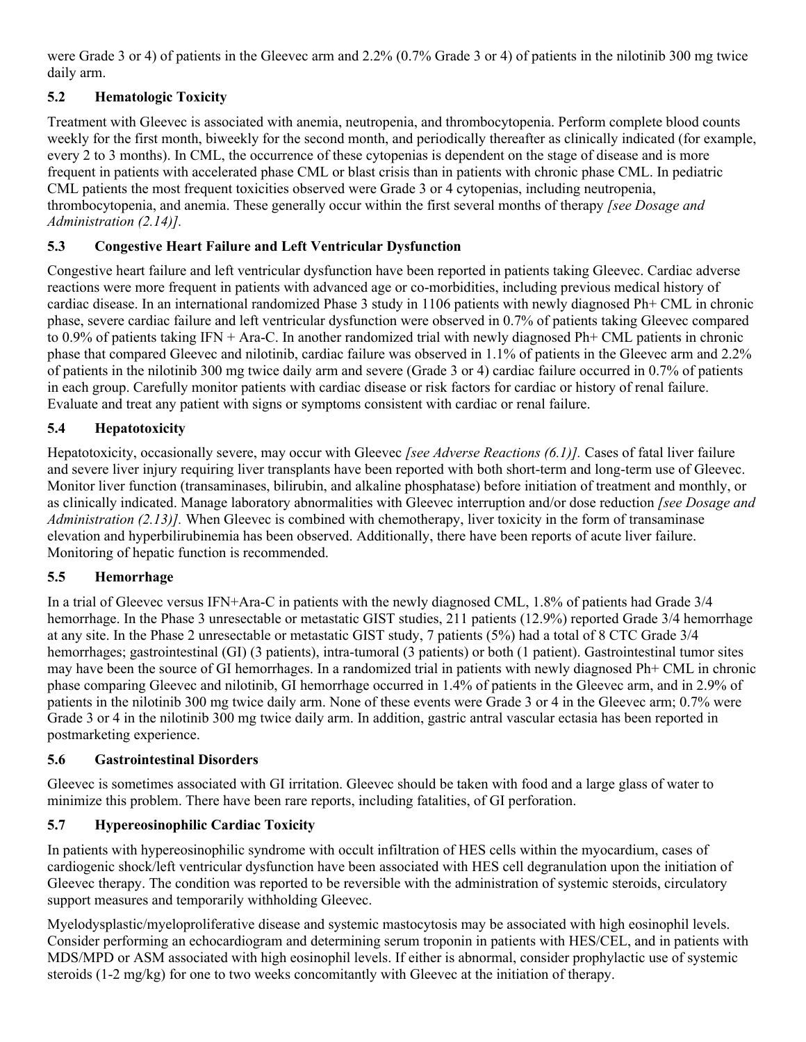were Grade 3 or 4) of patients in the Gleevec arm and 2.2% (0.7% Grade 3 or 4) of patients in the nilotinib 300 mg twice daily arm.

# <span id="page-6-0"></span>**5.2 Hematologic Toxicity**

Treatment with Gleevec is associated with anemia, neutropenia, and thrombocytopenia. Perform complete blood counts weekly for the first month, biweekly for the second month, and periodically thereafter as clinically indicated (for example, every 2 to 3 months). In CML, the occurrence of these cytopenias is dependent on the stage of disease and is more frequent in patients with accelerated phase CML or blast crisis than in patients with chronic phase CML. In pediatric CML patients the most frequent toxicities observed were Grade 3 or 4 cytopenias, including neutropenia, thrombocytopenia, and anemia. These generally occur within the first several months of therapy *[see Dosage and Administration (2.14)].*

### <span id="page-6-1"></span>**5.3 Congestive Heart Failure and Left Ventricular Dysfunction**

Congestive heart failure and left ventricular dysfunction have been reported in patients taking Gleevec. Cardiac adverse reactions were more frequent in patients with advanced age or co-morbidities, including previous medical history of cardiac disease. In an international randomized Phase 3 study in 1106 patients with newly diagnosed Ph+ CML in chronic phase, severe cardiac failure and left ventricular dysfunction were observed in 0.7% of patients taking Gleevec compared to 0.9% of patients taking IFN + Ara-C. In another randomized trial with newly diagnosed Ph+ CML patients in chronic phase that compared Gleevec and nilotinib, cardiac failure was observed in 1.1% of patients in the Gleevec arm and 2.2% of patients in the nilotinib 300 mg twice daily arm and severe (Grade 3 or 4) cardiac failure occurred in 0.7% of patients in each group. Carefully monitor patients with cardiac disease or risk factors for cardiac or history of renal failure. Evaluate and treat any patient with signs or symptoms consistent with cardiac or renal failure.

### <span id="page-6-2"></span>**5.4 Hepatotoxicity**

Hepatotoxicity, occasionally severe, may occur with Gleevec *[see Adverse Reactions (6.1)].* Cases of fatal liver failure and severe liver injury requiring liver transplants have been reported with both short-term and long-term use of Gleevec. Monitor liver function (transaminases, bilirubin, and alkaline phosphatase) before initiation of treatment and monthly, or as clinically indicated. Manage laboratory abnormalities with Gleevec interruption and/or dose reduction *[see Dosage and Administration (2.13)]*. When Gleevec is combined with chemotherapy, liver toxicity in the form of transaminase elevation and hyperbilirubinemia has been observed. Additionally, there have been reports of acute liver failure. Monitoring of hepatic function is recommended.

### <span id="page-6-3"></span>**5.5 Hemorrhage**

In a trial of Gleevec versus IFN+Ara-C in patients with the newly diagnosed CML, 1.8% of patients had Grade 3/4 hemorrhage. In the Phase 3 unresectable or metastatic GIST studies, 211 patients (12.9%) reported Grade 3/4 hemorrhage at any site. In the Phase 2 unresectable or metastatic GIST study, 7 patients (5%) had a total of 8 CTC Grade 3/4 hemorrhages; gastrointestinal (GI) (3 patients), intra-tumoral (3 patients) or both (1 patient). Gastrointestinal tumor sites may have been the source of GI hemorrhages. In a randomized trial in patients with newly diagnosed Ph+ CML in chronic phase comparing Gleevec and nilotinib, GI hemorrhage occurred in 1.4% of patients in the Gleevec arm, and in 2.9% of patients in the nilotinib 300 mg twice daily arm. None of these events were Grade 3 or 4 in the Gleevec arm; 0.7% were Grade 3 or 4 in the nilotinib 300 mg twice daily arm. In addition, gastric antral vascular ectasia has been reported in postmarketing experience.

### <span id="page-6-4"></span>**5.6 Gastrointestinal Disorders**

Gleevec is sometimes associated with GI irritation. Gleevec should be taken with food and a large glass of water to minimize this problem. There have been rare reports, including fatalities, of GI perforation.

### <span id="page-6-5"></span>**5.7 Hypereosinophilic Cardiac Toxicity**

In patients with hypereosinophilic syndrome with occult infiltration of HES cells within the myocardium, cases of cardiogenic shock/left ventricular dysfunction have been associated with HES cell degranulation upon the initiation of Gleevec therapy. The condition was reported to be reversible with the administration of systemic steroids, circulatory support measures and temporarily withholding Gleevec.

Myelodysplastic/myeloproliferative disease and systemic mastocytosis may be associated with high eosinophil levels. Consider performing an echocardiogram and determining serum troponin in patients with HES/CEL, and in patients with MDS/MPD or ASM associated with high eosinophil levels. If either is abnormal, consider prophylactic use of systemic steroids (1-2 mg/kg) for one to two weeks concomitantly with Gleevec at the initiation of therapy.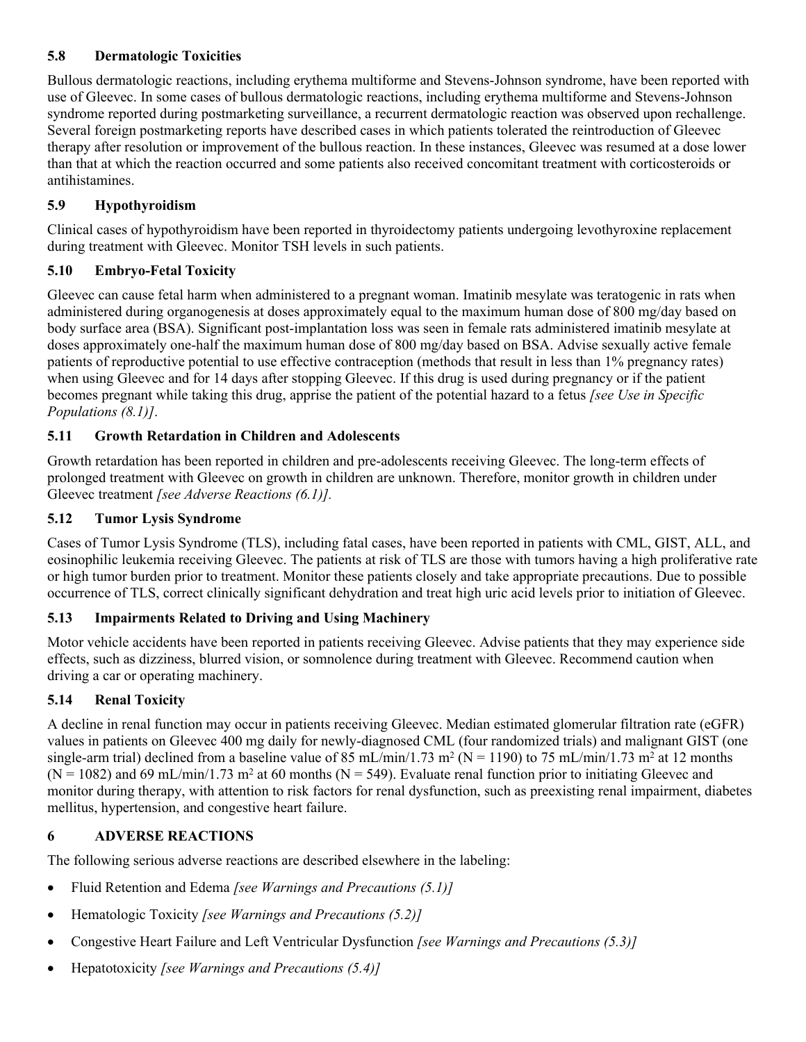### <span id="page-7-0"></span>**5.8 Dermatologic Toxicities**

Bullous dermatologic reactions, including erythema multiforme and Stevens-Johnson syndrome, have been reported with use of Gleevec. In some cases of bullous dermatologic reactions, including erythema multiforme and Stevens-Johnson syndrome reported during postmarketing surveillance, a recurrent dermatologic reaction was observed upon rechallenge. Several foreign postmarketing reports have described cases in which patients tolerated the reintroduction of Gleevec therapy after resolution or improvement of the bullous reaction. In these instances, Gleevec was resumed at a dose lower than that at which the reaction occurred and some patients also received concomitant treatment with corticosteroids or antihistamines.

### <span id="page-7-1"></span>**5.9 Hypothyroidism**

Clinical cases of hypothyroidism have been reported in thyroidectomy patients undergoing levothyroxine replacement during treatment with Gleevec. Monitor TSH levels in such patients.

### <span id="page-7-2"></span>**5.10 Embryo-Fetal Toxicity**

Gleevec can cause fetal harm when administered to a pregnant woman. Imatinib mesylate was teratogenic in rats when administered during organogenesis at doses approximately equal to the maximum human dose of 800 mg/day based on body surface area (BSA). Significant post-implantation loss was seen in female rats administered imatinib mesylate at doses approximately one-half the maximum human dose of 800 mg/day based on BSA. Advise sexually active female patients of reproductive potential to use effective contraception (methods that result in less than 1% pregnancy rates) when using Gleevec and for 14 days after stopping Gleevec. If this drug is used during pregnancy or if the patient becomes pregnant while taking this drug, apprise the patient of the potential hazard to a fetus *[see Use in Specific Populations (8.1)]*.

### <span id="page-7-3"></span>**5.11 Growth Retardation in Children and Adolescents**

Growth retardation has been reported in children and pre-adolescents receiving Gleevec. The long-term effects of prolonged treatment with Gleevec on growth in children are unknown. Therefore, monitor growth in children under Gleevec treatment *[see Adverse Reactions (6.1)].*

### <span id="page-7-4"></span>**5.12 Tumor Lysis Syndrome**

Cases of Tumor Lysis Syndrome (TLS), including fatal cases, have been reported in patients with CML, GIST, ALL, and eosinophilic leukemia receiving Gleevec. The patients at risk of TLS are those with tumors having a high proliferative rate or high tumor burden prior to treatment. Monitor these patients closely and take appropriate precautions. Due to possible occurrence of TLS, correct clinically significant dehydration and treat high uric acid levels prior to initiation of Gleevec.

### <span id="page-7-5"></span>**5.13 Impairments Related to Driving and Using Machinery**

Motor vehicle accidents have been reported in patients receiving Gleevec. Advise patients that they may experience side effects, such as dizziness, blurred vision, or somnolence during treatment with Gleevec. Recommend caution when driving a car or operating machinery.

### <span id="page-7-6"></span>**5.14 Renal Toxicity**

A decline in renal function may occur in patients receiving Gleevec. Median estimated glomerular filtration rate (eGFR) values in patients on Gleevec 400 mg daily for newly-diagnosed CML (four randomized trials) and malignant GIST (one single-arm trial) declined from a baseline value of 85 mL/min/1.73 m<sup>2</sup> (N = 1190) to 75 mL/min/1.73 m<sup>2</sup> at 12 months  $(N = 1082)$  and 69 mL/min/1.73 m<sup>2</sup> at 60 months (N = 549). Evaluate renal function prior to initiating Gleevec and monitor during therapy, with attention to risk factors for renal dysfunction, such as preexisting renal impairment, diabetes mellitus, hypertension, and congestive heart failure.

### <span id="page-7-7"></span>**6 ADVERSE REACTIONS**

The following serious adverse reactions are described elsewhere in the labeling:

- Fluid Retention and Edema *[see Warnings and Precautions (5.1)]*
- Hematologic Toxicity *[see Warnings and Precautions (5.2)]*
- Congestive Heart Failure and Left Ventricular Dysfunction *[see Warnings and Precautions (5.3)]*
- Hepatotoxicity *[see Warnings and Precautions (5.4)]*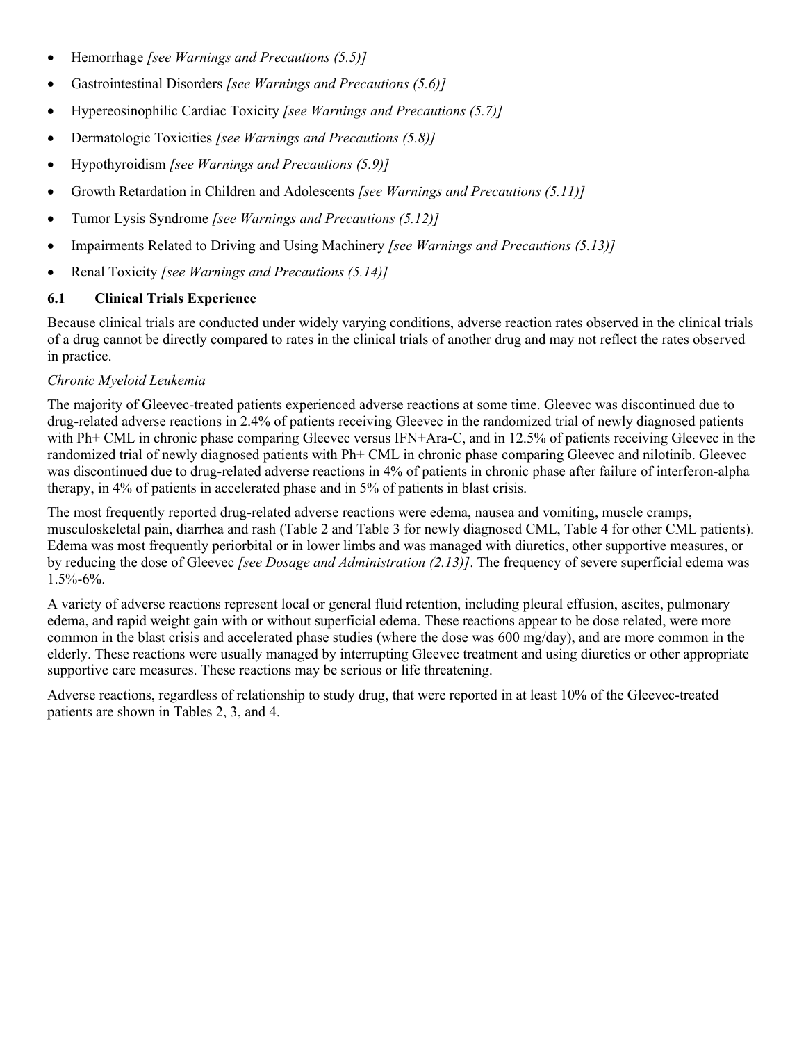- Hemorrhage *[see Warnings and Precautions (5.5)]*
- Gastrointestinal Disorders *[see Warnings and Precautions (5.6)]*
- Hypereosinophilic Cardiac Toxicity *[see Warnings and Precautions (5.7)]*
- Dermatologic Toxicities *[see Warnings and Precautions (5.8)]*
- Hypothyroidism *[see Warnings and Precautions (5.9)]*
- Growth Retardation in Children and Adolescents *[see Warnings and Precautions (5.11)]*
- Tumor Lysis Syndrome *[see Warnings and Precautions (5.12)]*
- Impairments Related to Driving and Using Machinery *[see Warnings and Precautions (5.13)]*
- Renal Toxicity *[see Warnings and Precautions (5.14)]*

### <span id="page-8-0"></span>**6.1 Clinical Trials Experience**

Because clinical trials are conducted under widely varying conditions, adverse reaction rates observed in the clinical trials of a drug cannot be directly compared to rates in the clinical trials of another drug and may not reflect the rates observed in practice.

### *Chronic Myeloid Leukemia*

The majority of Gleevec-treated patients experienced adverse reactions at some time. Gleevec was discontinued due to drug-related adverse reactions in 2.4% of patients receiving Gleevec in the randomized trial of newly diagnosed patients with Ph+ CML in chronic phase comparing Gleevec versus IFN+Ara-C, and in 12.5% of patients receiving Gleevec in the randomized trial of newly diagnosed patients with Ph+ CML in chronic phase comparing Gleevec and nilotinib. Gleevec was discontinued due to drug-related adverse reactions in 4% of patients in chronic phase after failure of interferon-alpha therapy, in 4% of patients in accelerated phase and in 5% of patients in blast crisis.

The most frequently reported drug-related adverse reactions were edema, nausea and vomiting, muscle cramps, musculoskeletal pain, diarrhea and rash (Table 2 and Table 3 for newly diagnosed CML, Table 4 for other CML patients). Edema was most frequently periorbital or in lower limbs and was managed with diuretics, other supportive measures, or by reducing the dose of Gleevec *[see Dosage and Administration (2.13)]*. The frequency of severe superficial edema was 1.5%-6%.

A variety of adverse reactions represent local or general fluid retention, including pleural effusion, ascites, pulmonary edema, and rapid weight gain with or without superficial edema. These reactions appear to be dose related, were more common in the blast crisis and accelerated phase studies (where the dose was 600 mg/day), and are more common in the elderly. These reactions were usually managed by interrupting Gleevec treatment and using diuretics or other appropriate supportive care measures. These reactions may be serious or life threatening.

Adverse reactions, regardless of relationship to study drug, that were reported in at least 10% of the Gleevec-treated patients are shown in Tables 2, 3, and 4.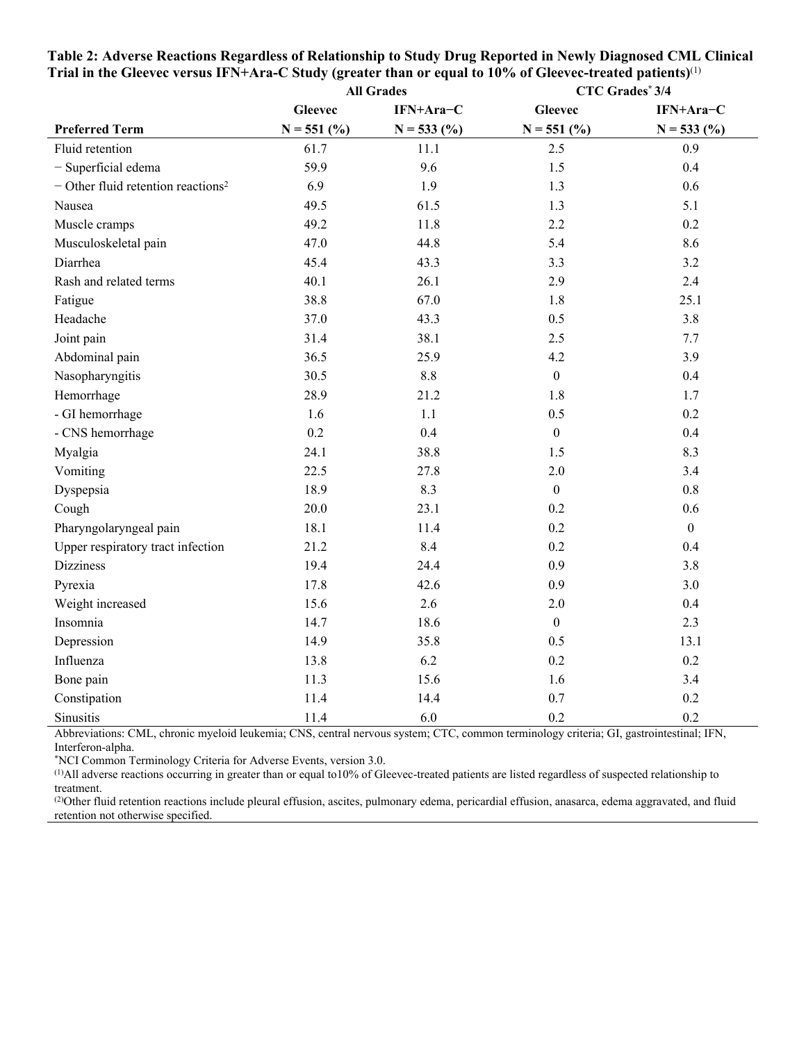|                                                  | <b>All Grades</b> |              |                  | <b>CTC Grades*3/4</b> |
|--------------------------------------------------|-------------------|--------------|------------------|-----------------------|
|                                                  | <b>Gleevec</b>    | IFN+Ara-C    | <b>Gleevec</b>   | IFN+Ara-C             |
| <b>Preferred Term</b>                            | $N = 551$ (%)     | $N = 533(%)$ | $N = 551$ (%)    | $N = 533$ (%)         |
| Fluid retention                                  | 61.7              | 11.1         | 2.5              | 0.9                   |
| - Superficial edema                              | 59.9              | 9.6          | 1.5              | 0.4                   |
| $-$ Other fluid retention reactions <sup>2</sup> | 6.9               | 1.9          | 1.3              | 0.6                   |
| Nausea                                           | 49.5              | 61.5         | 1.3              | 5.1                   |
| Muscle cramps                                    | 49.2              | 11.8         | 2.2              | 0.2                   |
| Musculoskeletal pain                             | 47.0              | 44.8         | 5.4              | 8.6                   |
| Diarrhea                                         | 45.4              | 43.3         | 3.3              | 3.2                   |
| Rash and related terms                           | 40.1              | 26.1         | 2.9              | 2.4                   |
| Fatigue                                          | 38.8              | 67.0         | 1.8              | 25.1                  |
| Headache                                         | 37.0              | 43.3         | 0.5              | 3.8                   |
| Joint pain                                       | 31.4              | 38.1         | 2.5              | 7.7                   |
| Abdominal pain                                   | 36.5              | 25.9         | 4.2              | 3.9                   |
| Nasopharyngitis                                  | 30.5              | 8.8          | $\boldsymbol{0}$ | 0.4                   |
| Hemorrhage                                       | 28.9              | 21.2         | 1.8              | 1.7                   |
| - GI hemorrhage                                  | 1.6               | 1.1          | 0.5              | 0.2                   |
| - CNS hemorrhage                                 | 0.2               | 0.4          | $\overline{0}$   | 0.4                   |
| Myalgia                                          | 24.1              | 38.8         | 1.5              | 8.3                   |
| Vomiting                                         | 22.5              | 27.8         | 2.0              | 3.4                   |
| Dyspepsia                                        | 18.9              | 8.3          | $\boldsymbol{0}$ | 0.8                   |
| Cough                                            | 20.0              | 23.1         | 0.2              | 0.6                   |
| Pharyngolaryngeal pain                           | 18.1              | 11.4         | 0.2              | $\boldsymbol{0}$      |
| Upper respiratory tract infection                | 21.2              | 8.4          | 0.2              | 0.4                   |
| <b>Dizziness</b>                                 | 19.4              | 24.4         | 0.9              | 3.8                   |
| Pyrexia                                          | 17.8              | 42.6         | 0.9              | 3.0                   |
| Weight increased                                 | 15.6              | 2.6          | 2.0              | 0.4                   |
| Insomnia                                         | 14.7              | 18.6         | $\boldsymbol{0}$ | 2.3                   |
| Depression                                       | 14.9              | 35.8         | 0.5              | 13.1                  |
| Influenza                                        | 13.8              | 6.2          | 0.2              | 0.2                   |
| Bone pain                                        | 11.3              | 15.6         | 1.6              | 3.4                   |
| Constipation                                     | 11.4              | 14.4         | 0.7              | 0.2                   |
| Sinusitis                                        | 11.4              | 6.0          | 0.2              | 0.2                   |

| Table 2: Adverse Reactions Regardless of Relationship to Study Drug Reported in Newly Diagnosed CML Clinical    |  |
|-----------------------------------------------------------------------------------------------------------------|--|
| Trial in the Gleevec versus IFN+Ara-C Study (greater than or equal to 10% of Gleevec-treated patients) $^{(1)}$ |  |

Abbreviations: CML, chronic myeloid leukemia; CNS, central nervous system; CTC, common terminology criteria; GI, gastrointestinal; IFN, Interferon-alpha.

\*NCI Common Terminology Criteria for Adverse Events, version 3.0.

(1)All adverse reactions occurring in greater than or equal to10% of Gleevec-treated patients are listed regardless of suspected relationship to treatment.

(2)Other fluid retention reactions include pleural effusion, ascites, pulmonary edema, pericardial effusion, anasarca, edema aggravated, and fluid retention not otherwise specified.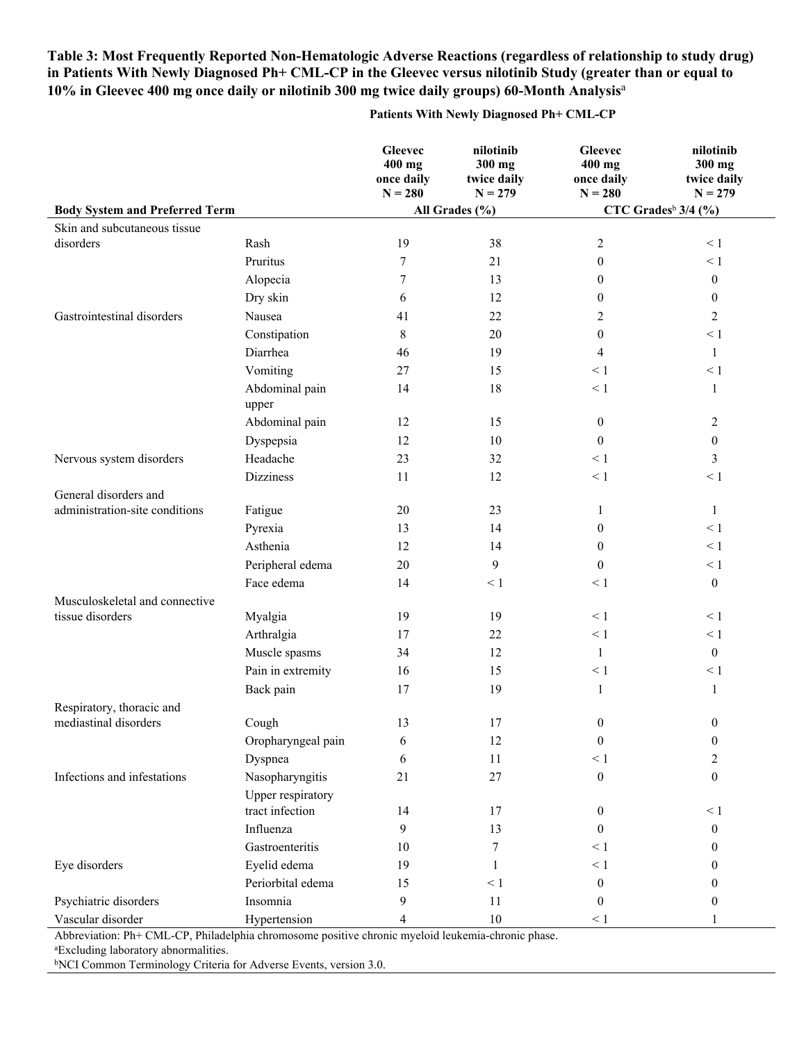### **Table 3: Most Frequently Reported Non-Hematologic Adverse Reactions (regardless of relationship to study drug) in Patients With Newly Diagnosed Ph+ CML-CP in the Gleevec versus nilotinib Study (greater than or equal to 10% in Gleevec 400 mg once daily or nilotinib 300 mg twice daily groups) 60-Month Analysis**<sup>a</sup>

#### **Patients With Newly Diagnosed Ph+ CML-CP**

|                                       |                                      | <b>Gleevec</b><br>$400$ mg<br>once daily<br>$N = 280$ | nilotinib<br>300 mg<br>twice daily<br>$N = 279$ | <b>Gleevec</b><br>$400$ mg<br>once daily<br>$N = 280$ | nilotinib<br>300 mg<br>twice daily<br>$N = 279$ |
|---------------------------------------|--------------------------------------|-------------------------------------------------------|-------------------------------------------------|-------------------------------------------------------|-------------------------------------------------|
| <b>Body System and Preferred Term</b> |                                      |                                                       | All Grades (%)                                  |                                                       | CTC Grades <sup>b</sup> $3/4$ (%)               |
| Skin and subcutaneous tissue          |                                      |                                                       |                                                 |                                                       |                                                 |
| disorders                             | Rash                                 | 19                                                    | 38                                              | 2                                                     | $\leq 1$                                        |
|                                       | Pruritus                             | 7                                                     | 21                                              | $\boldsymbol{0}$                                      | $\leq 1$                                        |
|                                       | Alopecia                             | 7                                                     | 13                                              | $\boldsymbol{0}$                                      | $\boldsymbol{0}$                                |
|                                       | Dry skin                             | 6                                                     | 12                                              | $\mathbf{0}$                                          | $\mathbf{0}$                                    |
| Gastrointestinal disorders            | Nausea                               | 41                                                    | 22                                              | 2                                                     | $\overline{2}$                                  |
|                                       | Constipation                         | 8                                                     | 20                                              | $\boldsymbol{0}$                                      | $\leq 1$                                        |
|                                       | Diarrhea                             | 46                                                    | 19                                              | 4                                                     | $\mathbf{1}$                                    |
|                                       | Vomiting                             | 27                                                    | 15                                              | $\leq 1$                                              | $\leq 1$                                        |
|                                       | Abdominal pain<br>upper              | 14                                                    | 18                                              | $\leq 1$                                              | $\mathbf{1}$                                    |
|                                       | Abdominal pain                       | 12                                                    | 15                                              | $\boldsymbol{0}$                                      | $\sqrt{2}$                                      |
|                                       | Dyspepsia                            | 12                                                    | 10                                              | $\theta$                                              | $\boldsymbol{0}$                                |
| Nervous system disorders              | Headache                             | 23                                                    | 32                                              | $\leq 1$                                              | 3                                               |
|                                       | <b>Dizziness</b>                     | 11                                                    | 12                                              | $\leq 1$                                              | $\leq 1$                                        |
| General disorders and                 |                                      |                                                       |                                                 |                                                       |                                                 |
| administration-site conditions        | Fatigue                              | 20                                                    | 23                                              | 1                                                     | $\mathbf{1}$                                    |
|                                       | Pyrexia                              | 13                                                    | 14                                              | $\boldsymbol{0}$                                      | $\leq 1$                                        |
|                                       | Asthenia                             | 12                                                    | 14                                              | $\theta$                                              | $\leq 1$                                        |
|                                       | Peripheral edema                     | $20\,$                                                | 9                                               | $\boldsymbol{0}$                                      | $\leq 1$                                        |
|                                       | Face edema                           | 14                                                    | $\leq 1$                                        | $\leq 1$                                              | $\boldsymbol{0}$                                |
| Musculoskeletal and connective        |                                      |                                                       |                                                 |                                                       |                                                 |
| tissue disorders                      | Myalgia                              | 19                                                    | 19                                              | $\leq 1$                                              | $\leq 1$                                        |
|                                       | Arthralgia                           | 17                                                    | 22                                              | $\leq 1$                                              | $\leq 1$                                        |
|                                       | Muscle spasms                        | 34                                                    | 12                                              | $\mathbf{1}$                                          | $\boldsymbol{0}$                                |
|                                       | Pain in extremity                    | 16                                                    | 15                                              | $\leq 1$                                              | $\leq 1$                                        |
|                                       | Back pain                            | 17                                                    | 19                                              | $\mathbf{1}$                                          | $\mathbf{1}$                                    |
| Respiratory, thoracic and             |                                      |                                                       |                                                 |                                                       |                                                 |
| mediastinal disorders                 | Cough                                | 13                                                    | 17                                              | $\boldsymbol{0}$                                      | $\boldsymbol{0}$                                |
|                                       | Oropharyngeal pain                   | 6                                                     | 12                                              | $\boldsymbol{0}$                                      | $\boldsymbol{0}$                                |
|                                       | Dyspnea                              | 6                                                     | 11                                              | $\leq 1$                                              | $\mathfrak{2}$                                  |
| Infections and infestations           | Nasopharyngitis                      | 21                                                    | $27\,$                                          | $\boldsymbol{0}$                                      | $\boldsymbol{0}$                                |
|                                       | Upper respiratory<br>tract infection | 14                                                    | 17                                              | $\boldsymbol{0}$                                      | $\leq 1$                                        |
|                                       | Influenza                            | 9                                                     | 13                                              | $\theta$                                              | $\boldsymbol{0}$                                |
|                                       | Gastroenteritis                      | 10                                                    | 7                                               | $\leq 1$                                              | $\mathbf{0}$                                    |
| Eye disorders                         | Eyelid edema                         | 19                                                    | 1                                               | $\leq 1$                                              | $\theta$                                        |
|                                       | Periorbital edema                    | 15                                                    | $\leq 1$                                        | $\boldsymbol{0}$                                      | $\mathbf{0}$                                    |
| Psychiatric disorders                 | Insomnia                             | 9                                                     | 11                                              | $\boldsymbol{0}$                                      | $\mathbf{0}$                                    |
| Vascular disorder                     | Hypertension                         | $\overline{4}$                                        | $10\,$                                          | $\leq 1$                                              | 1                                               |

Abbreviation: Ph+ CML-CP, Philadelphia chromosome positive chronic myeloid leukemia-chronic phase.

<sup>a</sup>Excluding laboratory abnormalities.

bNCI Common Terminology Criteria for Adverse Events, version 3.0.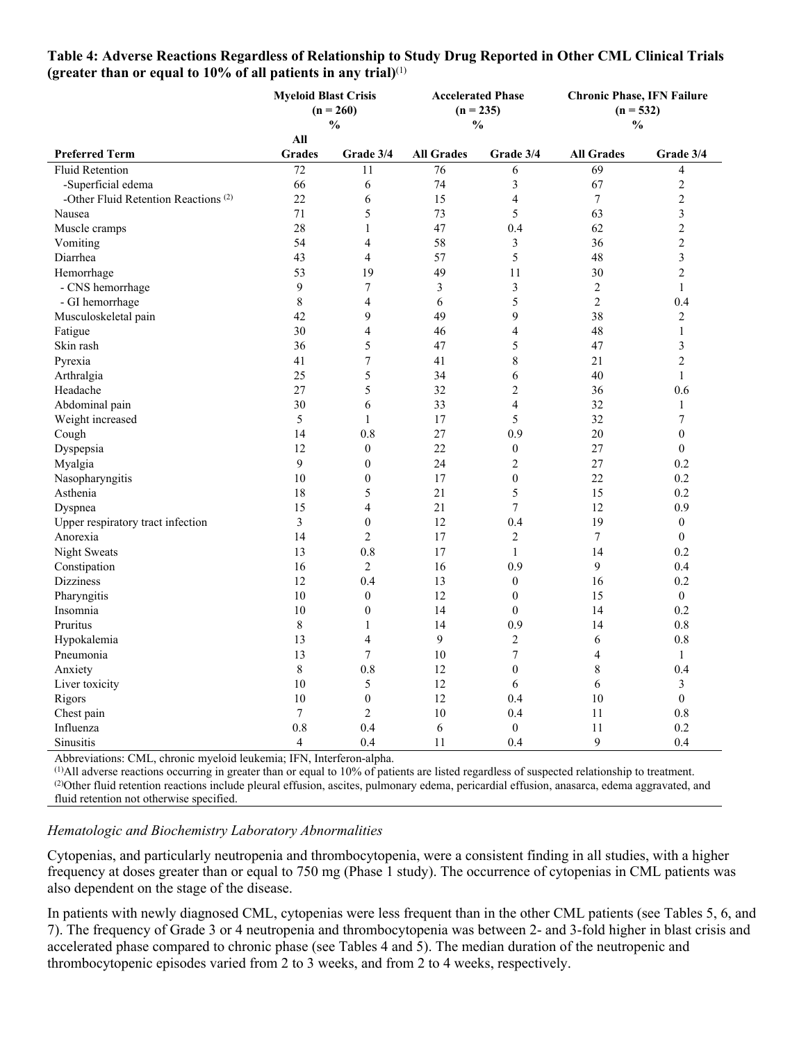|                                                 | <b>Myeloid Blast Crisis</b><br>$(n = 260)$<br>$\frac{0}{0}$ |              | <b>Accelerated Phase</b><br>$(n = 235)$<br>$\frac{0}{0}$ |              | <b>Chronic Phase, IFN Failure</b><br>$(n = 532)$<br>$\frac{0}{0}$ |                         |
|-------------------------------------------------|-------------------------------------------------------------|--------------|----------------------------------------------------------|--------------|-------------------------------------------------------------------|-------------------------|
|                                                 | All                                                         |              |                                                          |              |                                                                   |                         |
| <b>Preferred Term</b>                           | <b>Grades</b>                                               | Grade 3/4    | <b>All Grades</b>                                        | Grade 3/4    | <b>All Grades</b>                                                 | Grade 3/4               |
| <b>Fluid Retention</b>                          | 72                                                          | 11           | 76                                                       | 6            | 69                                                                | 4                       |
| -Superficial edema                              | 66                                                          | 6            | 74                                                       | 3            | 67                                                                | $\overline{c}$          |
| -Other Fluid Retention Reactions <sup>(2)</sup> | 22                                                          | 6            | 15                                                       | 4            | 7                                                                 | $\overline{c}$          |
| Nausea                                          | 71                                                          | 5            | 73                                                       | 5            | 63                                                                | $\mathfrak{Z}$          |
| Muscle cramps                                   | 28                                                          |              | 47                                                       | 0.4          | 62                                                                | $\overline{c}$          |
| Vomiting                                        | 54                                                          | 4            | 58                                                       | 3            | 36                                                                | $\overline{c}$          |
| Diarrhea                                        | 43                                                          | 4            | 57                                                       | 5            | 48                                                                | $\overline{\mathbf{3}}$ |
| Hemorrhage                                      | 53                                                          | 19           | 49                                                       | 11           | 30                                                                | $\overline{c}$          |
| - CNS hemorrhage                                | 9                                                           | 7            | 3                                                        | 3            | 2                                                                 | 1                       |
| - GI hemorrhage                                 | 8                                                           | 4            | 6                                                        | 5            | 2                                                                 | 0.4                     |
| Musculoskeletal pain                            | 42                                                          | 9            | 49                                                       | 9            | 38                                                                | $\overline{c}$          |
| Fatigue                                         | 30                                                          | 4            | 46                                                       | 4            | 48                                                                | 1                       |
| Skin rash                                       | 36                                                          | 5            | 47                                                       | 5            | 47                                                                | $\mathfrak{Z}$          |
| Pyrexia                                         | 41                                                          |              | 41                                                       | 8            | 21                                                                | $\overline{c}$          |
| Arthralgia                                      | 25                                                          | 5            | 34                                                       | 6            | 40                                                                |                         |
| Headache                                        | 27                                                          | 5            | 32                                                       | 2            | 36                                                                | 0.6                     |
| Abdominal pain                                  | 30                                                          | 6            | 33                                                       | 4            | 32                                                                | 1                       |
| Weight increased                                | 5                                                           |              | 17                                                       | 5            | 32                                                                |                         |
| Cough                                           | 14                                                          | 0.8          | 27                                                       | 0.9          | 20                                                                | $\mathbf{0}$            |
| Dyspepsia                                       | 12                                                          | $\mathbf{0}$ | 22                                                       | $\mathbf{0}$ | 27                                                                | $\theta$                |
| Myalgia                                         | 9                                                           | 0            | 24                                                       | 2            | 27                                                                | 0.2                     |
| Nasopharyngitis                                 | 10                                                          | 0            | 17                                                       | $\theta$     | 22                                                                | 0.2                     |
| Asthenia                                        | 18                                                          | 5            | 21                                                       | 5            | 15                                                                | 0.2                     |
| Dyspnea                                         | 15                                                          | 4            | 21                                                       | 7            | 12                                                                | 0.9                     |

Upper respiratory tract infection 3 0 12 0.4 19 0 Anorexia 14 2 17 2 7 0 Night Sweats 13 0.8 17 1 14 0.2 Constipation 16 16 2 16 0.9 9 0.4 Dizziness 12 0.4 13 0 16 0.2 Pharyngitis 10 0 12 0 15 0 Insomnia 10 0 14 0 14 0.2 Pruritus 14 0.9 14 0.8 Hypokalemia 13  $4$  9 2 6 0.8 Pneumonia 13 13 7 10 7 4 1 Anxiety 8 0.8 12 0 8 0.4 Liver toxicity  $10 \t 5 \t 12 \t 6 \t 6 \t 3$ Rigors 6 10 10 0  $12$  0.4 10 0 Chest pain  $\frac{7}{7}$   $\frac{2}{10}$   $\frac{10}{11}$   $\frac{0.8}{11}$   $\frac{0.8}{11}$ Influenza 10.8 0.4 6 0 11 0.2 Sinusitis 4 0.4 11 0.4 9 0.4

# **Table 4: Adverse Reactions Regardless of Relationship to Study Drug Reported in Other CML Clinical Trials**

Abbreviations: CML, chronic myeloid leukemia; IFN, Interferon-alpha.

(1)All adverse reactions occurring in greater than or equal to 10% of patients are listed regardless of suspected relationship to treatment. (2)Other fluid retention reactions include pleural effusion, ascites, pulmonary edema, pericardial effusion, anasarca, edema aggravated, and fluid retention not otherwise specified.

### *Hematologic and Biochemistry Laboratory Abnormalities*

Cytopenias, and particularly neutropenia and thrombocytopenia, were a consistent finding in all studies, with a higher frequency at doses greater than or equal to 750 mg (Phase 1 study). The occurrence of cytopenias in CML patients was also dependent on the stage of the disease.

In patients with newly diagnosed CML, cytopenias were less frequent than in the other CML patients (see Tables 5, 6, and 7). The frequency of Grade 3 or 4 neutropenia and thrombocytopenia was between 2- and 3-fold higher in blast crisis and accelerated phase compared to chronic phase (see Tables 4 and 5). The median duration of the neutropenic and thrombocytopenic episodes varied from 2 to 3 weeks, and from 2 to 4 weeks, respectively.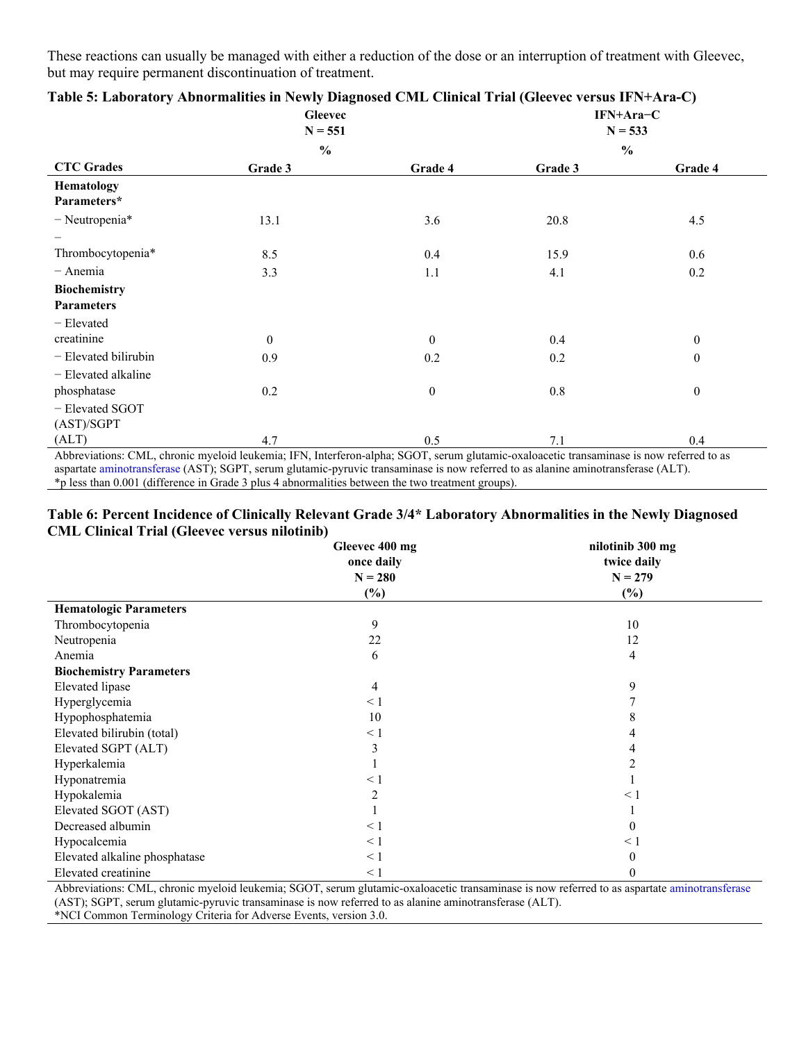These reactions can usually be managed with either a reduction of the dose or an interruption of treatment with Gleevec, but may require permanent discontinuation of treatment.

|                                                                                                                                                                                                                                                                              | <b>Gleevec</b><br>$N = 551$ |              |               | IFN+Ara-C<br>$N = 533$ |
|------------------------------------------------------------------------------------------------------------------------------------------------------------------------------------------------------------------------------------------------------------------------------|-----------------------------|--------------|---------------|------------------------|
|                                                                                                                                                                                                                                                                              | $\frac{0}{0}$               |              | $\frac{0}{0}$ |                        |
| <b>CTC Grades</b>                                                                                                                                                                                                                                                            | Grade 3                     | Grade 4      | Grade 3       | Grade 4                |
| Hematology                                                                                                                                                                                                                                                                   |                             |              |               |                        |
| Parameters*                                                                                                                                                                                                                                                                  |                             |              |               |                        |
| $-$ Neutropenia*                                                                                                                                                                                                                                                             | 13.1                        | 3.6          | 20.8          | 4.5                    |
|                                                                                                                                                                                                                                                                              |                             |              |               |                        |
| Thrombocytopenia*                                                                                                                                                                                                                                                            | 8.5                         | 0.4          | 15.9          | 0.6                    |
| $-$ Anemia                                                                                                                                                                                                                                                                   | 3.3                         | 1.1          | 4.1           | 0.2                    |
| <b>Biochemistry</b>                                                                                                                                                                                                                                                          |                             |              |               |                        |
| <b>Parameters</b>                                                                                                                                                                                                                                                            |                             |              |               |                        |
| - Elevated                                                                                                                                                                                                                                                                   |                             |              |               |                        |
| creatinine                                                                                                                                                                                                                                                                   | $\theta$                    | $\mathbf{0}$ | 0.4           | $\mathbf{0}$           |
| - Elevated bilirubin                                                                                                                                                                                                                                                         | 0.9                         | 0.2          | 0.2           | $\theta$               |
| - Elevated alkaline                                                                                                                                                                                                                                                          |                             |              |               |                        |
| phosphatase                                                                                                                                                                                                                                                                  | 0.2                         | $\theta$     | 0.8           | $\boldsymbol{0}$       |
| - Elevated SGOT                                                                                                                                                                                                                                                              |                             |              |               |                        |
| (AST)/SGPT                                                                                                                                                                                                                                                                   |                             |              |               |                        |
| (ALT)                                                                                                                                                                                                                                                                        | 4.7                         | 0.5          | 7.1           | 0.4                    |
| Abbreviations: CML, chronic myeloid leukemia; IFN, Interferon-alpha; SGOT, serum glutamic-oxaloacetic transaminase is now referred to as<br>aspartate aminotransferase (AST); SGPT, serum glutamic-pyruvic transaminase is now referred to as alanine aminotransferase (ALT) |                             |              |               |                        |

|  |  | Table 5: Laboratory Abnormalities in Newly Diagnosed CML Clinical Trial (Gleevec versus IFN+Ara-C) |
|--|--|----------------------------------------------------------------------------------------------------|
|  |  |                                                                                                    |

tamic-pyruvic transaminase is now referred to as alanine [aminotransferase](https://www.bing.com/search?q=Transaminase&filters=sid%3a96070b43-272a-d731-a07f-939d2112f6a9&form=ENTLNK) (ALT). \*p less than 0.001 (difference in Grade 3 plus 4 abnormalities between the two treatment groups).

### **Table 6: Percent Incidence of Clinically Relevant Grade 3/4\* Laboratory Abnormalities in the Newly Diagnosed CML Clinical Trial (Gleevec versus nilotinib)**

|                                | Gleevec 400 mg<br>once daily | nilotinib 300 mg<br>twice daily |
|--------------------------------|------------------------------|---------------------------------|
|                                | $N = 280$                    | $N = 279$                       |
|                                | $(\%)$                       | $(\%)$                          |
| <b>Hematologic Parameters</b>  |                              |                                 |
| Thrombocytopenia               | 9                            | 10                              |
| Neutropenia                    | 22                           | 12                              |
| Anemia                         | 6                            | 4                               |
| <b>Biochemistry Parameters</b> |                              |                                 |
| <b>Elevated</b> lipase         | 4                            | 9                               |
| Hyperglycemia                  | $\leq 1$                     |                                 |
| Hypophosphatemia               | 10                           |                                 |
| Elevated bilirubin (total)     | $\leq 1$                     |                                 |
| Elevated SGPT (ALT)            | 3                            |                                 |
| Hyperkalemia                   |                              |                                 |
| Hyponatremia                   | $\leq 1$                     |                                 |
| Hypokalemia                    | $\overline{c}$               | $\leq 1$                        |
| Elevated SGOT (AST)            |                              |                                 |
| Decreased albumin              | $\leq 1$                     | $\theta$                        |
| Hypocalcemia                   | $\leq 1$                     | $\leq 1$                        |
| Elevated alkaline phosphatase  | $\leq 1$                     | $\Omega$                        |
| Elevated creatinine            | $\leq 1$                     | $\theta$                        |

Abbreviations: CML, chronic myeloid leukemia; SGOT, serum glutamic-oxaloacetic transaminase is now referred to as aspartate [aminotransferase](https://www.bing.com/search?q=Transaminase&filters=sid%3a96070b43-272a-d731-a07f-939d2112f6a9&form=ENTLNK) (AST); SGPT, serum glutamic-pyruvic transaminase is now referred to as alanine aminotransferase (ALT).

\*NCI Common Terminology Criteria for Adverse Events, version 3.0.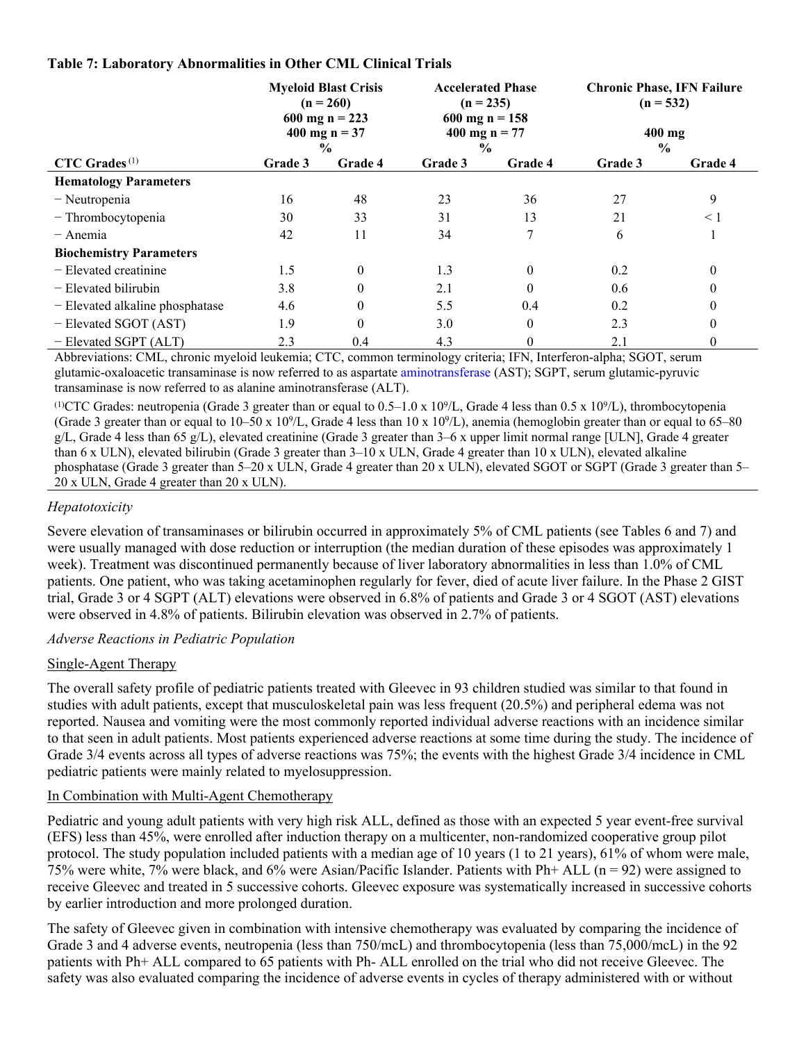### **Table 7: Laboratory Abnormalities in Other CML Clinical Trials**

|                                 |                | <b>Myeloid Blast Crisis</b><br><b>Accelerated Phase</b><br>$(n = 235)$<br>$(n = 260)$<br>600 mg n = 223<br>$600$ mg n = 158<br>400 mg $n = 37$<br>400 mg n = $77$<br>$\frac{0}{0}$<br>$\frac{0}{0}$ |         |          | <b>Chronic Phase, IFN Failure</b><br>$(n = 532)$<br>$400$ mg<br>$\frac{0}{0}$ |          |
|---------------------------------|----------------|-----------------------------------------------------------------------------------------------------------------------------------------------------------------------------------------------------|---------|----------|-------------------------------------------------------------------------------|----------|
| $CTC$ Grades <sup>(1)</sup>     | <b>Grade 3</b> | Grade 4                                                                                                                                                                                             | Grade 3 | Grade 4  | Grade 3                                                                       | Grade 4  |
| <b>Hematology Parameters</b>    |                |                                                                                                                                                                                                     |         |          |                                                                               |          |
| - Neutropenia                   | 16             | 48                                                                                                                                                                                                  | 23      | 36       | 27                                                                            | 9        |
| - Thrombocytopenia              | 30             | 33                                                                                                                                                                                                  | 31      | 13       | 21                                                                            | $\leq 1$ |
| $-$ Anemia                      | 42             | 11                                                                                                                                                                                                  | 34      | 7        | 6                                                                             |          |
| <b>Biochemistry Parameters</b>  |                |                                                                                                                                                                                                     |         |          |                                                                               |          |
| $-$ Elevated creatinine         | 1.5            | $\theta$                                                                                                                                                                                            | 1.3     | $\theta$ | 0.2                                                                           | $\theta$ |
| - Elevated bilirubin            | 3.8            | $\theta$                                                                                                                                                                                            | 2.1     | $\Omega$ | 0.6                                                                           | $\theta$ |
| - Elevated alkaline phosphatase | 4.6            | $\theta$                                                                                                                                                                                            | 5.5     | 0.4      | 0.2                                                                           | $\theta$ |
| - Elevated SGOT (AST)           | 1.9            | $\theta$                                                                                                                                                                                            | 3.0     | $\theta$ | 2.3                                                                           | $\theta$ |
| - Elevated SGPT (ALT)           | 2.3            | 0.4                                                                                                                                                                                                 | 4.3     | 0        | 2.1                                                                           | $\theta$ |

Abbreviations: CML, chronic myeloid leukemia; CTC, common terminology criteria; IFN, Interferon-alpha; SGOT, serum glutamic-oxaloacetic transaminase is now referred to as aspartate [aminotransferase](https://www.bing.com/search?q=Transaminase&filters=sid%3a96070b43-272a-d731-a07f-939d2112f6a9&form=ENTLNK) (AST); SGPT, serum glutamic-pyruvic transaminase is now referred to as alanine aminotransferase (ALT).

<sup>(1)</sup>CTC Grades: neutropenia (Grade 3 greater than or equal to  $0.5-1.0 \times 10^9$ /L, Grade 4 less than  $0.5 \times 10^9$ /L), thrombocytopenia (Grade 3 greater than or equal to  $10-50 \times 10^9$ /L, Grade 4 less than  $10 \times 10^9$ /L), anemia (hemoglobin greater than or equal to 65–80  $g/L$ , Grade 4 less than 65  $g/L$ ), elevated creatinine (Grade 3 greater than 3–6 x upper limit normal range [ULN], Grade 4 greater than 6 x ULN), elevated bilirubin (Grade 3 greater than 3–10 x ULN, Grade 4 greater than 10 x ULN), elevated alkaline phosphatase (Grade 3 greater than 5–20 x ULN, Grade 4 greater than 20 x ULN), elevated SGOT or SGPT (Grade 3 greater than 5– 20 x ULN, Grade 4 greater than 20 x ULN).

### *Hepatotoxicity*

Severe elevation of transaminases or bilirubin occurred in approximately 5% of CML patients (see Tables 6 and 7) and were usually managed with dose reduction or interruption (the median duration of these episodes was approximately 1 week). Treatment was discontinued permanently because of liver laboratory abnormalities in less than 1.0% of CML patients. One patient, who was taking acetaminophen regularly for fever, died of acute liver failure. In the Phase 2 GIST trial, Grade 3 or 4 SGPT (ALT) elevations were observed in 6.8% of patients and Grade 3 or 4 SGOT (AST) elevations were observed in 4.8% of patients. Bilirubin elevation was observed in 2.7% of patients.

### *Adverse Reactions in Pediatric Population*

### Single-Agent Therapy

The overall safety profile of pediatric patients treated with Gleevec in 93 children studied was similar to that found in studies with adult patients, except that musculoskeletal pain was less frequent (20.5%) and peripheral edema was not reported. Nausea and vomiting were the most commonly reported individual adverse reactions with an incidence similar to that seen in adult patients. Most patients experienced adverse reactions at some time during the study. The incidence of Grade 3/4 events across all types of adverse reactions was 75%; the events with the highest Grade 3/4 incidence in CML pediatric patients were mainly related to myelosuppression.

### In Combination with Multi-Agent Chemotherapy

Pediatric and young adult patients with very high risk ALL, defined as those with an expected 5 year event-free survival (EFS) less than 45%, were enrolled after induction therapy on a multicenter, non-randomized cooperative group pilot protocol. The study population included patients with a median age of 10 years (1 to 21 years), 61% of whom were male, 75% were white, 7% were black, and 6% were Asian/Pacific Islander. Patients with Ph+ ALL (n = 92) were assigned to receive Gleevec and treated in 5 successive cohorts. Gleevec exposure was systematically increased in successive cohorts by earlier introduction and more prolonged duration.

The safety of Gleevec given in combination with intensive chemotherapy was evaluated by comparing the incidence of Grade 3 and 4 adverse events, neutropenia (less than 750/mcL) and thrombocytopenia (less than 75,000/mcL) in the 92 patients with Ph+ ALL compared to 65 patients with Ph- ALL enrolled on the trial who did not receive Gleevec. The safety was also evaluated comparing the incidence of adverse events in cycles of therapy administered with or without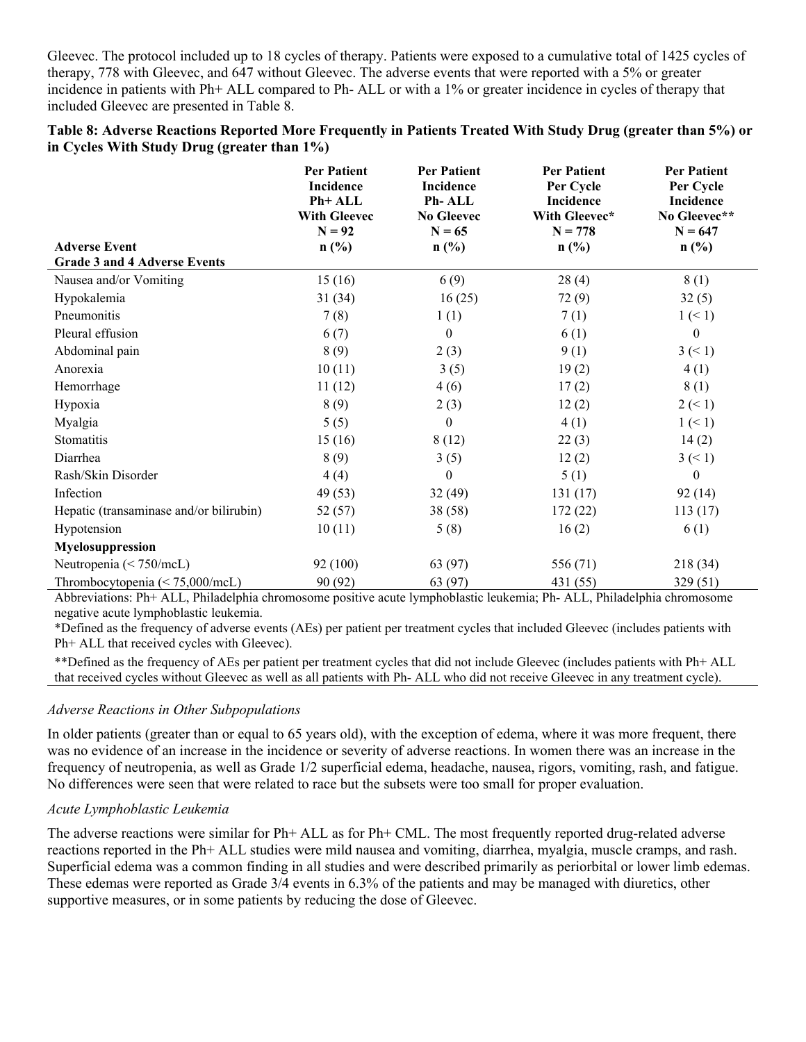Gleevec. The protocol included up to 18 cycles of therapy. Patients were exposed to a cumulative total of 1425 cycles of therapy, 778 with Gleevec, and 647 without Gleevec. The adverse events that were reported with a 5% or greater incidence in patients with Ph+ ALL compared to Ph- ALL or with a 1% or greater incidence in cycles of therapy that included Gleevec are presented in Table 8.

### **Table 8: Adverse Reactions Reported More Frequently in Patients Treated With Study Drug (greater than 5%) or in Cycles With Study Drug (greater than 1%)**

|                                         | <b>Per Patient</b><br>Incidence<br>Ph+ ALL<br><b>With Gleevec</b><br>$N = 92$ | <b>Per Patient</b><br>Incidence<br>Ph-ALL<br><b>No Gleevec</b><br>$N = 65$ | <b>Per Patient</b><br>Per Cycle<br>Incidence<br>With Gleevec*<br>$N = 778$ | <b>Per Patient</b><br>Per Cycle<br>Incidence<br>No Gleevec**<br>$N = 647$ |
|-----------------------------------------|-------------------------------------------------------------------------------|----------------------------------------------------------------------------|----------------------------------------------------------------------------|---------------------------------------------------------------------------|
| <b>Adverse Event</b>                    | n(%)                                                                          | $n\left(\frac{0}{0}\right)$                                                | $n\left(\frac{0}{0}\right)$                                                | $n\left(\frac{0}{0}\right)$                                               |
| <b>Grade 3 and 4 Adverse Events</b>     |                                                                               |                                                                            |                                                                            |                                                                           |
| Nausea and/or Vomiting                  | 15(16)                                                                        | 6(9)                                                                       | 28(4)                                                                      | 8(1)                                                                      |
| Hypokalemia                             | 31 (34)                                                                       | 16(25)                                                                     | 72(9)                                                                      | 32(5)                                                                     |
| Pneumonitis                             | 7(8)                                                                          | 1(1)                                                                       | 7(1)                                                                       | $1 \leq 1$                                                                |
| Pleural effusion                        | 6(7)                                                                          | $\mathbf{0}$                                                               | 6(1)                                                                       | $\mathbf{0}$                                                              |
| Abdominal pain                          | 8(9)                                                                          | 2(3)                                                                       | 9(1)                                                                       | $3 \leq 1$                                                                |
| Anorexia                                | 10(11)                                                                        | 3(5)                                                                       | 19(2)                                                                      | 4(1)                                                                      |
| Hemorrhage                              | 11(12)                                                                        | 4(6)                                                                       | 17(2)                                                                      | 8(1)                                                                      |
| Hypoxia                                 | 8(9)                                                                          | 2(3)                                                                       | 12(2)                                                                      | $2 \le 1$                                                                 |
| Myalgia                                 | 5(5)                                                                          | $\mathbf{0}$                                                               | 4(1)                                                                       | $1 \leq 1$                                                                |
| Stomatitis                              | 15(16)                                                                        | 8(12)                                                                      | 22(3)                                                                      | 14(2)                                                                     |
| Diarrhea                                | 8(9)                                                                          | 3(5)                                                                       | 12(2)                                                                      | $3 \leq 1$                                                                |
| Rash/Skin Disorder                      | 4(4)                                                                          | $\theta$                                                                   | 5(1)                                                                       | $\theta$                                                                  |
| Infection                               | 49 (53)                                                                       | 32(49)                                                                     | 131(17)                                                                    | 92(14)                                                                    |
| Hepatic (transaminase and/or bilirubin) | 52 (57)                                                                       | 38(58)                                                                     | 172(22)                                                                    | 113(17)                                                                   |
| Hypotension                             | 10(11)                                                                        | 5(8)                                                                       | 16(2)                                                                      | 6(1)                                                                      |
| Myelosuppression                        |                                                                               |                                                                            |                                                                            |                                                                           |
| Neutropenia (< 750/mcL)                 | 92 (100)                                                                      | 63 (97)                                                                    | 556 (71)                                                                   | 218 (34)                                                                  |
| Thrombocytopenia $(< 75,000$ /mcL)      | 90 (92)                                                                       | 63 (97)                                                                    | 431 (55)                                                                   | 329 (51)                                                                  |

Abbreviations: Ph+ ALL, Philadelphia chromosome positive acute lymphoblastic leukemia; Ph- ALL, Philadelphia chromosome negative acute lymphoblastic leukemia.

\*Defined as the frequency of adverse events (AEs) per patient per treatment cycles that included Gleevec (includes patients with Ph+ ALL that received cycles with Gleevec).

\*\*Defined as the frequency of AEs per patient per treatment cycles that did not include Gleevec (includes patients with Ph+ ALL that received cycles without Gleevec as well as all patients with Ph- ALL who did not receive Gleevec in any treatment cycle).

### *Adverse Reactions in Other Subpopulations*

In older patients (greater than or equal to 65 years old), with the exception of edema, where it was more frequent, there was no evidence of an increase in the incidence or severity of adverse reactions. In women there was an increase in the frequency of neutropenia, as well as Grade 1/2 superficial edema, headache, nausea, rigors, vomiting, rash, and fatigue. No differences were seen that were related to race but the subsets were too small for proper evaluation.

### *Acute Lymphoblastic Leukemia*

The adverse reactions were similar for Ph+ ALL as for Ph+ CML. The most frequently reported drug-related adverse reactions reported in the Ph+ ALL studies were mild nausea and vomiting, diarrhea, myalgia, muscle cramps, and rash. Superficial edema was a common finding in all studies and were described primarily as periorbital or lower limb edemas. These edemas were reported as Grade 3/4 events in 6.3% of the patients and may be managed with diuretics, other supportive measures, or in some patients by reducing the dose of Gleevec.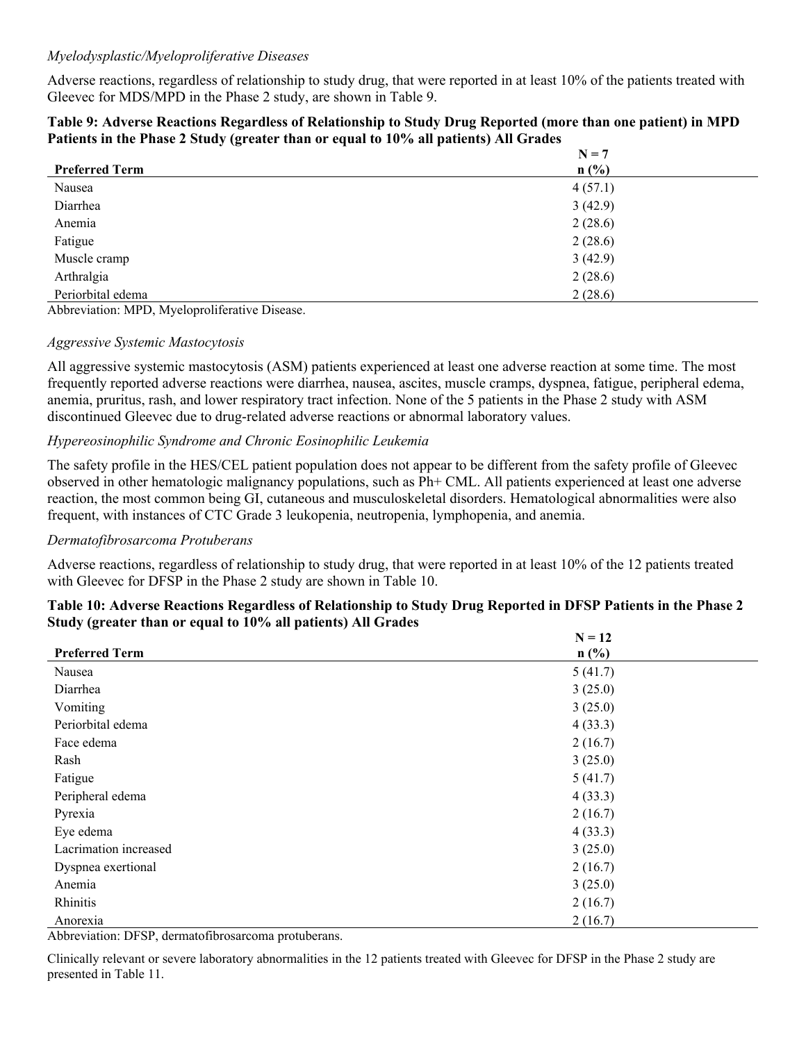### *Myelodysplastic/Myeloproliferative Diseases*

Adverse reactions, regardless of relationship to study drug, that were reported in at least 10% of the patients treated with Gleevec for MDS/MPD in the Phase 2 study, are shown in Table 9.

| Table 9: Adverse Reactions Regardless of Relationship to Study Drug Reported (more than one patient) in MPD |
|-------------------------------------------------------------------------------------------------------------|
| Patients in the Phase 2 Study (greater than or equal to 10% all patients) All Grades                        |

|                       | $N = 7$ |  |
|-----------------------|---------|--|
| <b>Preferred Term</b> | $n$ (%) |  |
| Nausea                | 4(57.1) |  |
| Diarrhea              | 3(42.9) |  |
| Anemia                | 2(28.6) |  |
| Fatigue               | 2(28.6) |  |
| Muscle cramp          | 3(42.9) |  |
| Arthralgia            | 2(28.6) |  |
| Periorbital edema     | 2(28.6) |  |

Abbreviation: MPD, Myeloproliferative Disease.

#### *Aggressive Systemic Mastocytosis*

All aggressive systemic mastocytosis (ASM) patients experienced at least one adverse reaction at some time. The most frequently reported adverse reactions were diarrhea, nausea, ascites, muscle cramps, dyspnea, fatigue, peripheral edema, anemia, pruritus, rash, and lower respiratory tract infection. None of the 5 patients in the Phase 2 study with ASM discontinued Gleevec due to drug-related adverse reactions or abnormal laboratory values.

### *Hypereosinophilic Syndrome and Chronic Eosinophilic Leukemia*

The safety profile in the HES/CEL patient population does not appear to be different from the safety profile of Gleevec observed in other hematologic malignancy populations, such as Ph+ CML. All patients experienced at least one adverse reaction, the most common being GI, cutaneous and musculoskeletal disorders. Hematological abnormalities were also frequent, with instances of CTC Grade 3 leukopenia, neutropenia, lymphopenia, and anemia.

### *Dermatofibrosarcoma Protuberans*

Adverse reactions, regardless of relationship to study drug, that were reported in at least 10% of the 12 patients treated with Gleevec for DFSP in the Phase 2 study are shown in Table 10.

### **Table 10: Adverse Reactions Regardless of Relationship to Study Drug Reported in DFSP Patients in the Phase 2 Study (greater than or equal to 10% all patients) All Grades**

|                       | $N = 12$ |
|-----------------------|----------|
| <b>Preferred Term</b> | $n$ (%)  |
| Nausea                | 5(41.7)  |
| Diarrhea              | 3(25.0)  |
| Vomiting              | 3(25.0)  |
| Periorbital edema     | 4(33.3)  |
| Face edema            | 2(16.7)  |
| Rash                  | 3(25.0)  |
| Fatigue               | 5(41.7)  |
| Peripheral edema      | 4(33.3)  |
| Pyrexia               | 2(16.7)  |
| Eye edema             | 4(33.3)  |
| Lacrimation increased | 3(25.0)  |
| Dyspnea exertional    | 2(16.7)  |
| Anemia                | 3(25.0)  |
| Rhinitis              | 2(16.7)  |
| Anorexia              | 2(16.7)  |

Abbreviation: DFSP, dermatofibrosarcoma protuberans.

Clinically relevant or severe laboratory abnormalities in the 12 patients treated with Gleevec for DFSP in the Phase 2 study are presented in Table 11.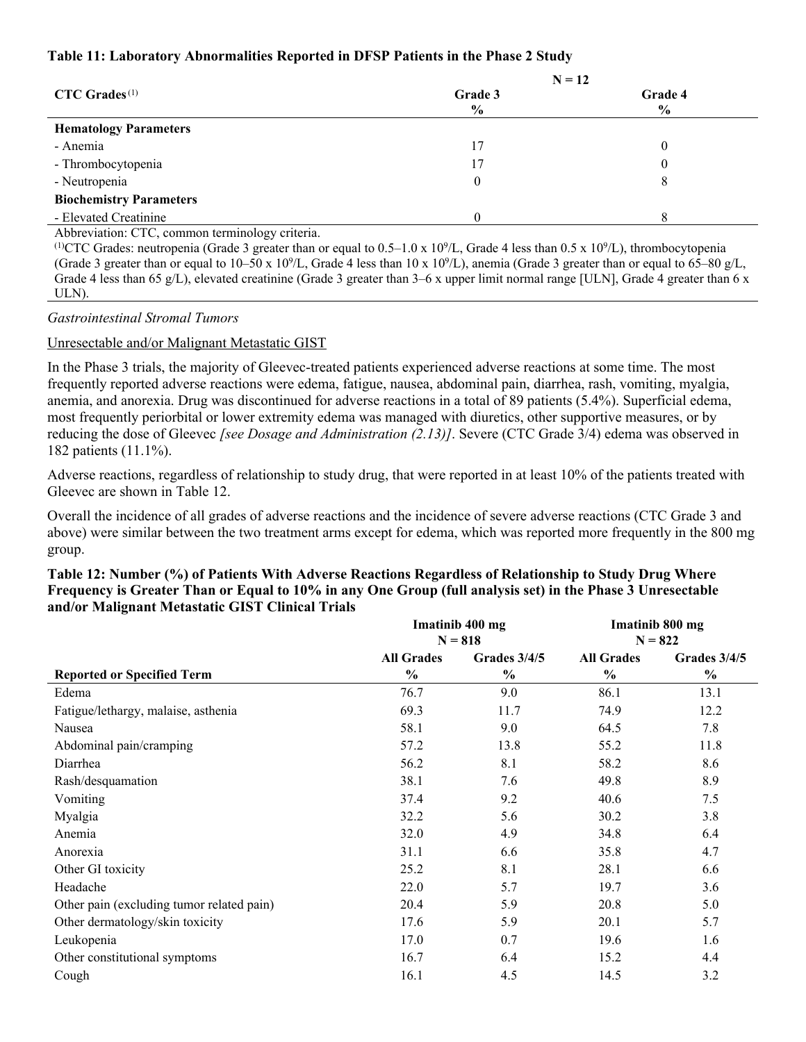### **Table 11: Laboratory Abnormalities Reported in DFSP Patients in the Phase 2 Study**

|                                | $N = 12$ |         |  |  |
|--------------------------------|----------|---------|--|--|
| $CTC$ Grades <sup>(1)</sup>    | Grade 3  | Grade 4 |  |  |
|                                | $\%$     | $\%$    |  |  |
| <b>Hematology Parameters</b>   |          |         |  |  |
| - Anemia                       | 17       |         |  |  |
| - Thrombocytopenia             | 17       |         |  |  |
| - Neutropenia                  | $\theta$ | ð       |  |  |
| <b>Biochemistry Parameters</b> |          |         |  |  |
| - Elevated Creatinine          |          |         |  |  |

Abbreviation: CTC, common terminology criteria.

<sup>(1)</sup>CTC Grades: neutropenia (Grade 3 greater than or equal to  $0.5-1.0 \times 10^9$ /L, Grade 4 less than  $0.5 \times 10^9$ /L), thrombocytopenia (Grade 3 greater than or equal to  $10-50 \times 10^{9}/L$ , Grade 4 less than  $10 \times 10^{9}/L$ ), anemia (Grade 3 greater than or equal to 65–80 g/L, Grade 4 less than 65 g/L), elevated creatinine (Grade 3 greater than 3–6 x upper limit normal range [ULN], Grade 4 greater than 6 x ULN).

*Gastrointestinal Stromal Tumors*

### Unresectable and/or Malignant Metastatic GIST

In the Phase 3 trials, the majority of Gleevec-treated patients experienced adverse reactions at some time. The most frequently reported adverse reactions were edema, fatigue, nausea, abdominal pain, diarrhea, rash, vomiting, myalgia, anemia, and anorexia. Drug was discontinued for adverse reactions in a total of 89 patients (5.4%). Superficial edema, most frequently periorbital or lower extremity edema was managed with diuretics, other supportive measures, or by reducing the dose of Gleevec *[see Dosage and Administration (2.13)]*. Severe (CTC Grade 3/4) edema was observed in 182 patients (11.1%).

Adverse reactions, regardless of relationship to study drug, that were reported in at least 10% of the patients treated with Gleevec are shown in Table 12.

Overall the incidence of all grades of adverse reactions and the incidence of severe adverse reactions (CTC Grade 3 and above) were similar between the two treatment arms except for edema, which was reported more frequently in the 800 mg group.

| Imatinib 400 mg |                   |                             | Imatinib 800 mg                |
|-----------------|-------------------|-----------------------------|--------------------------------|
|                 |                   |                             | Grades $3/4/5$                 |
| $\frac{6}{6}$   | $\frac{0}{0}$     | $\frac{6}{6}$               | $\frac{6}{6}$                  |
| 76.7            | 9.0               | 86.1                        | 13.1                           |
| 69.3            | 11.7              | 74.9                        | 12.2                           |
| 58.1            | 9.0               | 64.5                        | 7.8                            |
| 57.2            | 13.8              | 55.2                        | 11.8                           |
| 56.2            | 8.1               | 58.2                        | 8.6                            |
| 38.1            | 7.6               | 49.8                        | 8.9                            |
| 37.4            | 9.2               | 40.6                        | 7.5                            |
| 32.2            | 5.6               | 30.2                        | 3.8                            |
| 32.0            | 4.9               | 34.8                        | 6.4                            |
| 31.1            | 6.6               | 35.8                        | 4.7                            |
| 25.2            | 8.1               | 28.1                        | 6.6                            |
| 22.0            | 5.7               | 19.7                        | 3.6                            |
| 20.4            | 5.9               | 20.8                        | 5.0                            |
| 17.6            | 5.9               | 20.1                        | 5.7                            |
| 17.0            | 0.7               | 19.6                        | 1.6                            |
| 16.7            | 6.4               | 15.2                        | 4.4                            |
| 16.1            | 4.5               | 14.5                        | 3.2                            |
|                 | <b>All Grades</b> | $N = 818$<br>Grades $3/4/5$ | $N = 822$<br><b>All Grades</b> |

### **Table 12: Number (%) of Patients With Adverse Reactions Regardless of Relationship to Study Drug Where Frequency is Greater Than or Equal to 10% in any One Group (full analysis set) in the Phase 3 Unresectable and/or Malignant Metastatic GIST Clinical Trials**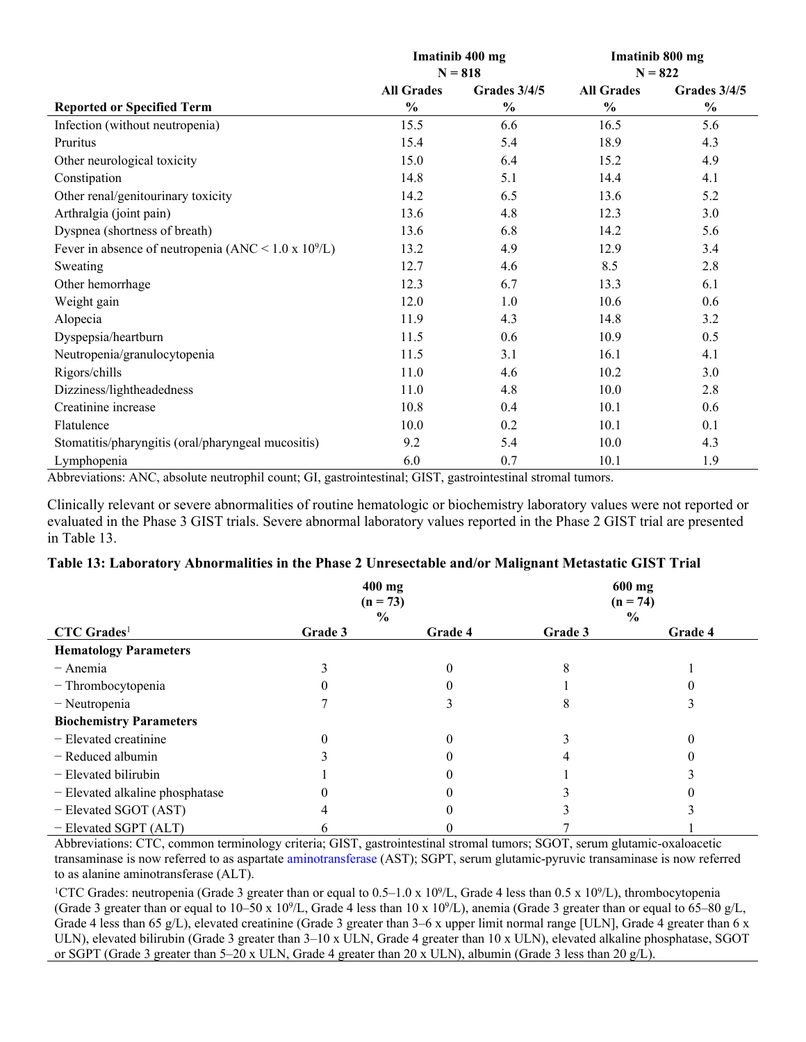|                                                              | Imatinib 400 mg<br>$N = 818$ |               | Imatinib 800 mg<br>$N = 822$ |               |
|--------------------------------------------------------------|------------------------------|---------------|------------------------------|---------------|
|                                                              | <b>All Grades</b>            | Grades 3/4/5  | <b>All Grades</b>            | Grades 3/4/5  |
| <b>Reported or Specified Term</b>                            | $\frac{0}{0}$                | $\frac{0}{0}$ | $\frac{0}{0}$                | $\frac{0}{0}$ |
| Infection (without neutropenia)                              | 15.5                         | 6.6           | 16.5                         | 5.6           |
| Pruritus                                                     | 15.4                         | 5.4           | 18.9                         | 4.3           |
| Other neurological toxicity                                  | 15.0                         | 6.4           | 15.2                         | 4.9           |
| Constipation                                                 | 14.8                         | 5.1           | 14.4                         | 4.1           |
| Other renal/genitourinary toxicity                           | 14.2                         | 6.5           | 13.6                         | 5.2           |
| Arthralgia (joint pain)                                      | 13.6                         | 4.8           | 12.3                         | 3.0           |
| Dyspnea (shortness of breath)                                | 13.6                         | 6.8           | 14.2                         | 5.6           |
| Fever in absence of neutropenia (ANC < $1.0 \times 10^9$ /L) | 13.2                         | 4.9           | 12.9                         | 3.4           |
| Sweating                                                     | 12.7                         | 4.6           | 8.5                          | 2.8           |
| Other hemorrhage                                             | 12.3                         | 6.7           | 13.3                         | 6.1           |
| Weight gain                                                  | 12.0                         | 1.0           | 10.6                         | 0.6           |
| Alopecia                                                     | 11.9                         | 4.3           | 14.8                         | 3.2           |
| Dyspepsia/heartburn                                          | 11.5                         | 0.6           | 10.9                         | 0.5           |
| Neutropenia/granulocytopenia                                 | 11.5                         | 3.1           | 16.1                         | 4.1           |
| Rigors/chills                                                | 11.0                         | 4.6           | 10.2                         | 3.0           |
| Dizziness/lightheadedness                                    | 11.0                         | 4.8           | 10.0                         | 2.8           |
| Creatinine increase                                          | 10.8                         | 0.4           | 10.1                         | 0.6           |
| Flatulence                                                   | 10.0                         | 0.2           | 10.1                         | 0.1           |
| Stomatitis/pharyngitis (oral/pharyngeal mucositis)           | 9.2                          | 5.4           | 10.0                         | 4.3           |
| Lymphopenia                                                  | 6.0                          | 0.7           | 10.1                         | 1.9           |

Abbreviations: ANC, absolute neutrophil count; GI, gastrointestinal; GIST, gastrointestinal stromal tumors.

Clinically relevant or severe abnormalities of routine hematologic or biochemistry laboratory values were not reported or evaluated in the Phase 3 GIST trials. Severe abnormal laboratory values reported in the Phase 2 GIST trial are presented in Table 13.

#### **Table 13: Laboratory Abnormalities in the Phase 2 Unresectable and/or Malignant Metastatic GIST Trial**

|                                 | 400 mg<br>$(n = 73)$ |         |         | 600 mg<br>$(n = 74)$ |
|---------------------------------|----------------------|---------|---------|----------------------|
|                                 | $\frac{6}{9}$        |         |         | $\frac{6}{9}$        |
| $CTC$ Grades <sup>1</sup>       | Grade 3              | Grade 4 | Grade 3 | Grade 4              |
| <b>Hematology Parameters</b>    |                      |         |         |                      |
| $-$ Anemia                      |                      |         |         |                      |
| - Thrombocytopenia              |                      |         |         |                      |
| - Neutropenia                   |                      |         |         |                      |
| <b>Biochemistry Parameters</b>  |                      |         |         |                      |
| - Elevated creatinine           |                      |         |         |                      |
| $-$ Reduced albumin             |                      |         |         |                      |
| - Elevated bilirubin            |                      |         |         |                      |
| - Elevated alkaline phosphatase |                      |         |         |                      |
| - Elevated SGOT (AST)           |                      |         |         |                      |
| - Elevated SGPT (ALT)           |                      |         |         |                      |

Abbreviations: CTC, common terminology criteria; GIST, gastrointestinal stromal tumors; SGOT, serum glutamic-oxaloacetic transaminase is now referred to as aspartate [aminotransferase](https://www.bing.com/search?q=Transaminase&filters=sid%3a96070b43-272a-d731-a07f-939d2112f6a9&form=ENTLNK) (AST); SGPT, serum glutamic-pyruvic transaminase is now referred to as alanine aminotransferase (ALT).

<sup>1</sup>CTC Grades: neutropenia (Grade 3 greater than or equal to  $0.5-1.0 \times 10^{9}/L$ , Grade 4 less than  $0.5 \times 10^{9}/L$ ), thrombocytopenia (Grade 3 greater than or equal to  $10-50 \times 10^{9}/L$ , Grade 4 less than  $10 \times 10^{9}/L$ ), anemia (Grade 3 greater than or equal to 65–80 g/L, Grade 4 less than 65 g/L), elevated creatinine (Grade 3 greater than 3–6 x upper limit normal range [ULN], Grade 4 greater than 6 x ULN), elevated bilirubin (Grade 3 greater than 3–10 x ULN, Grade 4 greater than 10 x ULN), elevated alkaline phosphatase, SGOT or SGPT (Grade 3 greater than 5–20 x ULN, Grade 4 greater than 20 x ULN), albumin (Grade 3 less than 20 g/L).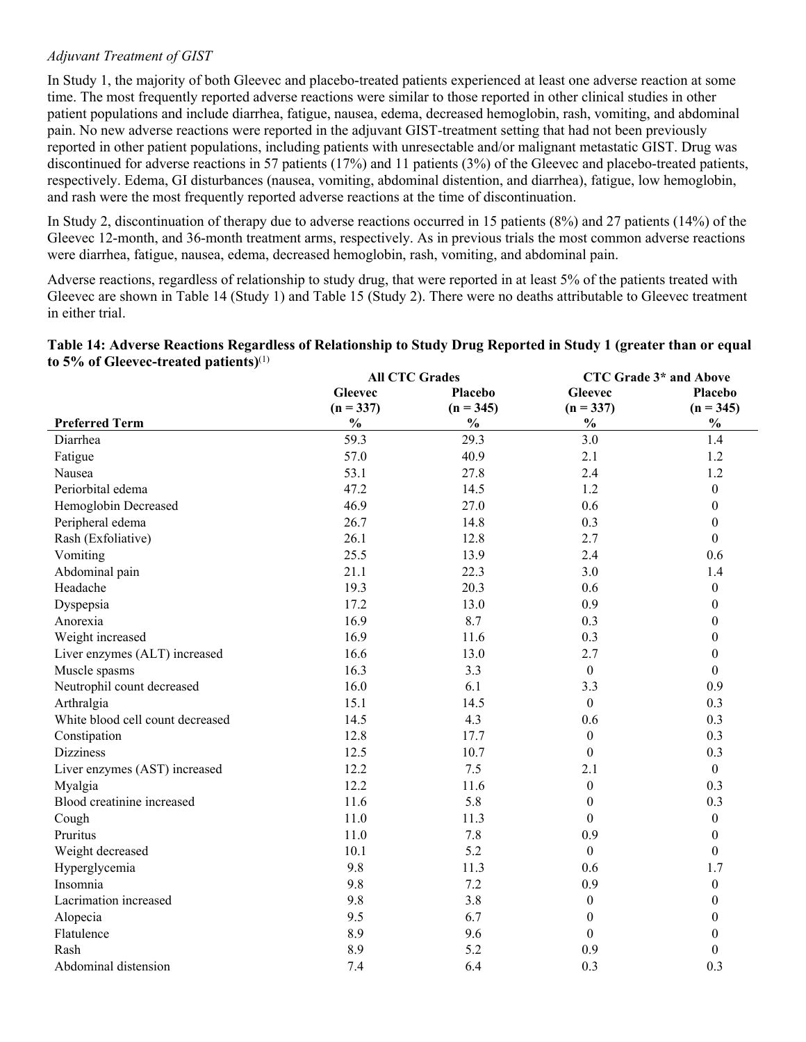### *Adjuvant Treatment of GIST*

In Study 1, the majority of both Gleevec and placebo-treated patients experienced at least one adverse reaction at some time. The most frequently reported adverse reactions were similar to those reported in other clinical studies in other patient populations and include diarrhea, fatigue, nausea, edema, decreased hemoglobin, rash, vomiting, and abdominal pain. No new adverse reactions were reported in the adjuvant GIST-treatment setting that had not been previously reported in other patient populations, including patients with unresectable and/or malignant metastatic GIST. Drug was discontinued for adverse reactions in 57 patients (17%) and 11 patients (3%) of the Gleevec and placebo-treated patients, respectively. Edema, GI disturbances (nausea, vomiting, abdominal distention, and diarrhea), fatigue, low hemoglobin, and rash were the most frequently reported adverse reactions at the time of discontinuation.

In Study 2, discontinuation of therapy due to adverse reactions occurred in 15 patients (8%) and 27 patients (14%) of the Gleevec 12-month, and 36-month treatment arms, respectively. As in previous trials the most common adverse reactions were diarrhea, fatigue, nausea, edema, decreased hemoglobin, rash, vomiting, and abdominal pain.

Adverse reactions, regardless of relationship to study drug, that were reported in at least 5% of the patients treated with Gleevec are shown in Table 14 (Study 1) and Table 15 (Study 2). There were no deaths attributable to Gleevec treatment in either trial.

|                                             | Table 14: Adverse Reactions Regardless of Relationship to Study Drug Reported in Study 1 (greater than or equal |  |  |
|---------------------------------------------|-----------------------------------------------------------------------------------------------------------------|--|--|
| to 5% of Gleevec-treated patients) $^{(1)}$ |                                                                                                                 |  |  |

|                                  | <b>All CTC Grades</b> |                |                  | CTC Grade 3* and Above |
|----------------------------------|-----------------------|----------------|------------------|------------------------|
|                                  | <b>Gleevec</b>        | <b>Placebo</b> | <b>Gleevec</b>   | Placebo                |
|                                  | $(n = 337)$           | $(n = 345)$    | $(n = 337)$      | $(n = 345)$            |
| <b>Preferred Term</b>            | $\frac{0}{0}$         | $\frac{0}{0}$  | $\frac{0}{0}$    | $\frac{0}{0}$          |
| Diarrhea                         | 59.3                  | 29.3           | 3.0              | 1.4                    |
| Fatigue                          | 57.0                  | 40.9           | 2.1              | 1.2                    |
| Nausea                           | 53.1                  | 27.8           | 2.4              | 1.2                    |
| Periorbital edema                | 47.2                  | 14.5           | 1.2              | $\boldsymbol{0}$       |
| Hemoglobin Decreased             | 46.9                  | 27.0           | 0.6              | $\theta$               |
| Peripheral edema                 | 26.7                  | 14.8           | 0.3              | $\theta$               |
| Rash (Exfoliative)               | 26.1                  | 12.8           | 2.7              | $\theta$               |
| Vomiting                         | 25.5                  | 13.9           | 2.4              | 0.6                    |
| Abdominal pain                   | 21.1                  | 22.3           | 3.0              | 1.4                    |
| Headache                         | 19.3                  | 20.3           | 0.6              | $\boldsymbol{0}$       |
| Dyspepsia                        | 17.2                  | 13.0           | 0.9              | $\boldsymbol{0}$       |
| Anorexia                         | 16.9                  | 8.7            | 0.3              | $\boldsymbol{0}$       |
| Weight increased                 | 16.9                  | 11.6           | 0.3              | $\boldsymbol{0}$       |
| Liver enzymes (ALT) increased    | 16.6                  | 13.0           | 2.7              | $\boldsymbol{0}$       |
| Muscle spasms                    | 16.3                  | 3.3            | $\overline{0}$   | $\theta$               |
| Neutrophil count decreased       | 16.0                  | 6.1            | 3.3              | 0.9                    |
| Arthralgia                       | 15.1                  | 14.5           | $\overline{0}$   | 0.3                    |
| White blood cell count decreased | 14.5                  | 4.3            | 0.6              | 0.3                    |
| Constipation                     | 12.8                  | 17.7           | $\mathbf{0}$     | 0.3                    |
| <b>Dizziness</b>                 | 12.5                  | 10.7           | $\mathbf{0}$     | 0.3                    |
| Liver enzymes (AST) increased    | 12.2                  | 7.5            | 2.1              | $\boldsymbol{0}$       |
| Myalgia                          | 12.2                  | 11.6           | $\boldsymbol{0}$ | 0.3                    |
| Blood creatinine increased       | 11.6                  | 5.8            | $\boldsymbol{0}$ | 0.3                    |
| Cough                            | 11.0                  | 11.3           | $\mathbf{0}$     | $\boldsymbol{0}$       |
| Pruritus                         | 11.0                  | 7.8            | 0.9              | $\boldsymbol{0}$       |
| Weight decreased                 | 10.1                  | 5.2            | $\mathbf{0}$     | $\boldsymbol{0}$       |
| Hyperglycemia                    | 9.8                   | 11.3           | 0.6              | 1.7                    |
| Insomnia                         | 9.8                   | 7.2            | 0.9              | $\boldsymbol{0}$       |
| Lacrimation increased            | 9.8                   | 3.8            | $\mathbf{0}$     | $\theta$               |
| Alopecia                         | 9.5                   | 6.7            | $\overline{0}$   | $\theta$               |
| Flatulence                       | 8.9                   | 9.6            | $\theta$         | $\theta$               |
| Rash                             | 8.9                   | 5.2            | 0.9              | $\theta$               |
| Abdominal distension             | 7.4                   | 6.4            | 0.3              | 0.3                    |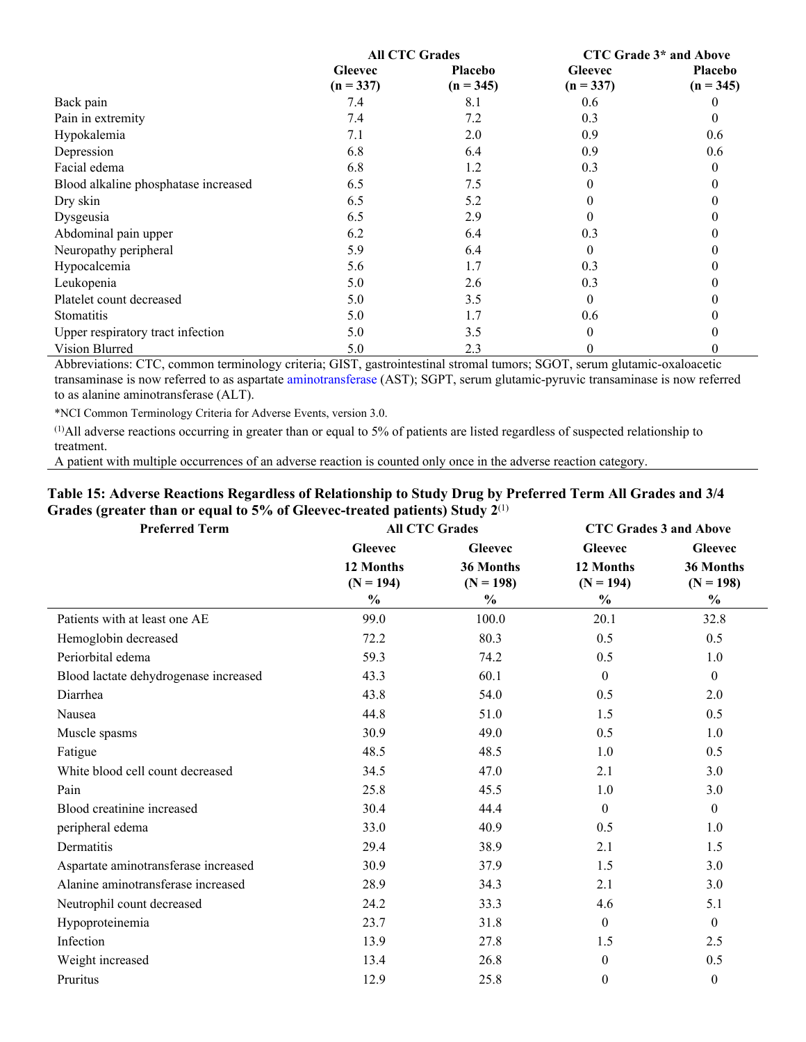|                                      | <b>All CTC Grades</b>         |                        | CTC Grade 3* and Above        |                        |
|--------------------------------------|-------------------------------|------------------------|-------------------------------|------------------------|
|                                      | <b>Gleevec</b><br>$(n = 337)$ | Placebo<br>$(n = 345)$ | <b>Gleevec</b><br>$(n = 337)$ | Placebo<br>$(n = 345)$ |
| Back pain                            | 7.4                           | 8.1                    | 0.6                           | $\theta$               |
| Pain in extremity                    | 7.4                           | 7.2                    | 0.3                           | $\theta$               |
| Hypokalemia                          | 7.1                           | 2.0                    | 0.9                           | 0.6                    |
| Depression                           | 6.8                           | 6.4                    | 0.9                           | 0.6                    |
| Facial edema                         | 6.8                           | 1.2                    | 0.3                           | 0                      |
| Blood alkaline phosphatase increased | 6.5                           | 7.5                    |                               |                        |
| Dry skin                             | 6.5                           | 5.2                    |                               |                        |
| Dysgeusia                            | 6.5                           | 2.9                    |                               |                        |
| Abdominal pain upper                 | 6.2                           | 6.4                    | 0.3                           |                        |
| Neuropathy peripheral                | 5.9                           | 6.4                    | 0                             |                        |
| Hypocalcemia                         | 5.6                           | 1.7                    | 0.3                           |                        |
| Leukopenia                           | 5.0                           | 2.6                    | 0.3                           |                        |
| Platelet count decreased             | 5.0                           | 3.5                    | $\theta$                      |                        |
| <b>Stomatitis</b>                    | 5.0                           | 1.7                    | 0.6                           |                        |
| Upper respiratory tract infection    | 5.0                           | 3.5                    | $\Omega$                      |                        |
| Vision Blurred                       | 5.0                           | 2.3                    | $\theta$                      | $\theta$               |

Abbreviations: CTC, common terminology criteria; GIST, gastrointestinal stromal tumors; SGOT, serum glutamic-oxaloacetic transaminase is now referred to as aspartate [aminotransferase](https://www.bing.com/search?q=Transaminase&filters=sid%3a96070b43-272a-d731-a07f-939d2112f6a9&form=ENTLNK) (AST); SGPT, serum glutamic-pyruvic transaminase is now referred to as alanine aminotransferase (ALT).

\*NCI Common Terminology Criteria for Adverse Events, version 3.0.

(1)All adverse reactions occurring in greater than or equal to 5% of patients are listed regardless of suspected relationship to treatment.

A patient with multiple occurrences of an adverse reaction is counted only once in the adverse reaction category.

### **Table 15: Adverse Reactions Regardless of Relationship to Study Drug by Preferred Term All Grades and 3/4 Grades (greater than or equal to 5% of Gleevec-treated patients) Study 2**(1)

| <b>Preferred Term</b>                 | <b>All CTC Grades</b> |                | <b>CTC Grades 3 and Above</b> |                |
|---------------------------------------|-----------------------|----------------|-------------------------------|----------------|
|                                       | <b>Gleevec</b>        | <b>Gleevec</b> | <b>Gleevec</b>                | <b>Gleevec</b> |
|                                       | 12 Months             | 36 Months      | 12 Months                     | 36 Months      |
|                                       | $(N = 194)$           | $(N = 198)$    | $(N = 194)$                   | $(N = 198)$    |
|                                       | $\frac{0}{0}$         | $\%$           | $\frac{0}{0}$                 | $\%$           |
| Patients with at least one AE         | 99.0                  | 100.0          | 20.1                          | 32.8           |
| Hemoglobin decreased                  | 72.2                  | 80.3           | 0.5                           | 0.5            |
| Periorbital edema                     | 59.3                  | 74.2           | 0.5                           | 1.0            |
| Blood lactate dehydrogenase increased | 43.3                  | 60.1           | $\theta$                      | $\theta$       |
| Diarrhea                              | 43.8                  | 54.0           | 0.5                           | 2.0            |
| Nausea                                | 44.8                  | 51.0           | 1.5                           | 0.5            |
| Muscle spasms                         | 30.9                  | 49.0           | 0.5                           | 1.0            |
| Fatigue                               | 48.5                  | 48.5           | 1.0                           | 0.5            |
| White blood cell count decreased      | 34.5                  | 47.0           | 2.1                           | 3.0            |
| Pain                                  | 25.8                  | 45.5           | 1.0                           | 3.0            |
| Blood creatinine increased            | 30.4                  | 44.4           | $\theta$                      | $\overline{0}$ |
| peripheral edema                      | 33.0                  | 40.9           | 0.5                           | 1.0            |
| Dermatitis                            | 29.4                  | 38.9           | 2.1                           | 1.5            |
| Aspartate aminotransferase increased  | 30.9                  | 37.9           | 1.5                           | 3.0            |
| Alanine aminotransferase increased    | 28.9                  | 34.3           | 2.1                           | 3.0            |
| Neutrophil count decreased            | 24.2                  | 33.3           | 4.6                           | 5.1            |
| Hypoproteinemia                       | 23.7                  | 31.8           | $\mathbf{0}$                  | $\theta$       |
| Infection                             | 13.9                  | 27.8           | 1.5                           | 2.5            |
| Weight increased                      | 13.4                  | 26.8           | $\mathbf{0}$                  | 0.5            |
| Pruritus                              | 12.9                  | 25.8           | $\theta$                      | $\theta$       |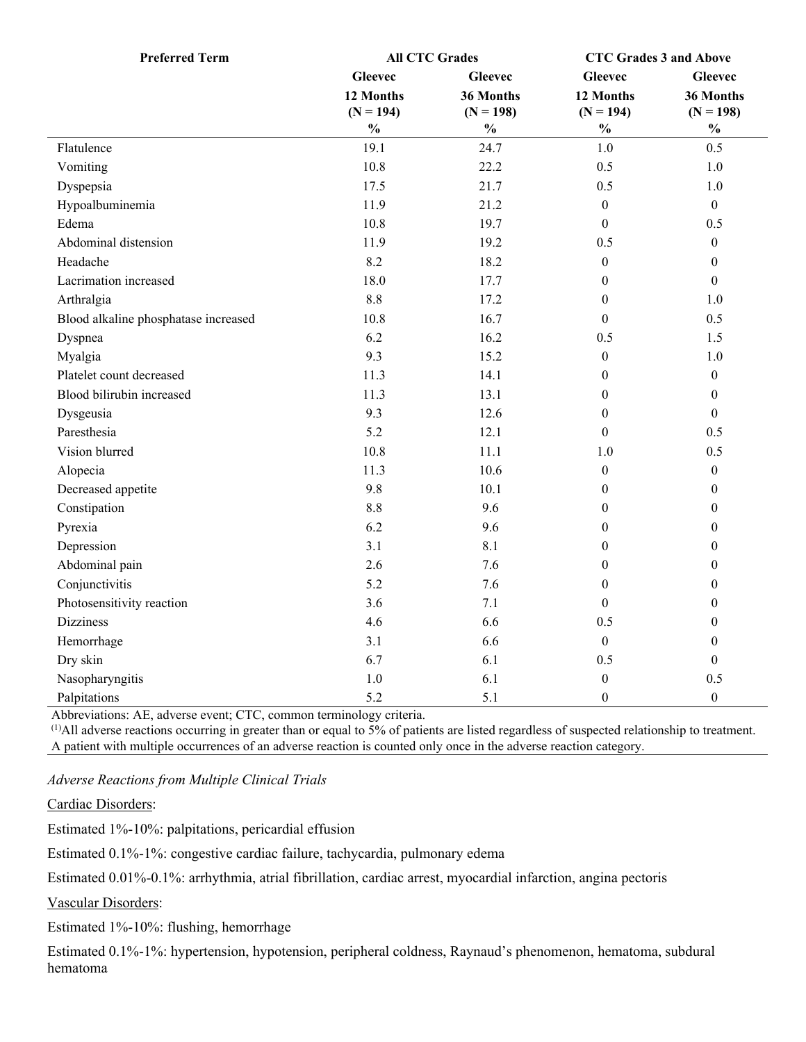| <b>Preferred Term</b>                | <b>All CTC Grades</b> |                                    | <b>CTC Grades 3 and Above</b> |                  |
|--------------------------------------|-----------------------|------------------------------------|-------------------------------|------------------|
|                                      | <b>Gleevec</b>        | <b>Gleevec</b>                     | <b>Gleevec</b>                | <b>Gleevec</b>   |
|                                      | 12 Months             | 36 Months                          | 12 Months                     | 36 Months        |
|                                      | $(N = 194)$           | $(N = 198)$                        | $(N = 194)$                   | $(N = 198)$      |
|                                      | $\frac{0}{0}$         | $\mathbf{0}_{\mathbf{0}}^{\prime}$ | $\frac{0}{0}$                 | $\frac{0}{0}$    |
| Flatulence                           | 19.1                  | 24.7                               | 1.0                           | 0.5              |
| Vomiting                             | 10.8                  | 22.2                               | 0.5                           | 1.0              |
| Dyspepsia                            | 17.5                  | 21.7                               | 0.5                           | 1.0              |
| Hypoalbuminemia                      | 11.9                  | 21.2                               | $\mathbf{0}$                  | $\mathbf{0}$     |
| Edema                                | 10.8                  | 19.7                               | $\theta$                      | 0.5              |
| Abdominal distension                 | 11.9                  | 19.2                               | 0.5                           | $\boldsymbol{0}$ |
| Headache                             | 8.2                   | 18.2                               | $\boldsymbol{0}$              | $\boldsymbol{0}$ |
| Lacrimation increased                | 18.0                  | 17.7                               | $\mathbf{0}$                  | $\boldsymbol{0}$ |
| Arthralgia                           | 8.8                   | 17.2                               | $\theta$                      | 1.0              |
| Blood alkaline phosphatase increased | 10.8                  | 16.7                               | $\boldsymbol{0}$              | 0.5              |
| Dyspnea                              | 6.2                   | 16.2                               | 0.5                           | 1.5              |
| Myalgia                              | 9.3                   | 15.2                               | $\boldsymbol{0}$              | 1.0              |
| Platelet count decreased             | 11.3                  | 14.1                               | $\boldsymbol{0}$              | $\boldsymbol{0}$ |
| Blood bilirubin increased            | 11.3                  | 13.1                               | $\boldsymbol{0}$              | $\boldsymbol{0}$ |
| Dysgeusia                            | 9.3                   | 12.6                               | $\mathbf{0}$                  | $\mathbf{0}$     |
| Paresthesia                          | 5.2                   | 12.1                               | $\Omega$                      | 0.5              |
| Vision blurred                       | 10.8                  | 11.1                               | 1.0                           | 0.5              |
| Alopecia                             | 11.3                  | 10.6                               | $\boldsymbol{0}$              | $\boldsymbol{0}$ |
| Decreased appetite                   | 9.8                   | 10.1                               | $\boldsymbol{0}$              | $\mathbf{0}$     |
| Constipation                         | 8.8                   | 9.6                                | $\boldsymbol{0}$              | $\boldsymbol{0}$ |
| Pyrexia                              | 6.2                   | 9.6                                | $\theta$                      | $\mathbf{0}$     |
| Depression                           | 3.1                   | 8.1                                | $\theta$                      | $\boldsymbol{0}$ |
| Abdominal pain                       | 2.6                   | 7.6                                | $\theta$                      | $\boldsymbol{0}$ |
| Conjunctivitis                       | 5.2                   | 7.6                                | $\boldsymbol{0}$              | $\boldsymbol{0}$ |
| Photosensitivity reaction            | 3.6                   | 7.1                                | $\Omega$                      | $\boldsymbol{0}$ |
| <b>Dizziness</b>                     | 4.6                   | 6.6                                | 0.5                           | $\boldsymbol{0}$ |
| Hemorrhage                           | 3.1                   | 6.6                                | $\mathbf{0}$                  | $\boldsymbol{0}$ |
| Dry skin                             | 6.7                   | 6.1                                | 0.5                           | $\boldsymbol{0}$ |
| Nasopharyngitis                      | 1.0                   | 6.1                                | $\boldsymbol{0}$              | 0.5              |
| Palpitations                         | 5.2                   | 5.1                                | $\boldsymbol{0}$              | $\mathbf{0}$     |

Abbreviations: AE, adverse event; CTC, common terminology criteria.

 $^{(1)}$ All adverse reactions occurring in greater than or equal to  $\overline{5\%}$  of patients are listed regardless of suspected relationship to treatment. A patient with multiple occurrences of an adverse reaction is counted only once in the adverse reaction category.

*Adverse Reactions from Multiple Clinical Trials*

Cardiac Disorders:

Estimated 1%-10%: palpitations, pericardial effusion

Estimated 0.1%-1%: congestive cardiac failure, tachycardia, pulmonary edema

Estimated 0.01%-0.1%: arrhythmia, atrial fibrillation, cardiac arrest, myocardial infarction, angina pectoris

Vascular Disorders:

Estimated 1%-10%: flushing, hemorrhage

Estimated 0.1%-1%: hypertension, hypotension, peripheral coldness, Raynaud's phenomenon, hematoma, subdural hematoma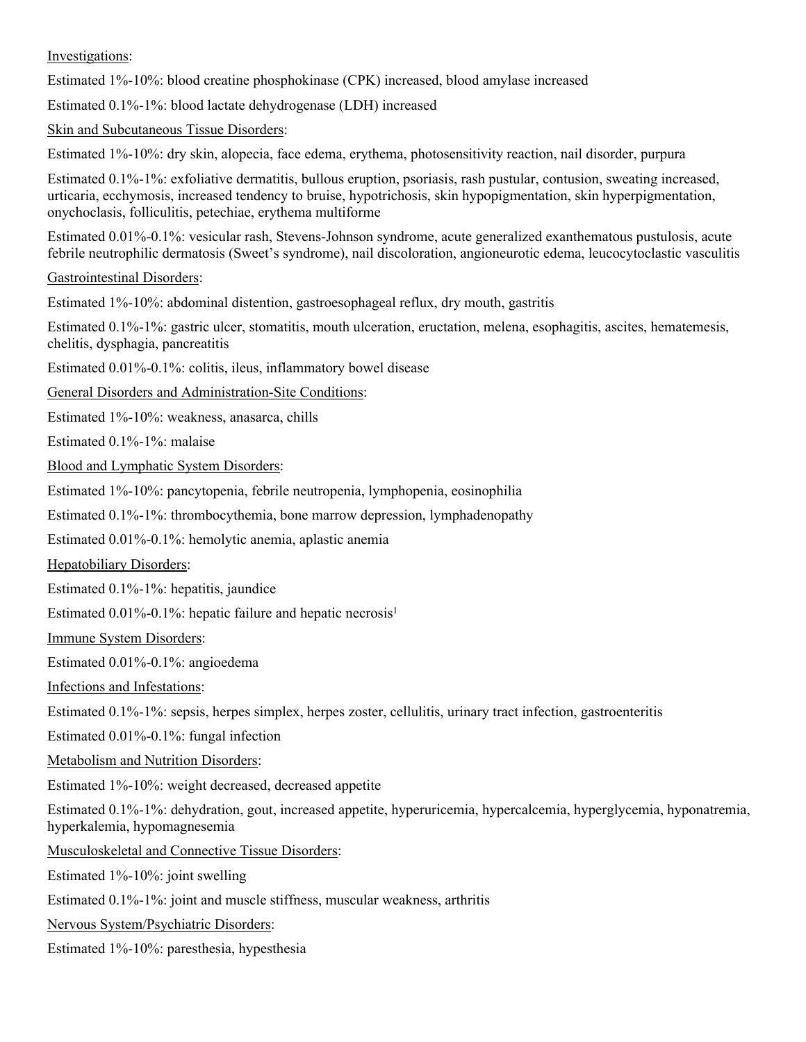Investigations:

Estimated 1%-10%: blood creatine phosphokinase (CPK) increased, blood amylase increased

Estimated 0.1%-1%: blood lactate dehydrogenase (LDH) increased

Skin and Subcutaneous Tissue Disorders:

Estimated 1%-10%: dry skin, alopecia, face edema, erythema, photosensitivity reaction, nail disorder, purpura

Estimated 0.1%-1%: exfoliative dermatitis, bullous eruption, psoriasis, rash pustular, contusion, sweating increased, urticaria, ecchymosis, increased tendency to bruise, hypotrichosis, skin hypopigmentation, skin hyperpigmentation, onychoclasis, folliculitis, petechiae, erythema multiforme

Estimated 0.01%-0.1%: vesicular rash, Stevens-Johnson syndrome, acute generalized exanthematous pustulosis, acute febrile neutrophilic dermatosis (Sweet's syndrome), nail discoloration, angioneurotic edema, leucocytoclastic vasculitis

Gastrointestinal Disorders:

Estimated 1%-10%: abdominal distention, gastroesophageal reflux, dry mouth, gastritis

Estimated 0.1%-1%: gastric ulcer, stomatitis, mouth ulceration, eructation, melena, esophagitis, ascites, hematemesis, chelitis, dysphagia, pancreatitis

Estimated 0.01%-0.1%: colitis, ileus, inflammatory bowel disease

General Disorders and Administration-Site Conditions:

Estimated 1%-10%: weakness, anasarca, chills

Estimated 0.1%-1%: malaise

Blood and Lymphatic System Disorders:

Estimated 1%-10%: pancytopenia, febrile neutropenia, lymphopenia, eosinophilia

Estimated 0.1%-1%: thrombocythemia, bone marrow depression, lymphadenopathy

Estimated 0.01%-0.1%: hemolytic anemia, aplastic anemia

Hepatobiliary Disorders:

Estimated 0.1%-1%: hepatitis, jaundice

Estimated  $0.01\%$ -0.1%: hepatic failure and hepatic necrosis<sup>1</sup>

Immune System Disorders:

Estimated 0.01%-0.1%: angioedema

Infections and Infestations:

Estimated 0.1%-1%: sepsis, herpes simplex, herpes zoster, cellulitis, urinary tract infection, gastroenteritis

Estimated 0.01%-0.1%: fungal infection

Metabolism and Nutrition Disorders:

Estimated 1%-10%: weight decreased, decreased appetite

Estimated 0.1%-1%: dehydration, gout, increased appetite, hyperuricemia, hypercalcemia, hyperglycemia, hyponatremia, hyperkalemia, hypomagnesemia

Musculoskeletal and Connective Tissue Disorders:

Estimated 1%-10%: joint swelling

Estimated 0.1%-1%: joint and muscle stiffness, muscular weakness, arthritis

Nervous System/Psychiatric Disorders:

Estimated 1%-10%: paresthesia, hypesthesia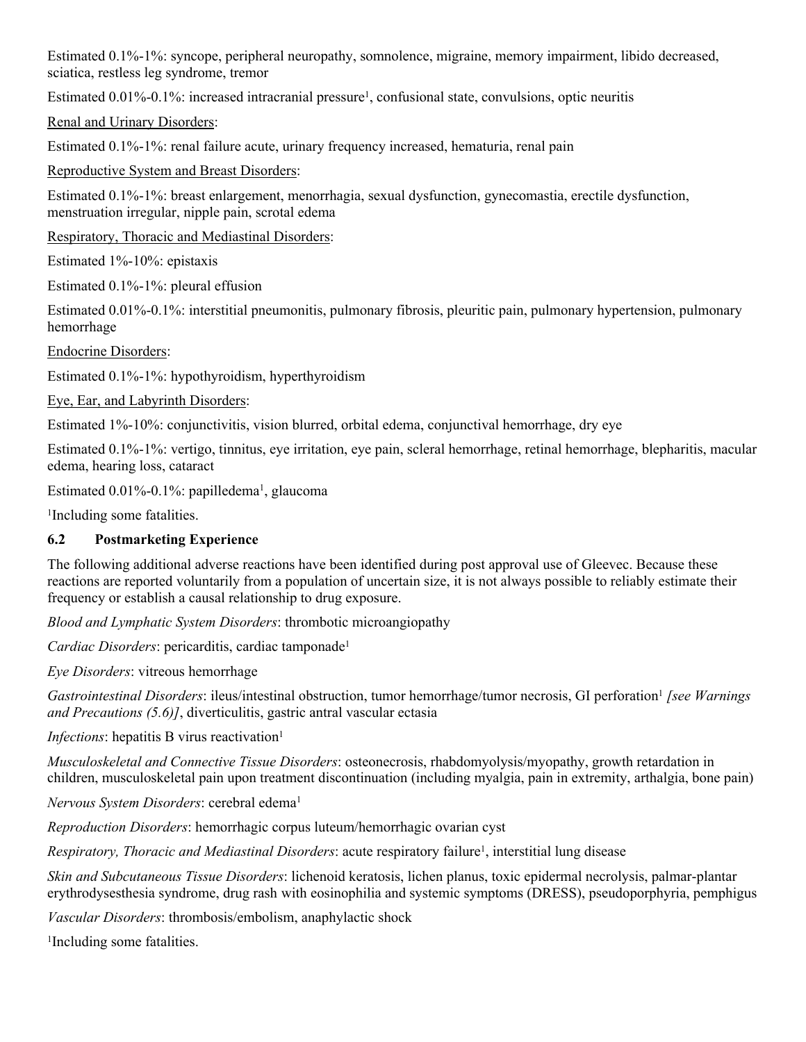Estimated 0.1%-1%: syncope, peripheral neuropathy, somnolence, migraine, memory impairment, libido decreased, sciatica, restless leg syndrome, tremor

Estimated 0.01%-0.1%: increased intracranial pressure<sup>1</sup>, confusional state, convulsions, optic neuritis

Renal and Urinary Disorders:

Estimated 0.1%-1%: renal failure acute, urinary frequency increased, hematuria, renal pain

Reproductive System and Breast Disorders:

Estimated 0.1%-1%: breast enlargement, menorrhagia, sexual dysfunction, gynecomastia, erectile dysfunction, menstruation irregular, nipple pain, scrotal edema

Respiratory, Thoracic and Mediastinal Disorders:

Estimated 1%-10%: epistaxis

Estimated 0.1%-1%: pleural effusion

Estimated 0.01%-0.1%: interstitial pneumonitis, pulmonary fibrosis, pleuritic pain, pulmonary hypertension, pulmonary hemorrhage

Endocrine Disorders:

Estimated 0.1%-1%: hypothyroidism, hyperthyroidism

Eye, Ear, and Labyrinth Disorders:

Estimated 1%-10%: conjunctivitis, vision blurred, orbital edema, conjunctival hemorrhage, dry eye

Estimated 0.1%-1%: vertigo, tinnitus, eye irritation, eye pain, scleral hemorrhage, retinal hemorrhage, blepharitis, macular edema, hearing loss, cataract

Estimated 0.01%-0.1%: papilledema<sup>1</sup>, glaucoma

1 Including some fatalities.

### <span id="page-22-0"></span>**6.2 Postmarketing Experience**

The following additional adverse reactions have been identified during post approval use of Gleevec. Because these reactions are reported voluntarily from a population of uncertain size, it is not always possible to reliably estimate their frequency or establish a causal relationship to drug exposure.

*Blood and Lymphatic System Disorders*: thrombotic microangiopathy

*Cardiac Disorders*: pericarditis, cardiac tamponade<sup>1</sup>

*Eye Disorders*: vitreous hemorrhage

Gastrointestinal Disorders: ileus/intestinal obstruction, tumor hemorrhage/tumor necrosis, GI perforation<sup>1</sup> [see Warnings *and Precautions (5.6)]*, diverticulitis, gastric antral vascular ectasia

*Infections*: hepatitis B virus reactivation<sup>1</sup>

*Musculoskeletal and Connective Tissue Disorders*: osteonecrosis, rhabdomyolysis/myopathy, growth retardation in children, musculoskeletal pain upon treatment discontinuation (including myalgia, pain in extremity, arthalgia, bone pain)

*Nervous System Disorders*: cerebral edema<sup>1</sup>

*Reproduction Disorders*: hemorrhagic corpus luteum/hemorrhagic ovarian cyst

Respiratory, Thoracic and Mediastinal Disorders: acute respiratory failure<sup>1</sup>, interstitial lung disease

*Skin and Subcutaneous Tissue Disorders*: lichenoid keratosis, lichen planus, toxic epidermal necrolysis, palmar-plantar erythrodysesthesia syndrome, drug rash with eosinophilia and systemic symptoms (DRESS), pseudoporphyria, pemphigus

*Vascular Disorders*: thrombosis/embolism, anaphylactic shock

1 Including some fatalities.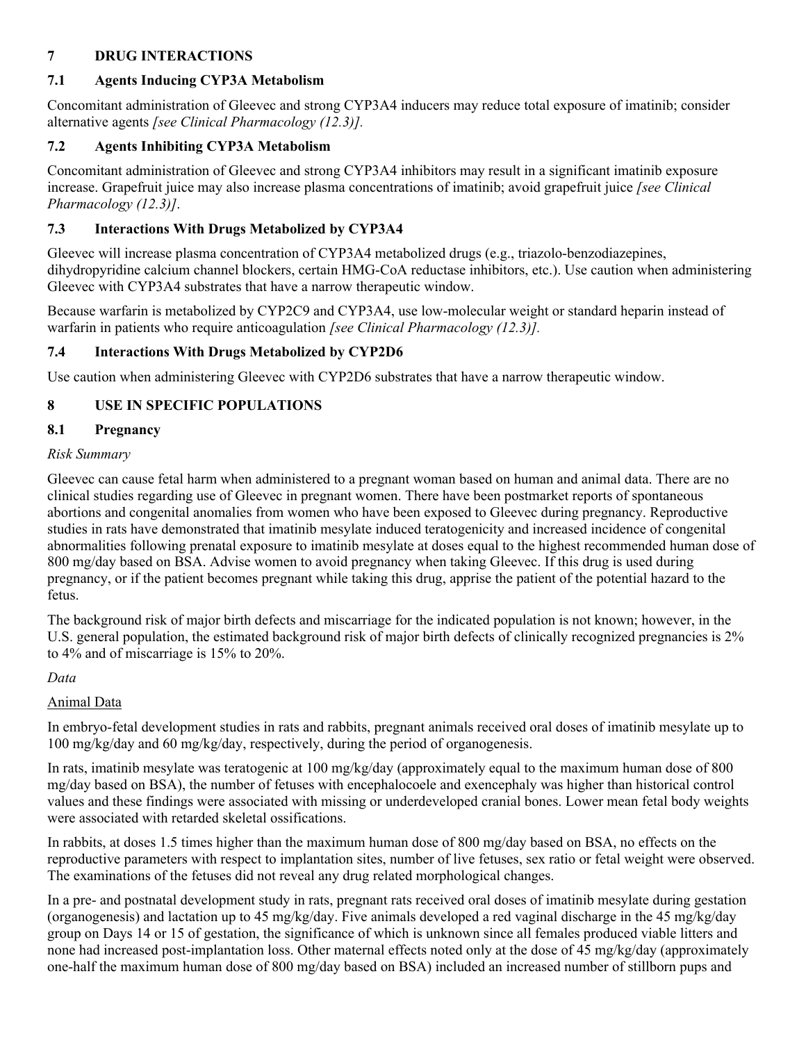### <span id="page-23-5"></span>**7 DRUG INTERACTIONS**

# <span id="page-23-1"></span>**7.1 Agents Inducing CYP3A Metabolism**

Concomitant administration of Gleevec and strong CYP3A4 inducers may reduce total exposure of imatinib; consider alternative agents *[see Clinical Pharmacology (12.3)].*

## <span id="page-23-2"></span>**7.2 Agents Inhibiting CYP3A Metabolism**

Concomitant administration of Gleevec and strong CYP3A4 inhibitors may result in a significant imatinib exposure increase. Grapefruit juice may also increase plasma concentrations of imatinib; avoid grapefruit juice *[see Clinical Pharmacology (12.3)]*.

# <span id="page-23-3"></span>**7.3 Interactions With Drugs Metabolized by CYP3A4**

Gleevec will increase plasma concentration of CYP3A4 metabolized drugs (e.g., triazolo-benzodiazepines, dihydropyridine calcium channel blockers, certain HMG-CoA reductase inhibitors, etc.). Use caution when administering Gleevec with CYP3A4 substrates that have a narrow therapeutic window.

Because warfarin is metabolized by CYP2C9 and CYP3A4, use low-molecular weight or standard heparin instead of warfarin in patients who require anticoagulation *[see Clinical Pharmacology (12.3)].*

# <span id="page-23-4"></span>**7.4 Interactions With Drugs Metabolized by CYP2D6**

Use caution when administering Gleevec with CYP2D6 substrates that have a narrow therapeutic window.

# <span id="page-23-6"></span>**8 USE IN SPECIFIC POPULATIONS**

# <span id="page-23-0"></span>**8.1 Pregnancy**

### *Risk Summary*

Gleevec can cause fetal harm when administered to a pregnant woman based on human and animal data. There are no clinical studies regarding use of Gleevec in pregnant women. There have been postmarket reports of spontaneous abortions and congenital anomalies from women who have been exposed to Gleevec during pregnancy. Reproductive studies in rats have demonstrated that imatinib mesylate induced teratogenicity and increased incidence of congenital abnormalities following prenatal exposure to imatinib mesylate at doses equal to the highest recommended human dose of 800 mg/day based on BSA. Advise women to avoid pregnancy when taking Gleevec. If this drug is used during pregnancy, or if the patient becomes pregnant while taking this drug, apprise the patient of the potential hazard to the fetus.

The background risk of major birth defects and miscarriage for the indicated population is not known; however, in the U.S. general population, the estimated background risk of major birth defects of clinically recognized pregnancies is 2% to 4% and of miscarriage is 15% to 20%.

### *Data*

### Animal Data

In embryo-fetal development studies in rats and rabbits, pregnant animals received oral doses of imatinib mesylate up to 100 mg/kg/day and 60 mg/kg/day, respectively, during the period of organogenesis.

In rats, imatinib mesylate was teratogenic at 100 mg/kg/day (approximately equal to the maximum human dose of 800 mg/day based on BSA), the number of fetuses with encephalocoele and exencephaly was higher than historical control values and these findings were associated with missing or underdeveloped cranial bones. Lower mean fetal body weights were associated with retarded skeletal ossifications.

In rabbits, at doses 1.5 times higher than the maximum human dose of 800 mg/day based on BSA, no effects on the reproductive parameters with respect to implantation sites, number of live fetuses, sex ratio or fetal weight were observed. The examinations of the fetuses did not reveal any drug related morphological changes.

In a pre- and postnatal development study in rats, pregnant rats received oral doses of imatinib mesylate during gestation (organogenesis) and lactation up to 45 mg/kg/day. Five animals developed a red vaginal discharge in the 45 mg/kg/day group on Days 14 or 15 of gestation, the significance of which is unknown since all females produced viable litters and none had increased post-implantation loss. Other maternal effects noted only at the dose of 45 mg/kg/day (approximately one-half the maximum human dose of 800 mg/day based on BSA) included an increased number of stillborn pups and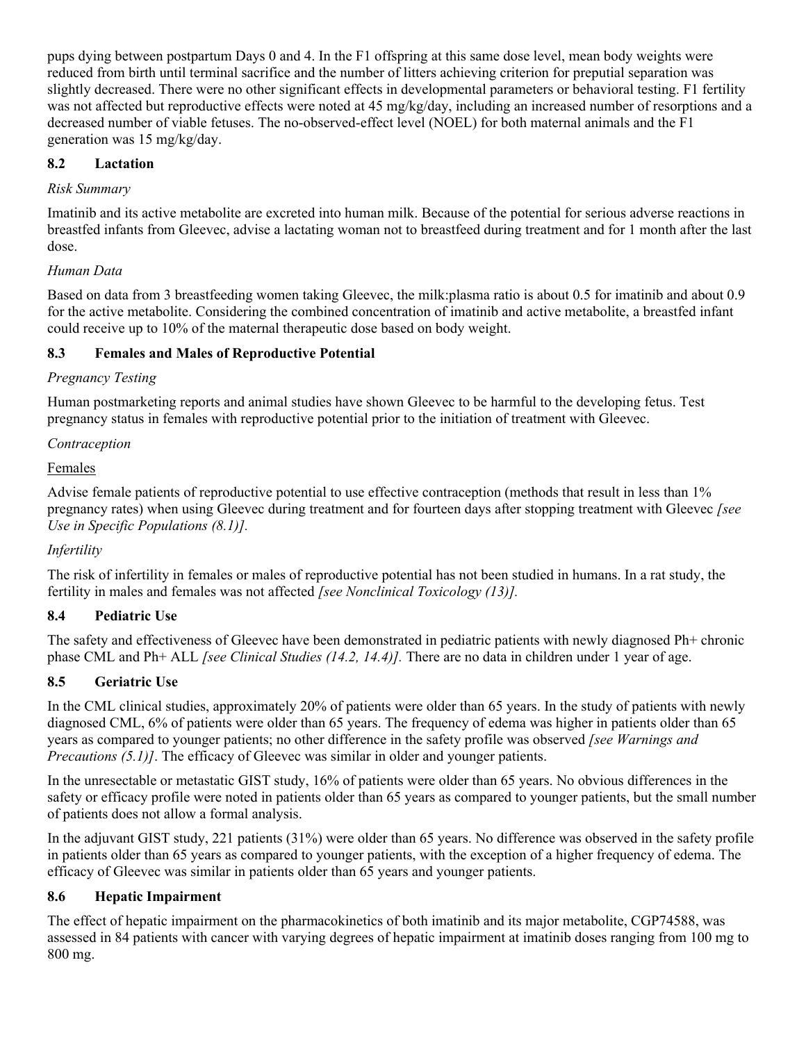pups dying between postpartum Days 0 and 4. In the F1 offspring at this same dose level, mean body weights were reduced from birth until terminal sacrifice and the number of litters achieving criterion for preputial separation was slightly decreased. There were no other significant effects in developmental parameters or behavioral testing. F1 fertility was not affected but reproductive effects were noted at 45 mg/kg/day, including an increased number of resorptions and a decreased number of viable fetuses. The no-observed-effect level (NOEL) for both maternal animals and the F1 generation was 15 mg/kg/day.

### <span id="page-24-0"></span>**8.2 Lactation**

### *Risk Summary*

Imatinib and its active metabolite are excreted into human milk. Because of the potential for serious adverse reactions in breastfed infants from Gleevec, advise a lactating woman not to breastfeed during treatment and for 1 month after the last dose.

### *Human Data*

Based on data from 3 breastfeeding women taking Gleevec, the milk:plasma ratio is about 0.5 for imatinib and about 0.9 for the active metabolite. Considering the combined concentration of imatinib and active metabolite, a breastfed infant could receive up to 10% of the maternal therapeutic dose based on body weight.

### <span id="page-24-1"></span>**8.3 Females and Males of Reproductive Potential**

### *Pregnancy Testing*

Human postmarketing reports and animal studies have shown Gleevec to be harmful to the developing fetus. Test pregnancy status in females with reproductive potential prior to the initiation of treatment with Gleevec.

### *Contraception*

### Females

Advise female patients of reproductive potential to use effective contraception (methods that result in less than 1% pregnancy rates) when using Gleevec during treatment and for fourteen days after stopping treatment with Gleevec *[see Use in Specific Populations (8.1)].*

### *Infertility*

The risk of infertility in females or males of reproductive potential has not been studied in humans. In a rat study, the fertility in males and females was not affected *[see Nonclinical Toxicology (13)].*

### <span id="page-24-2"></span>**8.4 Pediatric Use**

The safety and effectiveness of Gleevec have been demonstrated in pediatric patients with newly diagnosed Ph+ chronic phase CML and Ph+ ALL *[see Clinical Studies (14.2, 14.4)].* There are no data in children under 1 year of age.

### <span id="page-24-3"></span>**8.5 Geriatric Use**

In the CML clinical studies, approximately 20% of patients were older than 65 years. In the study of patients with newly diagnosed CML, 6% of patients were older than 65 years. The frequency of edema was higher in patients older than 65 years as compared to younger patients; no other difference in the safety profile was observed *[see Warnings and Precautions (5.1)]*. The efficacy of Gleevec was similar in older and younger patients.

In the unresectable or metastatic GIST study, 16% of patients were older than 65 years. No obvious differences in the safety or efficacy profile were noted in patients older than 65 years as compared to younger patients, but the small number of patients does not allow a formal analysis.

In the adjuvant GIST study, 221 patients (31%) were older than 65 years. No difference was observed in the safety profile in patients older than 65 years as compared to younger patients, with the exception of a higher frequency of edema. The efficacy of Gleevec was similar in patients older than 65 years and younger patients.

### <span id="page-24-4"></span>**8.6 Hepatic Impairment**

The effect of hepatic impairment on the pharmacokinetics of both imatinib and its major metabolite, CGP74588, was assessed in 84 patients with cancer with varying degrees of hepatic impairment at imatinib doses ranging from 100 mg to 800 mg.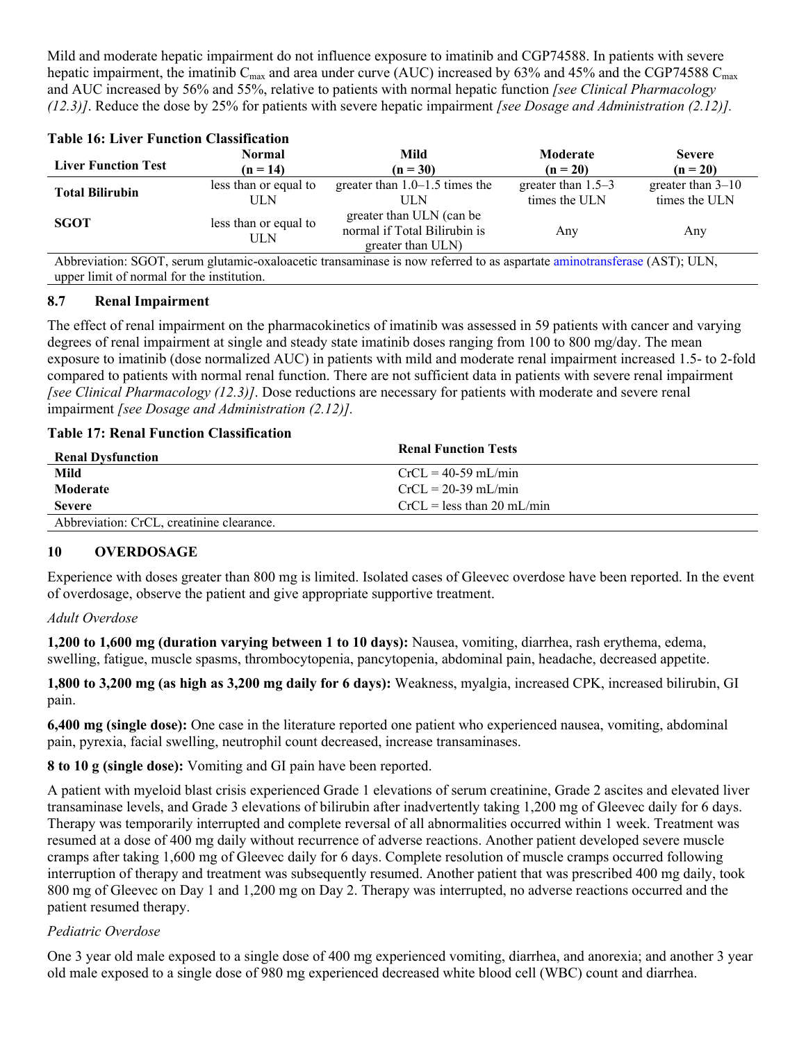Mild and moderate hepatic impairment do not influence exposure to imatinib and CGP74588. In patients with severe hepatic impairment, the imatinib  $C_{\text{max}}$  and area under curve (AUC) increased by 63% and 45% and the CGP74588  $C_{\text{max}}$ and AUC increased by 56% and 55%, relative to patients with normal hepatic function *[see Clinical Pharmacology (12.3)]*. Reduce the dose by 25% for patients with severe hepatic impairment *[see Dosage and Administration (2.12)].*

| <b>Table 16: Liver Function Classification</b> |                             |                                                                                                                          |                                       |                                      |
|------------------------------------------------|-----------------------------|--------------------------------------------------------------------------------------------------------------------------|---------------------------------------|--------------------------------------|
| <b>Liver Function Test</b>                     | <b>Normal</b><br>$(n = 14)$ | Mild<br>$(n = 30)$                                                                                                       | Moderate<br>$(n = 20)$                | <b>Severe</b><br>$(n = 20)$          |
| <b>Total Bilirubin</b>                         | less than or equal to<br>ШN | greater than $1.0-1.5$ times the<br>ШN                                                                                   | greater than $1.5-3$<br>times the ULN | greater than $3-10$<br>times the ULN |
| <b>SGOT</b>                                    | less than or equal to<br>ШN | greater than ULN (can be<br>normal if Total Bilirubin is<br>greater than ULN)                                            | Any                                   | Any                                  |
| upper limit of normal for the institution.     |                             | Abbreviation: SGOT, serum glutamic-oxaloacetic transaminase is now referred to as aspartate aminotransferase (AST); ULN, |                                       |                                      |

### <span id="page-25-0"></span>**8.7 Renal Impairment**

The effect of renal impairment on the pharmacokinetics of imatinib was assessed in 59 patients with cancer and varying degrees of renal impairment at single and steady state imatinib doses ranging from 100 to 800 mg/day. The mean exposure to imatinib (dose normalized AUC) in patients with mild and moderate renal impairment increased 1.5- to 2-fold compared to patients with normal renal function. There are not sufficient data in patients with severe renal impairment *[see Clinical Pharmacology (12.3)]*. Dose reductions are necessary for patients with moderate and severe renal impairment *[see Dosage and Administration (2.12)].*

### **Table 17: Renal Function Classification**

| <b>Renal Dysfunction</b>                  | <b>Renal Function Tests</b>  |
|-------------------------------------------|------------------------------|
| Mild                                      | $CrCL = 40-59$ mL/min        |
| Moderate                                  | $CrCL = 20-39$ mL/min        |
| <b>Severe</b>                             | $CrCI = less than 20 mI/min$ |
| Abbreviation: CrCL, creatinine clearance. |                              |

### <span id="page-25-1"></span>**10 OVERDOSAGE**

Experience with doses greater than 800 mg is limited. Isolated cases of Gleevec overdose have been reported. In the event of overdosage, observe the patient and give appropriate supportive treatment.

### *Adult Overdose*

**1,200 to 1,600 mg (duration varying between 1 to 10 days):** Nausea, vomiting, diarrhea, rash erythema, edema, swelling, fatigue, muscle spasms, thrombocytopenia, pancytopenia, abdominal pain, headache, decreased appetite.

**1,800 to 3,200 mg (as high as 3,200 mg daily for 6 days):** Weakness, myalgia, increased CPK, increased bilirubin, GI pain.

**6,400 mg (single dose):** One case in the literature reported one patient who experienced nausea, vomiting, abdominal pain, pyrexia, facial swelling, neutrophil count decreased, increase transaminases.

**8 to 10 g (single dose):** Vomiting and GI pain have been reported.

A patient with myeloid blast crisis experienced Grade 1 elevations of serum creatinine, Grade 2 ascites and elevated liver transaminase levels, and Grade 3 elevations of bilirubin after inadvertently taking 1,200 mg of Gleevec daily for 6 days. Therapy was temporarily interrupted and complete reversal of all abnormalities occurred within 1 week. Treatment was resumed at a dose of 400 mg daily without recurrence of adverse reactions. Another patient developed severe muscle cramps after taking 1,600 mg of Gleevec daily for 6 days. Complete resolution of muscle cramps occurred following interruption of therapy and treatment was subsequently resumed. Another patient that was prescribed 400 mg daily, took 800 mg of Gleevec on Day 1 and 1,200 mg on Day 2. Therapy was interrupted, no adverse reactions occurred and the patient resumed therapy.

### *Pediatric Overdose*

One 3 year old male exposed to a single dose of 400 mg experienced vomiting, diarrhea, and anorexia; and another 3 year old male exposed to a single dose of 980 mg experienced decreased white blood cell (WBC) count and diarrhea.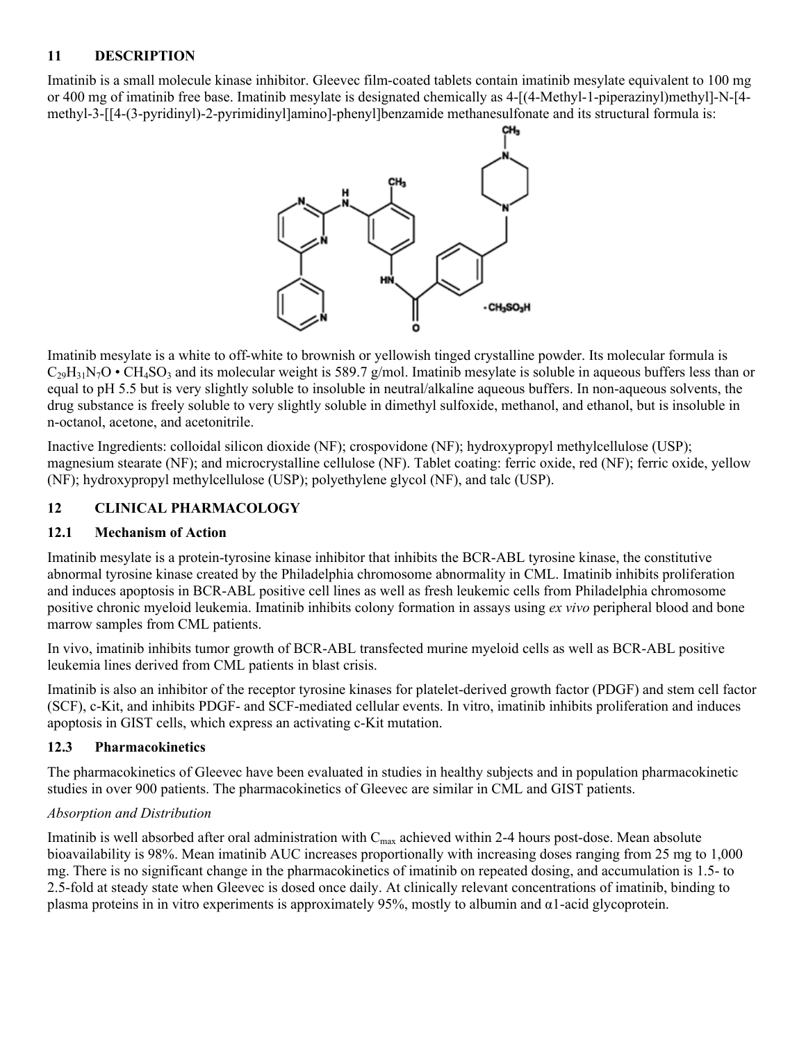### <span id="page-26-1"></span>**11 DESCRIPTION**

Imatinib is a small molecule kinase inhibitor. Gleevec film-coated tablets contain imatinib mesylate equivalent to 100 mg or 400 mg of imatinib free base. Imatinib mesylate is designated chemically as 4-[(4-Methyl-1-piperazinyl)methyl]-N-[4 methyl-3-[[4-(3-pyridinyl)-2-pyrimidinyl]amino]-phenyl]benzamide methanesulfonate and its structural formula is:



Imatinib mesylate is a white to off-white to brownish or yellowish tinged crystalline powder. Its molecular formula is  $C_{29}H_{31}N_7O \cdot CH_4SO_3$  and its molecular weight is 589.7 g/mol. Imatinib mesylate is soluble in aqueous buffers less than or equal to pH 5.5 but is very slightly soluble to insoluble in neutral/alkaline aqueous buffers. In non-aqueous solvents, the drug substance is freely soluble to very slightly soluble in dimethyl sulfoxide, methanol, and ethanol, but is insoluble in n-octanol, acetone, and acetonitrile.

Inactive Ingredients: colloidal silicon dioxide (NF); crospovidone (NF); hydroxypropyl methylcellulose (USP); magnesium stearate (NF); and microcrystalline cellulose (NF). Tablet coating: ferric oxide, red (NF); ferric oxide, yellow (NF); hydroxypropyl methylcellulose (USP); polyethylene glycol (NF), and talc (USP).

### <span id="page-26-2"></span>**12 CLINICAL PHARMACOLOGY**

### <span id="page-26-3"></span>**12.1 Mechanism of Action**

Imatinib mesylate is a protein-tyrosine kinase inhibitor that inhibits the BCR-ABL tyrosine kinase, the constitutive abnormal tyrosine kinase created by the Philadelphia chromosome abnormality in CML. Imatinib inhibits proliferation and induces apoptosis in BCR-ABL positive cell lines as well as fresh leukemic cells from Philadelphia chromosome positive chronic myeloid leukemia. Imatinib inhibits colony formation in assays using *ex vivo* peripheral blood and bone marrow samples from CML patients.

In vivo, imatinib inhibits tumor growth of BCR-ABL transfected murine myeloid cells as well as BCR-ABL positive leukemia lines derived from CML patients in blast crisis.

Imatinib is also an inhibitor of the receptor tyrosine kinases for platelet-derived growth factor (PDGF) and stem cell factor (SCF), c-Kit, and inhibits PDGF- and SCF-mediated cellular events. In vitro, imatinib inhibits proliferation and induces apoptosis in GIST cells, which express an activating c-Kit mutation.

### <span id="page-26-0"></span>**12.3 Pharmacokinetics**

The pharmacokinetics of Gleevec have been evaluated in studies in healthy subjects and in population pharmacokinetic studies in over 900 patients. The pharmacokinetics of Gleevec are similar in CML and GIST patients.

### *Absorption and Distribution*

Imatinib is well absorbed after oral administration with  $C_{\text{max}}$  achieved within 2-4 hours post-dose. Mean absolute bioavailability is 98%. Mean imatinib AUC increases proportionally with increasing doses ranging from 25 mg to 1,000 mg. There is no significant change in the pharmacokinetics of imatinib on repeated dosing, and accumulation is 1.5- to 2.5-fold at steady state when Gleevec is dosed once daily. At clinically relevant concentrations of imatinib, binding to plasma proteins in in vitro experiments is approximately 95%, mostly to albumin and α1-acid glycoprotein.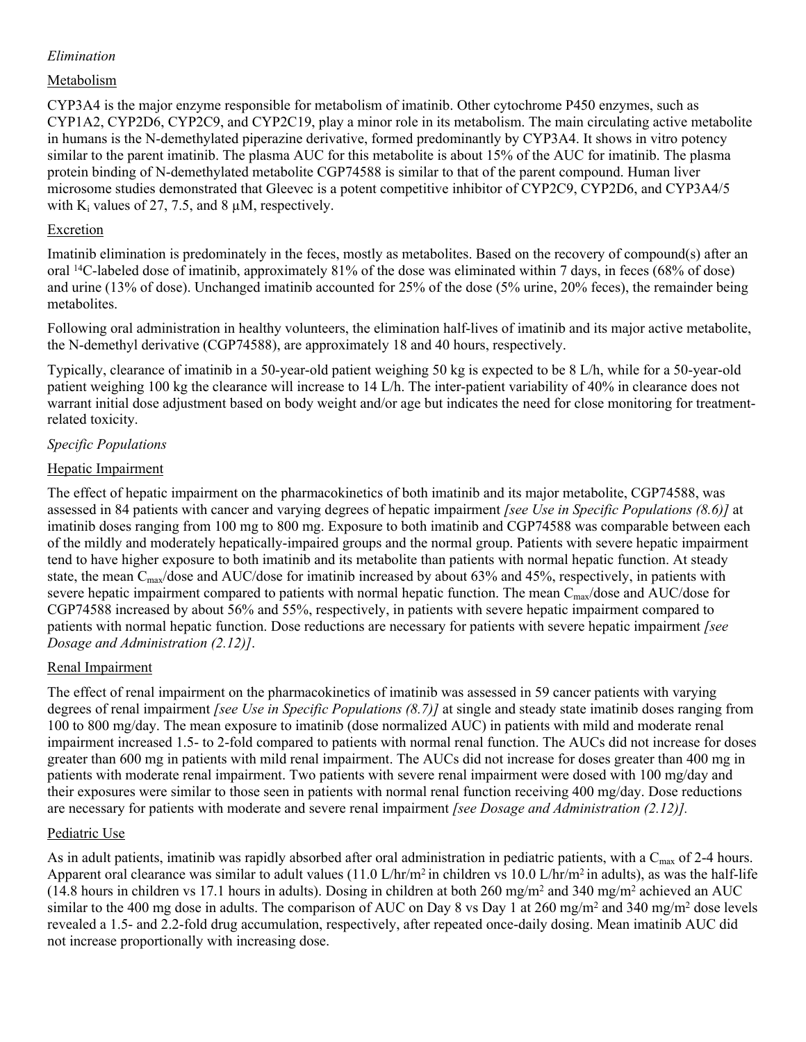### *Elimination*

### Metabolism

CYP3A4 is the major enzyme responsible for metabolism of imatinib. Other cytochrome P450 enzymes, such as CYP1A2, CYP2D6, CYP2C9, and CYP2C19, play a minor role in its metabolism. The main circulating active metabolite in humans is the N-demethylated piperazine derivative, formed predominantly by CYP3A4. It shows in vitro potency similar to the parent imatinib. The plasma AUC for this metabolite is about 15% of the AUC for imatinib. The plasma protein binding of N-demethylated metabolite CGP74588 is similar to that of the parent compound. Human liver microsome studies demonstrated that Gleevec is a potent competitive inhibitor of CYP2C9, CYP2D6, and CYP3A4/5 with  $K_i$  values of 27, 7.5, and 8  $\mu$ M, respectively.

### Excretion

Imatinib elimination is predominately in the feces, mostly as metabolites. Based on the recovery of compound(s) after an oral <sup>14</sup>C-labeled dose of imatinib, approximately 81% of the dose was eliminated within 7 days, in feces (68% of dose) and urine (13% of dose). Unchanged imatinib accounted for 25% of the dose (5% urine, 20% feces), the remainder being metabolites.

Following oral administration in healthy volunteers, the elimination half-lives of imatinib and its major active metabolite, the N-demethyl derivative (CGP74588), are approximately 18 and 40 hours, respectively.

Typically, clearance of imatinib in a 50-year-old patient weighing 50 kg is expected to be 8 L/h, while for a 50-year-old patient weighing 100 kg the clearance will increase to 14 L/h. The inter-patient variability of 40% in clearance does not warrant initial dose adjustment based on body weight and/or age but indicates the need for close monitoring for treatmentrelated toxicity.

### *Specific Populations*

### Hepatic Impairment

The effect of hepatic impairment on the pharmacokinetics of both imatinib and its major metabolite, CGP74588, was assessed in 84 patients with cancer and varying degrees of hepatic impairment *[see Use in Specific Populations (8.6)]* at imatinib doses ranging from 100 mg to 800 mg. Exposure to both imatinib and CGP74588 was comparable between each of the mildly and moderately hepatically-impaired groups and the normal group. Patients with severe hepatic impairment tend to have higher exposure to both imatinib and its metabolite than patients with normal hepatic function. At steady state, the mean  $C_{\text{max}}$ /dose and AUC/dose for imatinib increased by about 63% and 45%, respectively, in patients with severe hepatic impairment compared to patients with normal hepatic function. The mean  $C_{\text{max}}/d$ ose and AUC/dose for CGP74588 increased by about 56% and 55%, respectively, in patients with severe hepatic impairment compared to patients with normal hepatic function. Dose reductions are necessary for patients with severe hepatic impairment *[see Dosage and Administration (2.12)]*.

### Renal Impairment

The effect of renal impairment on the pharmacokinetics of imatinib was assessed in 59 cancer patients with varying degrees of renal impairment *[see Use in Specific Populations (8.7)]* at single and steady state imatinib doses ranging from 100 to 800 mg/day. The mean exposure to imatinib (dose normalized AUC) in patients with mild and moderate renal impairment increased 1.5- to 2-fold compared to patients with normal renal function. The AUCs did not increase for doses greater than 600 mg in patients with mild renal impairment. The AUCs did not increase for doses greater than 400 mg in patients with moderate renal impairment. Two patients with severe renal impairment were dosed with 100 mg/day and their exposures were similar to those seen in patients with normal renal function receiving 400 mg/day. Dose reductions are necessary for patients with moderate and severe renal impairment *[see Dosage and Administration (2.12)].*

### Pediatric Use

As in adult patients, imatinib was rapidly absorbed after oral administration in pediatric patients, with a  $C_{\text{max}}$  of 2-4 hours. Apparent oral clearance was similar to adult values (11.0 L/hr/m<sup>2</sup> in children vs 10.0 L/hr/m<sup>2</sup> in adults), as was the half-life  $(14.8 \text{ hours in children vs } 17.1 \text{ hours in adults})$ . Dosing in children at both 260 mg/m<sup>2</sup> and 340 mg/m<sup>2</sup> achieved an AUC similar to the 400 mg dose in adults. The comparison of AUC on Day 8 vs Day 1 at 260 mg/m<sup>2</sup> and 340 mg/m<sup>2</sup> dose levels revealed a 1.5- and 2.2-fold drug accumulation, respectively, after repeated once-daily dosing. Mean imatinib AUC did not increase proportionally with increasing dose.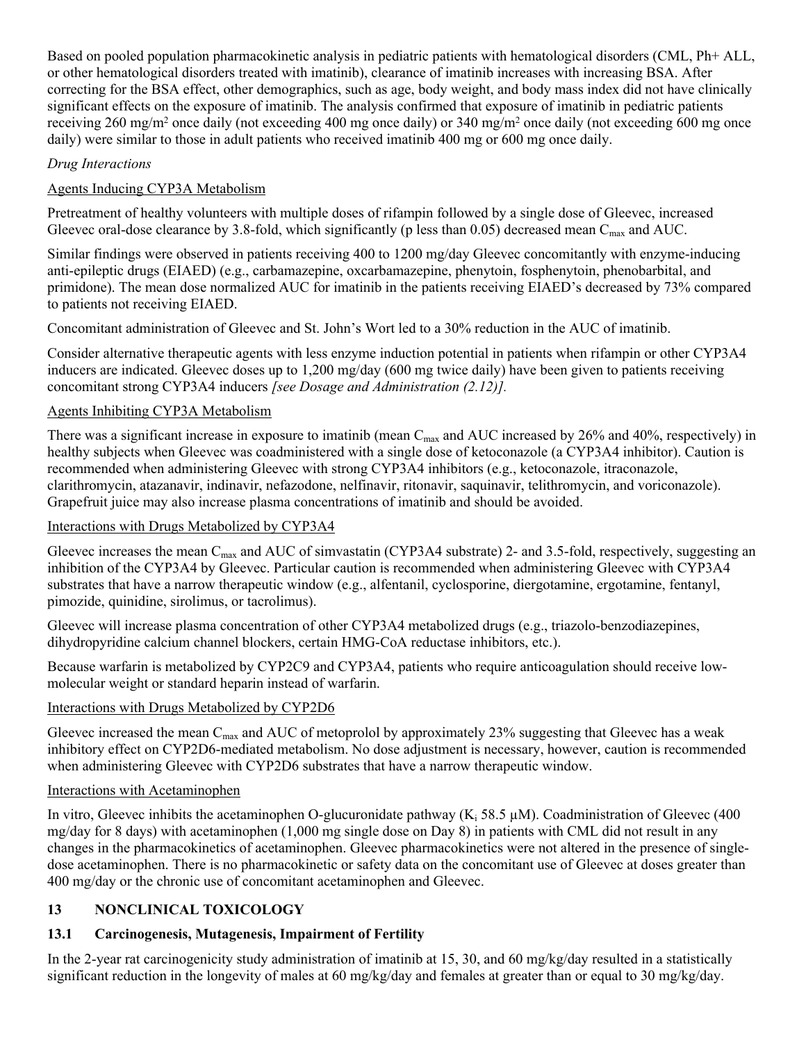Based on pooled population pharmacokinetic analysis in pediatric patients with hematological disorders (CML, Ph+ ALL, or other hematological disorders treated with imatinib), clearance of imatinib increases with increasing BSA. After correcting for the BSA effect, other demographics, such as age, body weight, and body mass index did not have clinically significant effects on the exposure of imatinib. The analysis confirmed that exposure of imatinib in pediatric patients receiving 260 mg/m<sup>2</sup> once daily (not exceeding 400 mg once daily) or 340 mg/m<sup>2</sup> once daily (not exceeding 600 mg once daily) were similar to those in adult patients who received imatinib 400 mg or 600 mg once daily.

### *Drug Interactions*

## Agents Inducing CYP3A Metabolism

Pretreatment of healthy volunteers with multiple doses of rifampin followed by a single dose of Gleevec, increased Gleevec oral-dose clearance by 3.8-fold, which significantly (p less than 0.05) decreased mean C<sub>max</sub> and AUC.

Similar findings were observed in patients receiving 400 to 1200 mg/day Gleevec concomitantly with enzyme-inducing anti-epileptic drugs (EIAED) (e.g., carbamazepine, oxcarbamazepine, phenytoin, fosphenytoin, phenobarbital, and primidone). The mean dose normalized AUC for imatinib in the patients receiving EIAED's decreased by 73% compared to patients not receiving EIAED.

Concomitant administration of Gleevec and St. John's Wort led to a 30% reduction in the AUC of imatinib.

Consider alternative therapeutic agents with less enzyme induction potential in patients when rifampin or other CYP3A4 inducers are indicated. Gleevec doses up to 1,200 mg/day (600 mg twice daily) have been given to patients receiving concomitant strong CYP3A4 inducers *[see Dosage and Administration (2.12)].*

### Agents Inhibiting CYP3A Metabolism

There was a significant increase in exposure to imatinib (mean  $C_{\text{max}}$  and AUC increased by 26% and 40%, respectively) in healthy subjects when Gleevec was coadministered with a single dose of ketoconazole (a CYP3A4 inhibitor). Caution is recommended when administering Gleevec with strong CYP3A4 inhibitors (e.g., ketoconazole, itraconazole, clarithromycin, atazanavir, indinavir, nefazodone, nelfinavir, ritonavir, saquinavir, telithromycin, and voriconazole). Grapefruit juice may also increase plasma concentrations of imatinib and should be avoided.

### Interactions with Drugs Metabolized by CYP3A4

Gleevec increases the mean  $C_{\text{max}}$  and AUC of simvastatin (CYP3A4 substrate) 2- and 3.5-fold, respectively, suggesting an inhibition of the CYP3A4 by Gleevec. Particular caution is recommended when administering Gleevec with CYP3A4 substrates that have a narrow therapeutic window (e.g., alfentanil, cyclosporine, diergotamine, ergotamine, fentanyl, pimozide, quinidine, sirolimus, or tacrolimus).

Gleevec will increase plasma concentration of other CYP3A4 metabolized drugs (e.g., triazolo-benzodiazepines, dihydropyridine calcium channel blockers, certain HMG-CoA reductase inhibitors, etc.).

Because warfarin is metabolized by CYP2C9 and CYP3A4, patients who require anticoagulation should receive lowmolecular weight or standard heparin instead of warfarin.

### Interactions with Drugs Metabolized by CYP2D6

Gleevec increased the mean  $C_{\text{max}}$  and AUC of metoprolol by approximately 23% suggesting that Gleevec has a weak inhibitory effect on CYP2D6-mediated metabolism. No dose adjustment is necessary, however, caution is recommended when administering Gleevec with CYP2D6 substrates that have a narrow therapeutic window.

### Interactions with Acetaminophen

In vitro, Gleevec inhibits the acetaminophen O-glucuronidate pathway ( $K_i$  58.5  $\mu$ M). Coadministration of Gleevec (400 mg/day for 8 days) with acetaminophen (1,000 mg single dose on Day 8) in patients with CML did not result in any changes in the pharmacokinetics of acetaminophen. Gleevec pharmacokinetics were not altered in the presence of singledose acetaminophen. There is no pharmacokinetic or safety data on the concomitant use of Gleevec at doses greater than 400 mg/day or the chronic use of concomitant acetaminophen and Gleevec.

# <span id="page-28-0"></span>**13 NONCLINICAL TOXICOLOGY**

# <span id="page-28-1"></span>**13.1 Carcinogenesis, Mutagenesis, Impairment of Fertility**

In the 2-year rat carcinogenicity study administration of imatinib at 15, 30, and 60 mg/kg/day resulted in a statistically significant reduction in the longevity of males at 60 mg/kg/day and females at greater than or equal to 30 mg/kg/day.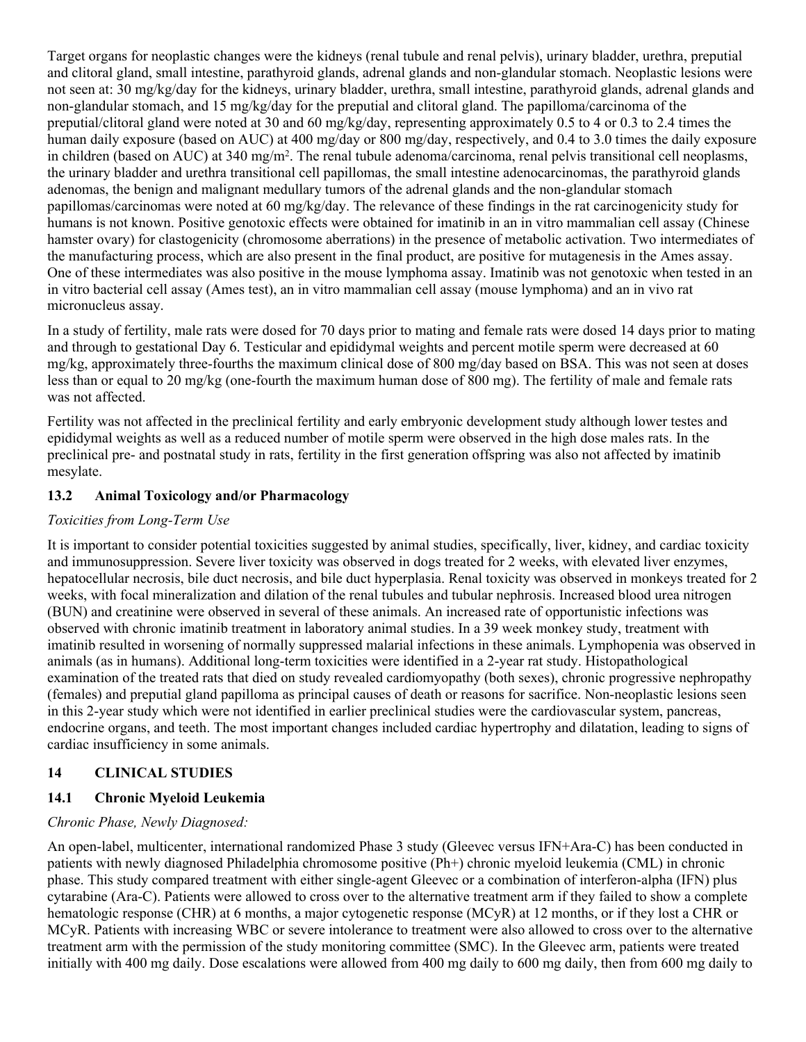Target organs for neoplastic changes were the kidneys (renal tubule and renal pelvis), urinary bladder, urethra, preputial and clitoral gland, small intestine, parathyroid glands, adrenal glands and non-glandular stomach. Neoplastic lesions were not seen at: 30 mg/kg/day for the kidneys, urinary bladder, urethra, small intestine, parathyroid glands, adrenal glands and non-glandular stomach, and 15 mg/kg/day for the preputial and clitoral gland. The papilloma/carcinoma of the preputial/clitoral gland were noted at 30 and 60 mg/kg/day, representing approximately 0.5 to 4 or 0.3 to 2.4 times the human daily exposure (based on AUC) at 400 mg/day or 800 mg/day, respectively, and 0.4 to 3.0 times the daily exposure in children (based on AUC) at 340 mg/m<sup>2</sup>. The renal tubule adenoma/carcinoma, renal pelvis transitional cell neoplasms, the urinary bladder and urethra transitional cell papillomas, the small intestine adenocarcinomas, the parathyroid glands adenomas, the benign and malignant medullary tumors of the adrenal glands and the non-glandular stomach papillomas/carcinomas were noted at 60 mg/kg/day. The relevance of these findings in the rat carcinogenicity study for humans is not known. Positive genotoxic effects were obtained for imatinib in an in vitro mammalian cell assay (Chinese hamster ovary) for clastogenicity (chromosome aberrations) in the presence of metabolic activation. Two intermediates of the manufacturing process, which are also present in the final product, are positive for mutagenesis in the Ames assay. One of these intermediates was also positive in the mouse lymphoma assay. Imatinib was not genotoxic when tested in an in vitro bacterial cell assay (Ames test), an in vitro mammalian cell assay (mouse lymphoma) and an in vivo rat micronucleus assay.

In a study of fertility, male rats were dosed for 70 days prior to mating and female rats were dosed 14 days prior to mating and through to gestational Day 6. Testicular and epididymal weights and percent motile sperm were decreased at 60 mg/kg, approximately three-fourths the maximum clinical dose of 800 mg/day based on BSA. This was not seen at doses less than or equal to 20 mg/kg (one-fourth the maximum human dose of 800 mg). The fertility of male and female rats was not affected.

Fertility was not affected in the preclinical fertility and early embryonic development study although lower testes and epididymal weights as well as a reduced number of motile sperm were observed in the high dose males rats. In the preclinical pre- and postnatal study in rats, fertility in the first generation offspring was also not affected by imatinib mesylate.

### <span id="page-29-0"></span>**13.2 Animal Toxicology and/or Pharmacology**

### *Toxicities from Long-Term Use*

It is important to consider potential toxicities suggested by animal studies, specifically, liver, kidney, and cardiac toxicity and immunosuppression. Severe liver toxicity was observed in dogs treated for 2 weeks, with elevated liver enzymes, hepatocellular necrosis, bile duct necrosis, and bile duct hyperplasia. Renal toxicity was observed in monkeys treated for 2 weeks, with focal mineralization and dilation of the renal tubules and tubular nephrosis. Increased blood urea nitrogen (BUN) and creatinine were observed in several of these animals. An increased rate of opportunistic infections was observed with chronic imatinib treatment in laboratory animal studies. In a 39 week monkey study, treatment with imatinib resulted in worsening of normally suppressed malarial infections in these animals. Lymphopenia was observed in animals (as in humans). Additional long-term toxicities were identified in a 2-year rat study. Histopathological examination of the treated rats that died on study revealed cardiomyopathy (both sexes), chronic progressive nephropathy (females) and preputial gland papilloma as principal causes of death or reasons for sacrifice. Non-neoplastic lesions seen in this 2-year study which were not identified in earlier preclinical studies were the cardiovascular system, pancreas, endocrine organs, and teeth. The most important changes included cardiac hypertrophy and dilatation, leading to signs of cardiac insufficiency in some animals.

### <span id="page-29-1"></span>**14 CLINICAL STUDIES**

### <span id="page-29-2"></span>**14.1 Chronic Myeloid Leukemia**

### *Chronic Phase, Newly Diagnosed:*

An open-label, multicenter, international randomized Phase 3 study (Gleevec versus IFN+Ara-C) has been conducted in patients with newly diagnosed Philadelphia chromosome positive (Ph+) chronic myeloid leukemia (CML) in chronic phase. This study compared treatment with either single-agent Gleevec or a combination of interferon-alpha (IFN) plus cytarabine (Ara-C). Patients were allowed to cross over to the alternative treatment arm if they failed to show a complete hematologic response (CHR) at 6 months, a major cytogenetic response (MCyR) at 12 months, or if they lost a CHR or MCyR. Patients with increasing WBC or severe intolerance to treatment were also allowed to cross over to the alternative treatment arm with the permission of the study monitoring committee (SMC). In the Gleevec arm, patients were treated initially with 400 mg daily. Dose escalations were allowed from 400 mg daily to 600 mg daily, then from 600 mg daily to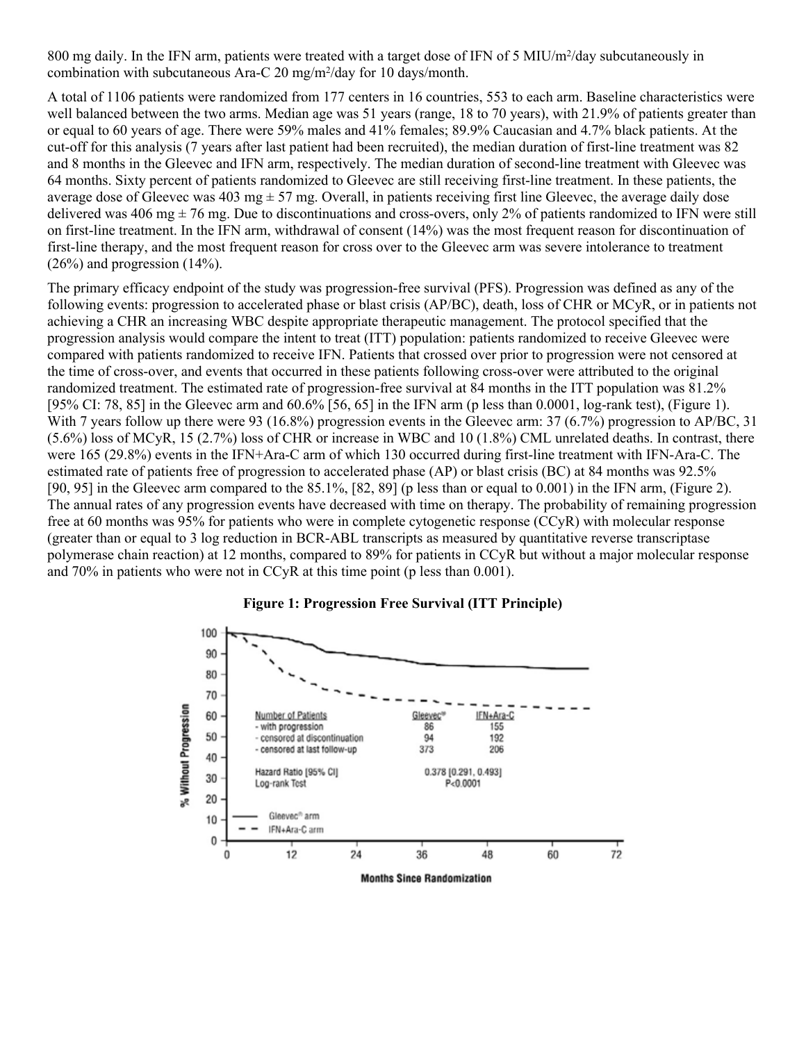800 mg daily. In the IFN arm, patients were treated with a target dose of IFN of 5 MIU/m<sup>2</sup>/day subcutaneously in combination with subcutaneous Ara-C 20 mg/m<sup>2</sup> /day for 10 days/month.

A total of 1106 patients were randomized from 177 centers in 16 countries, 553 to each arm. Baseline characteristics were well balanced between the two arms. Median age was 51 years (range, 18 to 70 years), with 21.9% of patients greater than or equal to 60 years of age. There were 59% males and 41% females; 89.9% Caucasian and 4.7% black patients. At the cut-off for this analysis (7 years after last patient had been recruited), the median duration of first-line treatment was 82 and 8 months in the Gleevec and IFN arm, respectively. The median duration of second-line treatment with Gleevec was 64 months. Sixty percent of patients randomized to Gleevec are still receiving first-line treatment. In these patients, the average dose of Gleevec was 403 mg  $\pm$  57 mg. Overall, in patients receiving first line Gleevec, the average daily dose delivered was 406 mg  $\pm$  76 mg. Due to discontinuations and cross-overs, only 2% of patients randomized to IFN were still on first-line treatment. In the IFN arm, withdrawal of consent (14%) was the most frequent reason for discontinuation of first-line therapy, and the most frequent reason for cross over to the Gleevec arm was severe intolerance to treatment  $(26\%)$  and progression  $(14\%)$ .

The primary efficacy endpoint of the study was progression-free survival (PFS). Progression was defined as any of the following events: progression to accelerated phase or blast crisis (AP/BC), death, loss of CHR or MCyR, or in patients not achieving a CHR an increasing WBC despite appropriate therapeutic management. The protocol specified that the progression analysis would compare the intent to treat (ITT) population: patients randomized to receive Gleevec were compared with patients randomized to receive IFN. Patients that crossed over prior to progression were not censored at the time of cross-over, and events that occurred in these patients following cross-over were attributed to the original randomized treatment. The estimated rate of progression-free survival at 84 months in the ITT population was 81.2% [95% CI: 78, 85] in the Gleevec arm and 60.6% [56, 65] in the IFN arm (p less than 0.0001, log-rank test), (Figure 1). With 7 years follow up there were 93 (16.8%) progression events in the Gleevec arm: 37 (6.7%) progression to AP/BC, 31 (5.6%) loss of MCyR, 15 (2.7%) loss of CHR or increase in WBC and 10 (1.8%) CML unrelated deaths. In contrast, there were 165 (29.8%) events in the IFN+Ara-C arm of which 130 occurred during first-line treatment with IFN-Ara-C. The estimated rate of patients free of progression to accelerated phase (AP) or blast crisis (BC) at 84 months was 92.5% [90, 95] in the Gleevec arm compared to the 85.1%, [82, 89] (p less than or equal to 0.001) in the IFN arm, (Figure 2). The annual rates of any progression events have decreased with time on therapy. The probability of remaining progression free at 60 months was 95% for patients who were in complete cytogenetic response (CCyR) with molecular response (greater than or equal to 3 log reduction in BCR-ABL transcripts as measured by quantitative reverse transcriptase polymerase chain reaction) at 12 months, compared to 89% for patients in CCyR but without a major molecular response and 70% in patients who were not in CCyR at this time point (p less than 0.001).



#### **Figure 1: Progression Free Survival (ITT Principle)**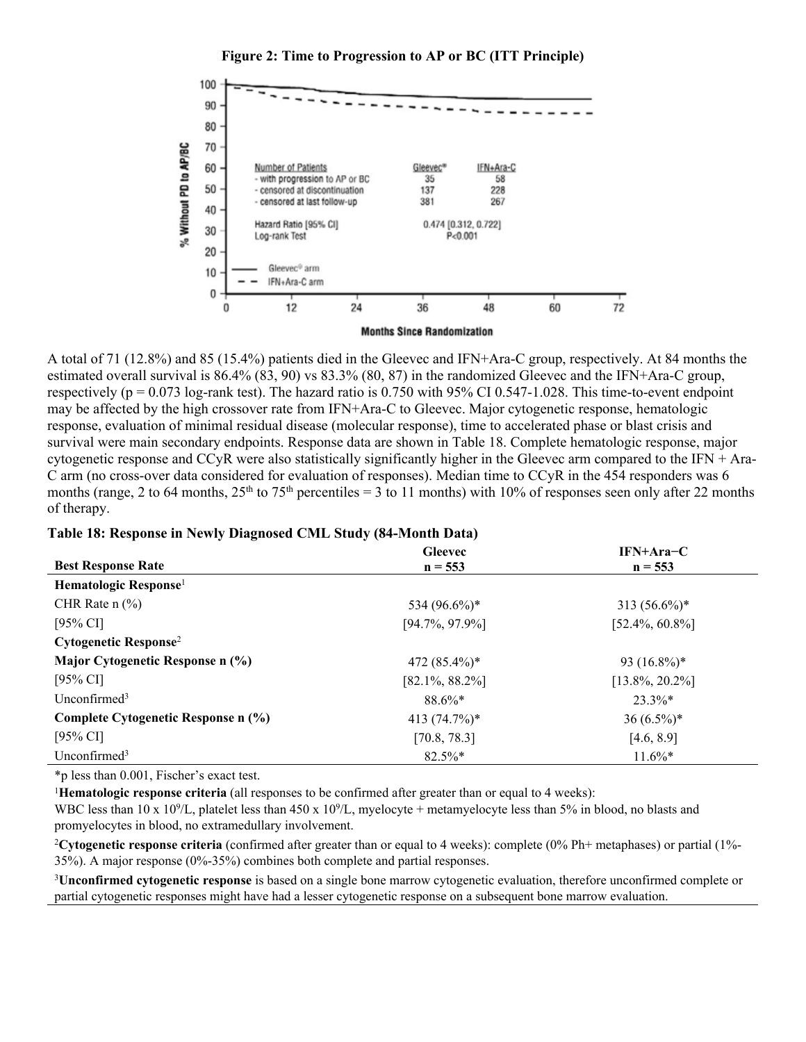

**Figure 2: Time to Progression to AP or BC (ITT Principle)**

A total of 71 (12.8%) and 85 (15.4%) patients died in the Gleevec and IFN+Ara-C group, respectively. At 84 months the estimated overall survival is 86.4% (83, 90) vs 83.3% (80, 87) in the randomized Gleevec and the IFN+Ara-C group, respectively ( $p = 0.073$  log-rank test). The hazard ratio is 0.750 with 95% CI 0.547-1.028. This time-to-event endpoint may be affected by the high crossover rate from IFN+Ara-C to Gleevec. Major cytogenetic response, hematologic response, evaluation of minimal residual disease (molecular response), time to accelerated phase or blast crisis and survival were main secondary endpoints. Response data are shown in Table 18. Complete hematologic response, major cytogenetic response and CCyR were also statistically significantly higher in the Gleevec arm compared to the IFN  $+$  Ara-C arm (no cross-over data considered for evaluation of responses). Median time to CCyR in the 454 responders was 6 months (range, 2 to 64 months,  $25<sup>th</sup>$  to 75<sup>th</sup> percentiles = 3 to 11 months) with 10% of responses seen only after 22 months of therapy.

#### **Table 18: Response in Newly Diagnosed CML Study (84-Month Data)**

|                                     | <b>Gleevec</b>     | $IFN+Area-C$       |
|-------------------------------------|--------------------|--------------------|
| <b>Best Response Rate</b>           | $n = 553$          | $n = 553$          |
| Hematologic Response <sup>1</sup>   |                    |                    |
| CHR Rate $n$ $\frac{6}{6}$          | 534 (96.6%)*       | $313(56.6\%)*$     |
| [95% CI]                            | $[94.7\%, 97.9\%]$ | $[52.4\%, 60.8\%]$ |
| Cytogenetic Response <sup>2</sup>   |                    |                    |
| Major Cytogenetic Response n (%)    | 472 $(85.4\%)*$    | 93 $(16.8\%)*$     |
| [95% CI]                            | $[82.1\%, 88.2\%]$ | $[13.8\%, 20.2\%]$ |
| Unconfirmed <sup>3</sup>            | $88.6\%*$          | $23.3\%*$          |
| Complete Cytogenetic Response n (%) | 413 $(74.7%)$ *    | $36(6.5\%)*$       |
| [95% CI]                            | [70.8, 78.3]       | [4.6, 8.9]         |
| Unconfirmed $3$                     | $82.5\%*$          | $11.6\%*$          |

\*p less than 0.001, Fischer's exact test.

<sup>1</sup>**Hematologic response criteria** (all responses to be confirmed after greater than or equal to 4 weeks):

WBC less than  $10 \times 10^9$ /L, platelet less than  $450 \times 10^9$ /L, myelocyte + metamyelocyte less than  $5\%$  in blood, no blasts and promyelocytes in blood, no extramedullary involvement.

<sup>2</sup>**Cytogenetic response criteria** (confirmed after greater than or equal to 4 weeks): complete (0% Ph+ metaphases) or partial (1%- 35%). A major response (0%-35%) combines both complete and partial responses.

<sup>3</sup>**Unconfirmed cytogenetic response** is based on a single bone marrow cytogenetic evaluation, therefore unconfirmed complete or partial cytogenetic responses might have had a lesser cytogenetic response on a subsequent bone marrow evaluation.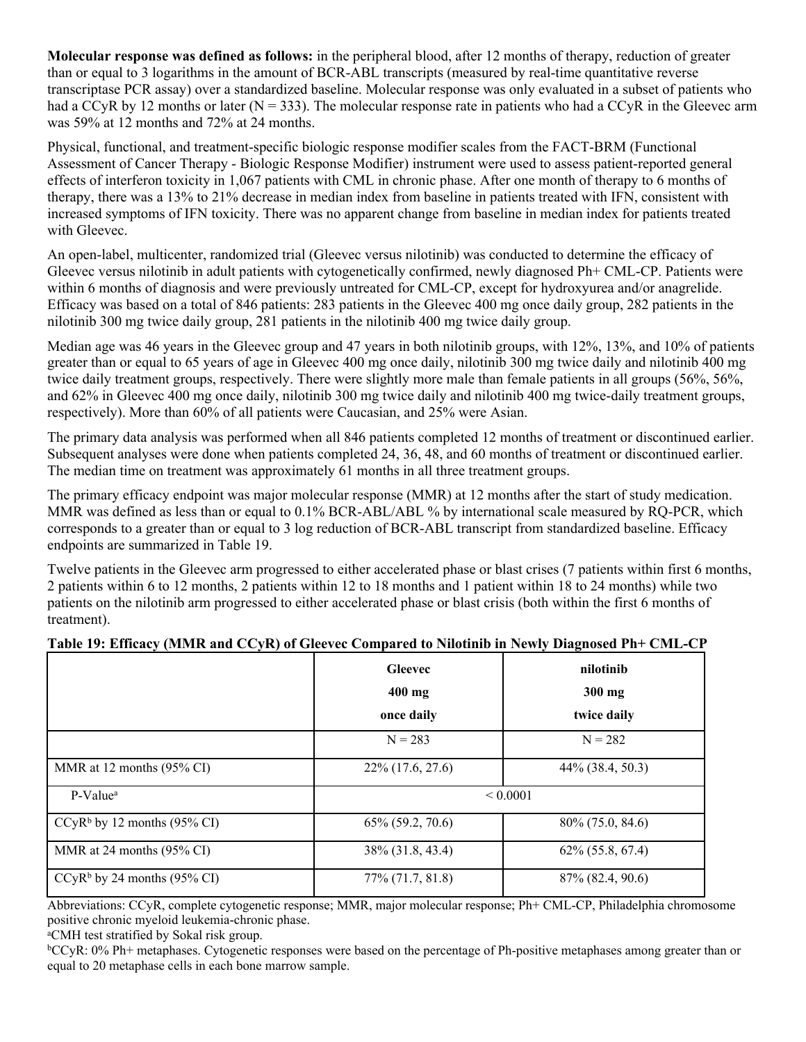**Molecular response was defined as follows:** in the peripheral blood, after 12 months of therapy, reduction of greater than or equal to 3 logarithms in the amount of BCR-ABL transcripts (measured by real-time quantitative reverse transcriptase PCR assay) over a standardized baseline. Molecular response was only evaluated in a subset of patients who had a CCyR by 12 months or later ( $N = 333$ ). The molecular response rate in patients who had a CCyR in the Gleevec arm was 59% at 12 months and 72% at 24 months.

Physical, functional, and treatment-specific biologic response modifier scales from the FACT-BRM (Functional Assessment of Cancer Therapy - Biologic Response Modifier) instrument were used to assess patient-reported general effects of interferon toxicity in 1,067 patients with CML in chronic phase. After one month of therapy to 6 months of therapy, there was a 13% to 21% decrease in median index from baseline in patients treated with IFN, consistent with increased symptoms of IFN toxicity. There was no apparent change from baseline in median index for patients treated with Gleevec.

An open-label, multicenter, randomized trial (Gleevec versus nilotinib) was conducted to determine the efficacy of Gleevec versus nilotinib in adult patients with cytogenetically confirmed, newly diagnosed Ph+ CML-CP. Patients were within 6 months of diagnosis and were previously untreated for CML-CP, except for hydroxyurea and/or anagrelide. Efficacy was based on a total of 846 patients: 283 patients in the Gleevec 400 mg once daily group, 282 patients in the nilotinib 300 mg twice daily group, 281 patients in the nilotinib 400 mg twice daily group.

Median age was 46 years in the Gleevec group and 47 years in both nilotinib groups, with 12%, 13%, and 10% of patients greater than or equal to 65 years of age in Gleevec 400 mg once daily, nilotinib 300 mg twice daily and nilotinib 400 mg twice daily treatment groups, respectively. There were slightly more male than female patients in all groups (56%, 56%, and 62% in Gleevec 400 mg once daily, nilotinib 300 mg twice daily and nilotinib 400 mg twice-daily treatment groups, respectively). More than 60% of all patients were Caucasian, and 25% were Asian.

The primary data analysis was performed when all 846 patients completed 12 months of treatment or discontinued earlier. Subsequent analyses were done when patients completed 24, 36, 48, and 60 months of treatment or discontinued earlier. The median time on treatment was approximately 61 months in all three treatment groups.

The primary efficacy endpoint was major molecular response (MMR) at 12 months after the start of study medication. MMR was defined as less than or equal to 0.1% BCR-ABL/ABL % by international scale measured by RQ-PCR, which corresponds to a greater than or equal to 3 log reduction of BCR-ABL transcript from standardized baseline. Efficacy endpoints are summarized in Table 19.

Twelve patients in the Gleevec arm progressed to either accelerated phase or blast crises (7 patients within first 6 months, 2 patients within 6 to 12 months, 2 patients within 12 to 18 months and 1 patient within 18 to 24 months) while two patients on the nilotinib arm progressed to either accelerated phase or blast crisis (both within the first 6 months of treatment).

|                               | <b>Gleevec</b>        | nilotinib             |
|-------------------------------|-----------------------|-----------------------|
|                               | $400$ mg              | 300 mg                |
|                               | once daily            | twice daily           |
|                               | $N = 283$             | $N = 282$             |
| MMR at 12 months (95% CI)     | $22\%$ (17.6, 27.6)   | $44\%$ (38.4, 50.3)   |
| P-Value <sup>a</sup>          |                       | ${}_{0.0001}$         |
| $CCyRb$ by 12 months (95% CI) | $65\%$ $(59.2, 70.6)$ | 80\% (75.0, 84.6)     |
| MMR at 24 months (95% CI)     | 38\% (31.8, 43.4)     | $62\%$ $(55.8, 67.4)$ |
| $CCyRb$ by 24 months (95% CI) | $77\%$ $(71.7, 81.8)$ | 87\% (82.4, 90.6)     |

### **Table 19: Efficacy (MMR and CCyR) of Gleevec Compared to Nilotinib in Newly Diagnosed Ph+ CML-CP**

Abbreviations: CCyR, complete cytogenetic response; MMR, major molecular response; Ph+ CML-CP, Philadelphia chromosome positive chronic myeloid leukemia-chronic phase.

<sup>a</sup>CMH test stratified by Sokal risk group.

<sup>b</sup>CCyR: 0% Ph+ metaphases. Cytogenetic responses were based on the percentage of Ph-positive metaphases among greater than or equal to 20 metaphase cells in each bone marrow sample.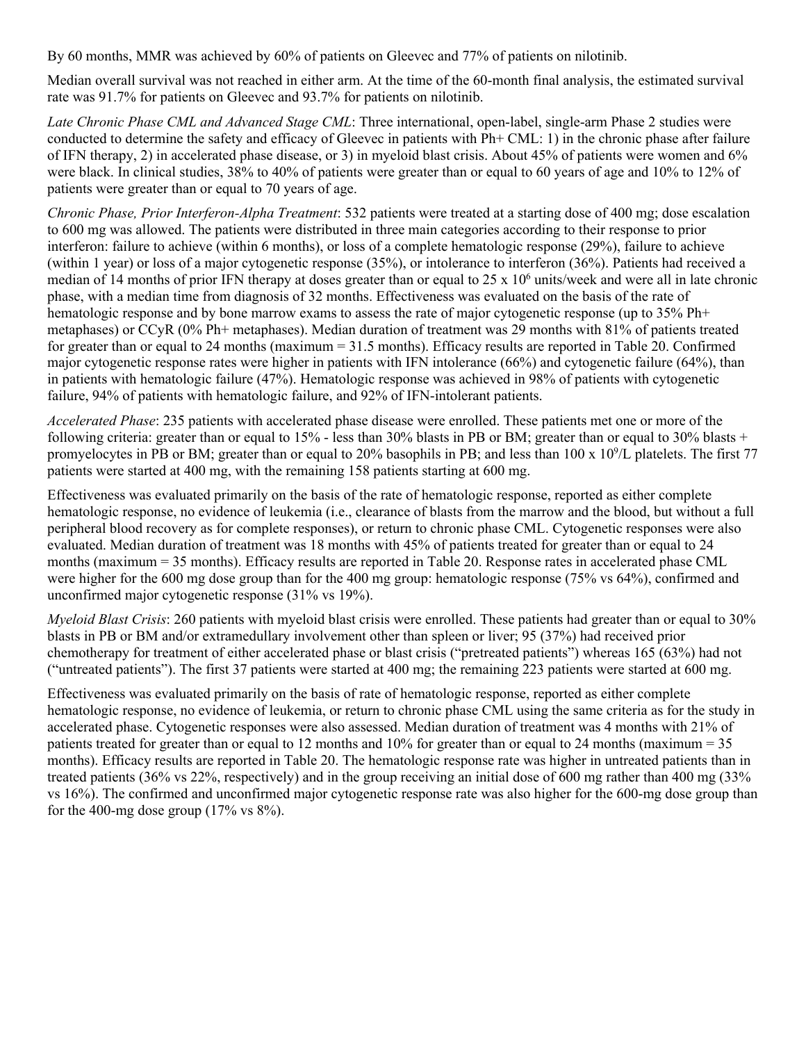By 60 months, MMR was achieved by 60% of patients on Gleevec and 77% of patients on nilotinib.

Median overall survival was not reached in either arm. At the time of the 60-month final analysis, the estimated survival rate was 91.7% for patients on Gleevec and 93.7% for patients on nilotinib.

*Late Chronic Phase CML and Advanced Stage CML*: Three international, open-label, single-arm Phase 2 studies were conducted to determine the safety and efficacy of Gleevec in patients with Ph+ CML: 1) in the chronic phase after failure of IFN therapy, 2) in accelerated phase disease, or 3) in myeloid blast crisis. About 45% of patients were women and 6% were black. In clinical studies, 38% to 40% of patients were greater than or equal to 60 years of age and 10% to 12% of patients were greater than or equal to 70 years of age.

*Chronic Phase, Prior Interferon-Alpha Treatment*: 532 patients were treated at a starting dose of 400 mg; dose escalation to 600 mg was allowed. The patients were distributed in three main categories according to their response to prior interferon: failure to achieve (within 6 months), or loss of a complete hematologic response (29%), failure to achieve (within 1 year) or loss of a major cytogenetic response (35%), or intolerance to interferon (36%). Patients had received a median of 14 months of prior IFN therapy at doses greater than or equal to 25 x 10<sup>6</sup> units/week and were all in late chronic phase, with a median time from diagnosis of 32 months. Effectiveness was evaluated on the basis of the rate of hematologic response and by bone marrow exams to assess the rate of major cytogenetic response (up to 35% Ph+ metaphases) or CCyR (0% Ph+ metaphases). Median duration of treatment was 29 months with 81% of patients treated for greater than or equal to 24 months (maximum = 31.5 months). Efficacy results are reported in Table 20. Confirmed major cytogenetic response rates were higher in patients with IFN intolerance (66%) and cytogenetic failure (64%), than in patients with hematologic failure (47%). Hematologic response was achieved in 98% of patients with cytogenetic failure, 94% of patients with hematologic failure, and 92% of IFN-intolerant patients.

*Accelerated Phase*: 235 patients with accelerated phase disease were enrolled. These patients met one or more of the following criteria: greater than or equal to  $15\%$  - less than 30% blasts in PB or BM; greater than or equal to 30% blasts + promyelocytes in PB or BM; greater than or equal to 20% basophils in PB; and less than 100 x 10<sup>9</sup>/L platelets. The first 77 patients were started at 400 mg, with the remaining 158 patients starting at 600 mg.

Effectiveness was evaluated primarily on the basis of the rate of hematologic response, reported as either complete hematologic response, no evidence of leukemia (i.e., clearance of blasts from the marrow and the blood, but without a full peripheral blood recovery as for complete responses), or return to chronic phase CML. Cytogenetic responses were also evaluated. Median duration of treatment was 18 months with 45% of patients treated for greater than or equal to 24 months (maximum = 35 months). Efficacy results are reported in Table 20. Response rates in accelerated phase CML were higher for the 600 mg dose group than for the 400 mg group: hematologic response (75% vs 64%), confirmed and unconfirmed major cytogenetic response (31% vs 19%).

*Myeloid Blast Crisis*: 260 patients with myeloid blast crisis were enrolled. These patients had greater than or equal to 30% blasts in PB or BM and/or extramedullary involvement other than spleen or liver; 95 (37%) had received prior chemotherapy for treatment of either accelerated phase or blast crisis ("pretreated patients") whereas 165 (63%) had not ("untreated patients"). The first 37 patients were started at 400 mg; the remaining 223 patients were started at 600 mg.

Effectiveness was evaluated primarily on the basis of rate of hematologic response, reported as either complete hematologic response, no evidence of leukemia, or return to chronic phase CML using the same criteria as for the study in accelerated phase. Cytogenetic responses were also assessed. Median duration of treatment was 4 months with 21% of patients treated for greater than or equal to 12 months and 10% for greater than or equal to 24 months (maximum  $= 35$ ) months). Efficacy results are reported in Table 20. The hematologic response rate was higher in untreated patients than in treated patients (36% vs 22%, respectively) and in the group receiving an initial dose of 600 mg rather than 400 mg (33% vs 16%). The confirmed and unconfirmed major cytogenetic response rate was also higher for the 600-mg dose group than for the 400-mg dose group  $(17\% \text{ vs } 8\%).$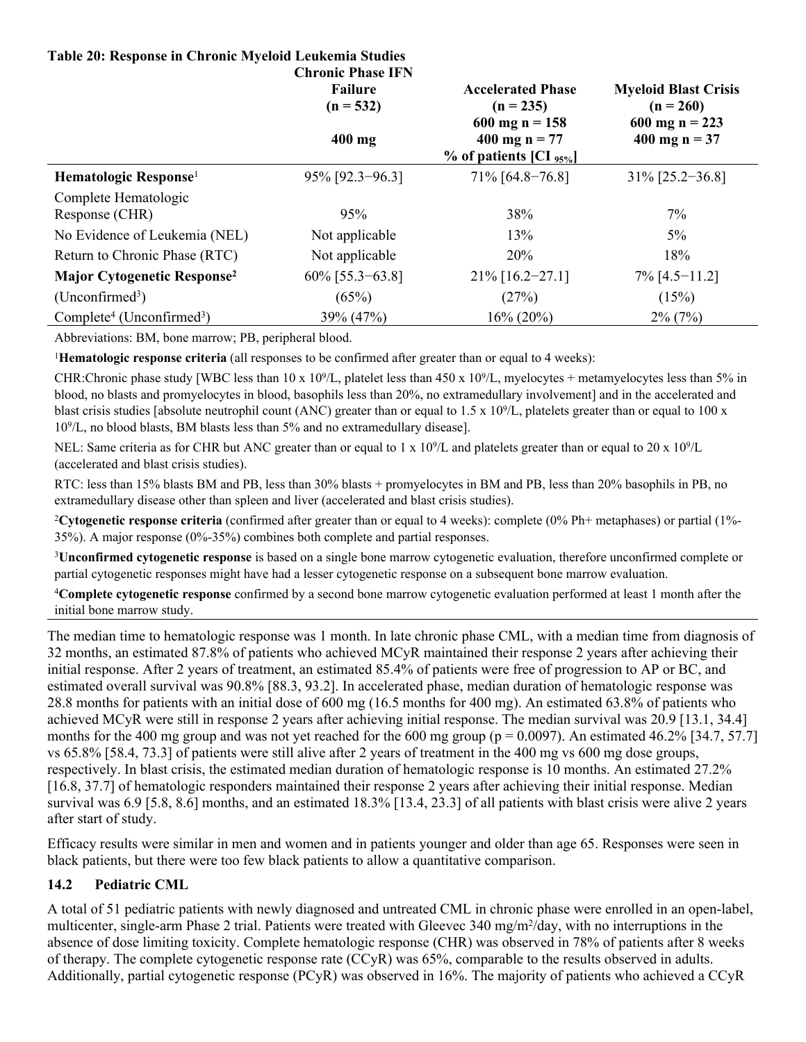#### **Table 20: Response in Chronic Myeloid Leukemia Studies Chronic Phase IFN**

|                                                   | <b>CHEQHIC FHASE LET</b><br><b>Failure</b><br>$(n = 532)$ | <b>Accelerated Phase</b><br>$(n = 235)$                                | <b>Myeloid Blast Crisis</b><br>$(n = 260)$ |
|---------------------------------------------------|-----------------------------------------------------------|------------------------------------------------------------------------|--------------------------------------------|
|                                                   | $400$ mg                                                  | $600$ mg n = 158<br>400 mg n = $77$<br>$%$ of patients [CI $_{95\%}$ ] | 600 mg n = 223<br>400 mg $n = 37$          |
| Hematologic Response <sup>1</sup>                 | $95\%$ [92.3-96.3]                                        | $71\%$ [64.8-76.8]                                                     | $31\%$ [25.2-36.8]                         |
| Complete Hematologic<br>Response (CHR)            | 95%                                                       | 38%                                                                    | $7\%$                                      |
| No Evidence of Leukemia (NEL)                     | Not applicable                                            | 13%                                                                    | $5\%$                                      |
| Return to Chronic Phase (RTC)                     | Not applicable                                            | 20%                                                                    | 18%                                        |
| <b>Major Cytogenetic Response<sup>2</sup></b>     | $60\%$ [55.3-63.8]                                        | $21\%$ [16.2-27.1]                                                     | $7\%$ [4.5-11.2]                           |
| $(Unconfirmed^3)$                                 | (65%)                                                     | (27%)                                                                  | (15%)                                      |
| Complete <sup>4</sup> (Unconfirmed <sup>3</sup> ) | 39% (47%)                                                 | $16\% (20\%)$                                                          | $2\%$ (7%)                                 |

Abbreviations: BM, bone marrow; PB, peripheral blood.

<sup>1</sup>**Hematologic response criteria** (all responses to be confirmed after greater than or equal to 4 weeks):

CHR:Chronic phase study [WBC less than  $10 \times 10^9$ /L, platelet less than  $450 \times 10^9$ /L, myelocytes + metamyelocytes less than 5% in blood, no blasts and promyelocytes in blood, basophils less than 20%, no extramedullary involvement] and in the accelerated and blast crisis studies [absolute neutrophil count (ANC) greater than or equal to 1.5 x 10<sup>9</sup>/L, platelets greater than or equal to 100 x 10<sup>9</sup> /L, no blood blasts, BM blasts less than 5% and no extramedullary disease].

NEL: Same criteria as for CHR but ANC greater than or equal to  $1 \times 10^9$ /L and platelets greater than or equal to  $20 \times 10^9$ /L (accelerated and blast crisis studies).

RTC: less than 15% blasts BM and PB, less than 30% blasts + promyelocytes in BM and PB, less than 20% basophils in PB, no extramedullary disease other than spleen and liver (accelerated and blast crisis studies).

<sup>2</sup>**Cytogenetic response criteria** (confirmed after greater than or equal to 4 weeks): complete (0% Ph+ metaphases) or partial (1%- 35%). A major response (0%-35%) combines both complete and partial responses.

<sup>3</sup>**Unconfirmed cytogenetic response** is based on a single bone marrow cytogenetic evaluation, therefore unconfirmed complete or partial cytogenetic responses might have had a lesser cytogenetic response on a subsequent bone marrow evaluation.

<sup>4</sup>**Complete cytogenetic response** confirmed by a second bone marrow cytogenetic evaluation performed at least 1 month after the initial bone marrow study.

The median time to hematologic response was 1 month. In late chronic phase CML, with a median time from diagnosis of 32 months, an estimated 87.8% of patients who achieved MCyR maintained their response 2 years after achieving their initial response. After 2 years of treatment, an estimated 85.4% of patients were free of progression to AP or BC, and estimated overall survival was 90.8% [88.3, 93.2]. In accelerated phase, median duration of hematologic response was 28.8 months for patients with an initial dose of 600 mg (16.5 months for 400 mg). An estimated 63.8% of patients who achieved MCyR were still in response 2 years after achieving initial response. The median survival was 20.9 [13.1, 34.4] months for the 400 mg group and was not yet reached for the 600 mg group ( $p = 0.0097$ ). An estimated 46.2% [34.7, 57.7] vs 65.8% [58.4, 73.3] of patients were still alive after 2 years of treatment in the 400 mg vs 600 mg dose groups, respectively. In blast crisis, the estimated median duration of hematologic response is 10 months. An estimated 27.2% [16.8, 37.7] of hematologic responders maintained their response 2 years after achieving their initial response. Median survival was 6.9 [5.8, 8.6] months, and an estimated 18.3% [13.4, 23.3] of all patients with blast crisis were alive 2 years after start of study.

Efficacy results were similar in men and women and in patients younger and older than age 65. Responses were seen in black patients, but there were too few black patients to allow a quantitative comparison.

### <span id="page-34-0"></span>**14.2 Pediatric CML**

A total of 51 pediatric patients with newly diagnosed and untreated CML in chronic phase were enrolled in an open-label, multicenter, single-arm Phase 2 trial. Patients were treated with Gleevec 340 mg/m<sup>2</sup>/day, with no interruptions in the absence of dose limiting toxicity. Complete hematologic response (CHR) was observed in 78% of patients after 8 weeks of therapy. The complete cytogenetic response rate (CCyR) was 65%, comparable to the results observed in adults. Additionally, partial cytogenetic response (PCyR) was observed in 16%. The majority of patients who achieved a CCyR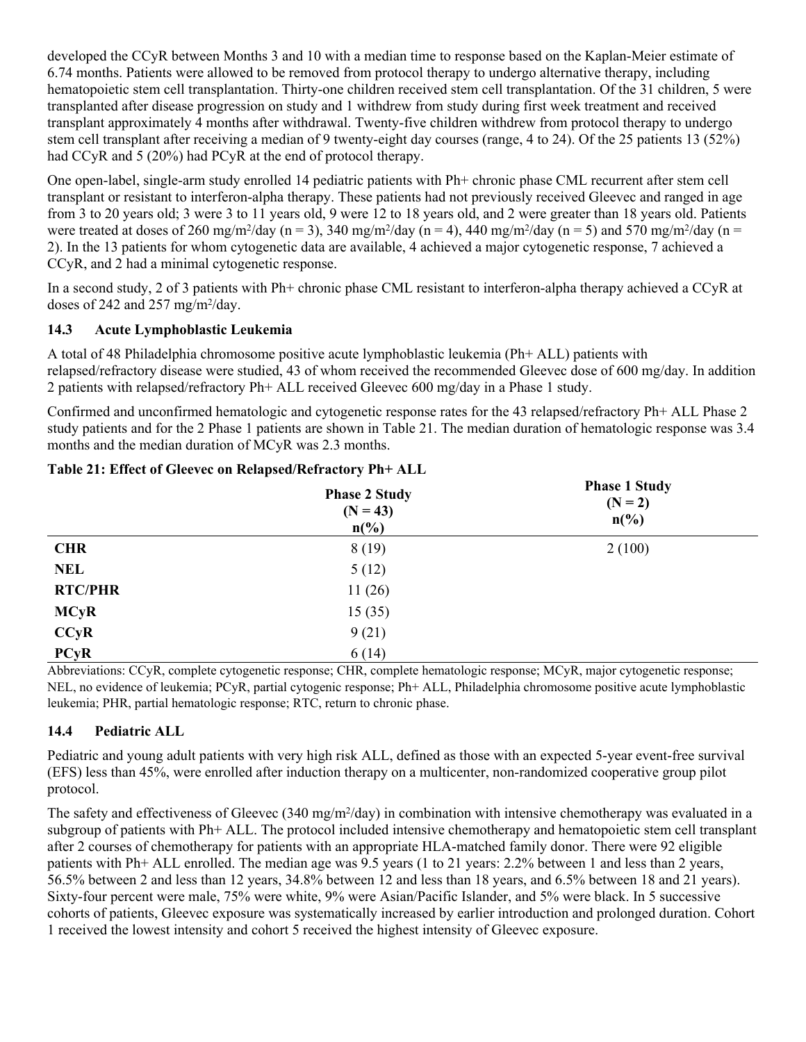developed the CCyR between Months 3 and 10 with a median time to response based on the Kaplan-Meier estimate of 6.74 months. Patients were allowed to be removed from protocol therapy to undergo alternative therapy, including hematopoietic stem cell transplantation. Thirty-one children received stem cell transplantation. Of the 31 children, 5 were transplanted after disease progression on study and 1 withdrew from study during first week treatment and received transplant approximately 4 months after withdrawal. Twenty-five children withdrew from protocol therapy to undergo stem cell transplant after receiving a median of 9 twenty-eight day courses (range, 4 to 24). Of the 25 patients 13 (52%) had CCyR and 5 (20%) had PCyR at the end of protocol therapy.

One open-label, single-arm study enrolled 14 pediatric patients with Ph+ chronic phase CML recurrent after stem cell transplant or resistant to interferon-alpha therapy. These patients had not previously received Gleevec and ranged in age from 3 to 20 years old; 3 were 3 to 11 years old, 9 were 12 to 18 years old, and 2 were greater than 18 years old. Patients were treated at doses of 260 mg/m<sup>2</sup>/day (n = 3), 340 mg/m<sup>2</sup>/day (n = 4), 440 mg/m<sup>2</sup>/day (n = 5) and 570 mg/m<sup>2</sup>/day (n = 2). In the 13 patients for whom cytogenetic data are available, 4 achieved a major cytogenetic response, 7 achieved a CCyR, and 2 had a minimal cytogenetic response.

In a second study, 2 of 3 patients with Ph+ chronic phase CML resistant to interferon-alpha therapy achieved a CCyR at doses of 242 and 257 mg/m<sup>2</sup>/day.

### <span id="page-35-0"></span>**14.3 Acute Lymphoblastic Leukemia**

A total of 48 Philadelphia chromosome positive acute lymphoblastic leukemia (Ph+ ALL) patients with relapsed/refractory disease were studied, 43 of whom received the recommended Gleevec dose of 600 mg/day. In addition 2 patients with relapsed/refractory Ph+ ALL received Gleevec 600 mg/day in a Phase 1 study.

Confirmed and unconfirmed hematologic and cytogenetic response rates for the 43 relapsed/refractory Ph+ ALL Phase 2 study patients and for the 2 Phase 1 patients are shown in Table 21. The median duration of hematologic response was 3.4 months and the median duration of MCyR was 2.3 months.

### **Table 21: Effect of Gleevec on Relapsed/Refractory Ph+ ALL**

|                | <b>Phase 2 Study</b><br>$(N = 43)$<br>$n\binom{0}{0}$ | <b>Phase 1 Study</b><br>$(N = 2)$<br>$n\left(\frac{0}{0}\right)$ |
|----------------|-------------------------------------------------------|------------------------------------------------------------------|
| <b>CHR</b>     | 8(19)                                                 | 2(100)                                                           |
| <b>NEL</b>     | 5(12)                                                 |                                                                  |
| <b>RTC/PHR</b> | 11(26)                                                |                                                                  |
| <b>MCyR</b>    | 15(35)                                                |                                                                  |
| CCyR           | 9(21)                                                 |                                                                  |
| <b>PCyR</b>    | 6(14)                                                 |                                                                  |

Abbreviations: CCyR, complete cytogenetic response; CHR, complete hematologic response; MCyR, major cytogenetic response; NEL, no evidence of leukemia; PCyR, partial cytogenic response; Ph+ ALL, Philadelphia chromosome positive acute lymphoblastic leukemia; PHR, partial hematologic response; RTC, return to chronic phase.

### <span id="page-35-1"></span>**14.4 Pediatric ALL**

Pediatric and young adult patients with very high risk ALL, defined as those with an expected 5-year event-free survival (EFS) less than 45%, were enrolled after induction therapy on a multicenter, non-randomized cooperative group pilot protocol.

The safety and effectiveness of Gleevec (340 mg/m<sup>2</sup>/day) in combination with intensive chemotherapy was evaluated in a subgroup of patients with Ph+ ALL. The protocol included intensive chemotherapy and hematopoietic stem cell transplant after 2 courses of chemotherapy for patients with an appropriate HLA-matched family donor. There were 92 eligible patients with Ph+ ALL enrolled. The median age was 9.5 years (1 to 21 years: 2.2% between 1 and less than 2 years, 56.5% between 2 and less than 12 years, 34.8% between 12 and less than 18 years, and 6.5% between 18 and 21 years). Sixty-four percent were male, 75% were white, 9% were Asian/Pacific Islander, and 5% were black. In 5 successive cohorts of patients, Gleevec exposure was systematically increased by earlier introduction and prolonged duration. Cohort 1 received the lowest intensity and cohort 5 received the highest intensity of Gleevec exposure.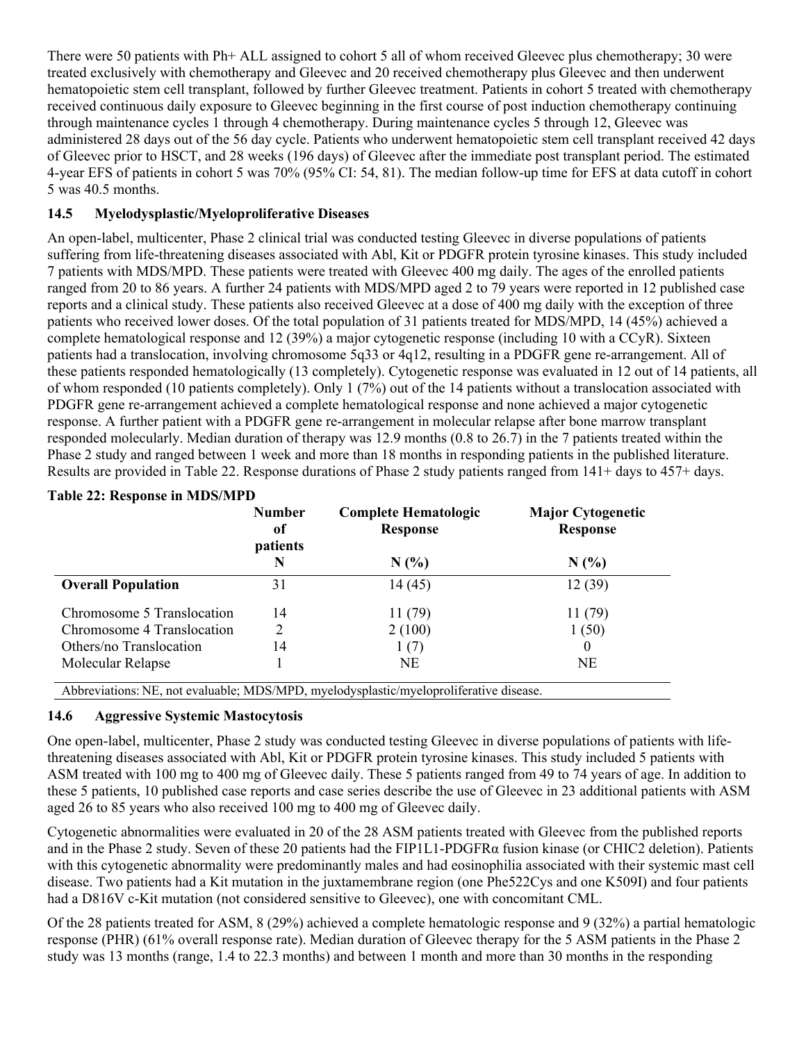There were 50 patients with Ph+ ALL assigned to cohort 5 all of whom received Gleevec plus chemotherapy; 30 were treated exclusively with chemotherapy and Gleevec and 20 received chemotherapy plus Gleevec and then underwent hematopoietic stem cell transplant, followed by further Gleevec treatment. Patients in cohort 5 treated with chemotherapy received continuous daily exposure to Gleevec beginning in the first course of post induction chemotherapy continuing through maintenance cycles 1 through 4 chemotherapy. During maintenance cycles 5 through 12, Gleevec was administered 28 days out of the 56 day cycle. Patients who underwent hematopoietic stem cell transplant received 42 days of Gleevec prior to HSCT, and 28 weeks (196 days) of Gleevec after the immediate post transplant period. The estimated 4-year EFS of patients in cohort 5 was 70% (95% CI: 54, 81). The median follow-up time for EFS at data cutoff in cohort 5 was 40.5 months.

### <span id="page-36-0"></span>**14.5 Myelodysplastic/Myeloproliferative Diseases**

An open-label, multicenter, Phase 2 clinical trial was conducted testing Gleevec in diverse populations of patients suffering from life-threatening diseases associated with Abl, Kit or PDGFR protein tyrosine kinases. This study included 7 patients with MDS/MPD. These patients were treated with Gleevec 400 mg daily. The ages of the enrolled patients ranged from 20 to 86 years. A further 24 patients with MDS/MPD aged 2 to 79 years were reported in 12 published case reports and a clinical study. These patients also received Gleevec at a dose of 400 mg daily with the exception of three patients who received lower doses. Of the total population of 31 patients treated for MDS/MPD, 14 (45%) achieved a complete hematological response and 12 (39%) a major cytogenetic response (including 10 with a CCyR). Sixteen patients had a translocation, involving chromosome 5q33 or 4q12, resulting in a PDGFR gene re-arrangement. All of these patients responded hematologically (13 completely). Cytogenetic response was evaluated in 12 out of 14 patients, all of whom responded (10 patients completely). Only 1 (7%) out of the 14 patients without a translocation associated with PDGFR gene re-arrangement achieved a complete hematological response and none achieved a major cytogenetic response. A further patient with a PDGFR gene re-arrangement in molecular relapse after bone marrow transplant responded molecularly. Median duration of therapy was 12.9 months (0.8 to 26.7) in the 7 patients treated within the Phase 2 study and ranged between 1 week and more than 18 months in responding patients in the published literature. Results are provided in Table 22. Response durations of Phase 2 study patients ranged from 141+ days to 457+ days.

|                            | <b>Number</b><br>of<br>patients | <b>Complete Hematologic</b><br><b>Response</b> | <b>Major Cytogenetic</b><br><b>Response</b> |
|----------------------------|---------------------------------|------------------------------------------------|---------------------------------------------|
|                            | N                               | N(%                                            | N(%                                         |
| <b>Overall Population</b>  | 31                              | 14(45)                                         | 12(39)                                      |
| Chromosome 5 Translocation | 14                              | 11(79)                                         | 11(79)                                      |
| Chromosome 4 Translocation | 2                               | 2(100)                                         | 1(50)                                       |
| Others/no Translocation    | 14                              | 1(7)                                           | $\theta$                                    |
| Molecular Relapse          |                                 | NE                                             | <b>NE</b>                                   |

### **Table 22: Response in MDS/MPD**

Abbreviations: NE, not evaluable; MDS/MPD, myelodysplastic/myeloproliferative disease.

### <span id="page-36-1"></span>**14.6 Aggressive Systemic Mastocytosis**

One open-label, multicenter, Phase 2 study was conducted testing Gleevec in diverse populations of patients with lifethreatening diseases associated with Abl, Kit or PDGFR protein tyrosine kinases. This study included 5 patients with ASM treated with 100 mg to 400 mg of Gleevec daily. These 5 patients ranged from 49 to 74 years of age. In addition to these 5 patients, 10 published case reports and case series describe the use of Gleevec in 23 additional patients with ASM aged 26 to 85 years who also received 100 mg to 400 mg of Gleevec daily.

Cytogenetic abnormalities were evaluated in 20 of the 28 ASM patients treated with Gleevec from the published reports and in the Phase 2 study. Seven of these 20 patients had the FIP1L1-PDGFRα fusion kinase (or CHIC2 deletion). Patients with this cytogenetic abnormality were predominantly males and had eosinophilia associated with their systemic mast cell disease. Two patients had a Kit mutation in the juxtamembrane region (one Phe522Cys and one K509I) and four patients had a D816V c-Kit mutation (not considered sensitive to Gleevec), one with concomitant CML.

Of the 28 patients treated for ASM, 8 (29%) achieved a complete hematologic response and 9 (32%) a partial hematologic response (PHR) (61% overall response rate). Median duration of Gleevec therapy for the 5 ASM patients in the Phase 2 study was 13 months (range, 1.4 to 22.3 months) and between 1 month and more than 30 months in the responding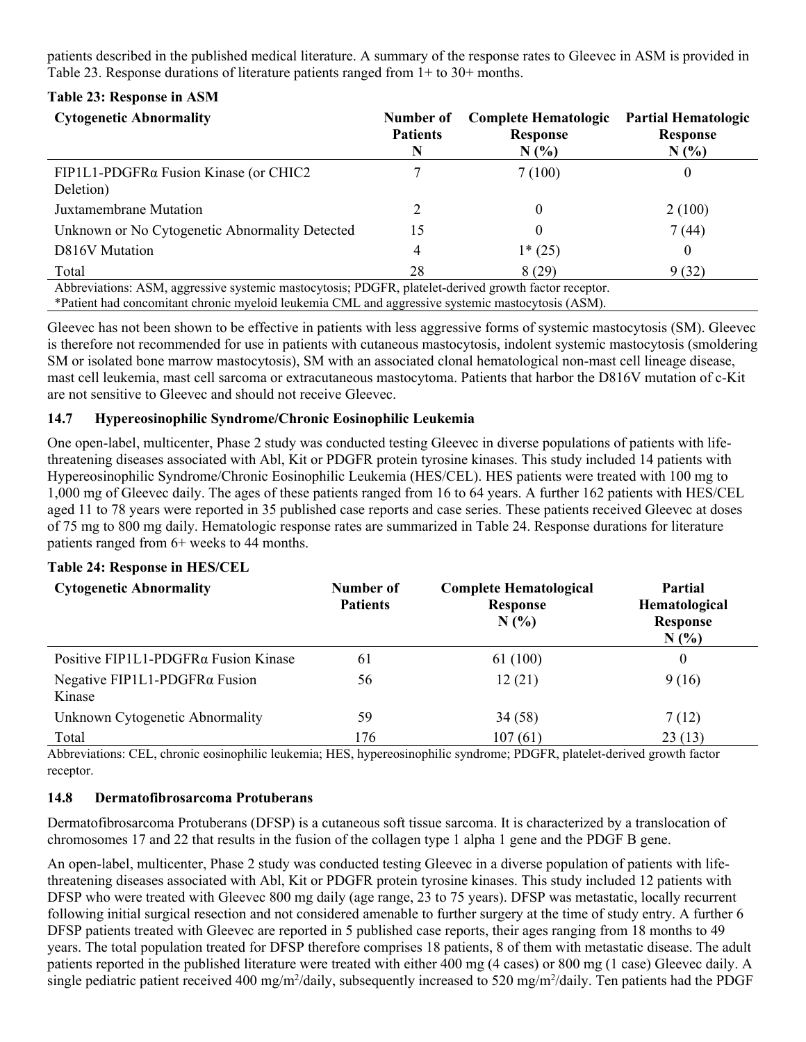patients described in the published medical literature. A summary of the response rates to Gleevec in ASM is provided in Table 23. Response durations of literature patients ranged from 1+ to 30+ months.

### **Table 23: Response in ASM**

| <b>Cytogenetic Abnormality</b>                                                                                                                                                                                                                                                                                                                                                 | Number of<br><b>Patients</b><br>N | <b>Complete Hematologic</b><br><b>Response</b><br>N(%) | <b>Partial Hematologic</b><br><b>Response</b><br>N(% |
|--------------------------------------------------------------------------------------------------------------------------------------------------------------------------------------------------------------------------------------------------------------------------------------------------------------------------------------------------------------------------------|-----------------------------------|--------------------------------------------------------|------------------------------------------------------|
| $FIP1L1-PDGFR\alpha$ Fusion Kinase (or CHIC2<br>Deletion)                                                                                                                                                                                                                                                                                                                      |                                   | 7(100)                                                 |                                                      |
| Juxtamembrane Mutation                                                                                                                                                                                                                                                                                                                                                         |                                   |                                                        | 2(100)                                               |
| Unknown or No Cytogenetic Abnormality Detected                                                                                                                                                                                                                                                                                                                                 | 15                                |                                                        | 7 (44)                                               |
| D816V Mutation                                                                                                                                                                                                                                                                                                                                                                 | 4                                 | $1*(25)$                                               |                                                      |
| Total                                                                                                                                                                                                                                                                                                                                                                          | 28                                | 8 (29)                                                 | 9(32)                                                |
| Abbreviations: ASM, aggressive systemic mastocytosis; PDGFR, platelet-derived growth factor receptor.<br>$\frac{1}{2}$ and $\frac{1}{2}$ in the set of $\frac{1}{2}$ in the set of $\frac{1}{2}$ in the set of $\frac{1}{2}$ in the set of $\frac{1}{2}$ in the set of $\frac{1}{2}$ in the set of $\frac{1}{2}$ in the set of $\frac{1}{2}$ in the set of $\frac{1}{2}$ in th |                                   |                                                        |                                                      |

\*Patient had concomitant chronic myeloid leukemia CML and aggressive systemic mastocytosis (ASM).

Gleevec has not been shown to be effective in patients with less aggressive forms of systemic mastocytosis (SM). Gleevec is therefore not recommended for use in patients with cutaneous mastocytosis, indolent systemic mastocytosis (smoldering SM or isolated bone marrow mastocytosis), SM with an associated clonal hematological non-mast cell lineage disease, mast cell leukemia, mast cell sarcoma or extracutaneous mastocytoma. Patients that harbor the D816V mutation of c-Kit are not sensitive to Gleevec and should not receive Gleevec.

### <span id="page-37-0"></span>**14.7 Hypereosinophilic Syndrome/Chronic Eosinophilic Leukemia**

One open-label, multicenter, Phase 2 study was conducted testing Gleevec in diverse populations of patients with lifethreatening diseases associated with Abl, Kit or PDGFR protein tyrosine kinases. This study included 14 patients with Hypereosinophilic Syndrome/Chronic Eosinophilic Leukemia (HES/CEL). HES patients were treated with 100 mg to 1,000 mg of Gleevec daily. The ages of these patients ranged from 16 to 64 years. A further 162 patients with HES/CEL aged 11 to 78 years were reported in 35 published case reports and case series. These patients received Gleevec at doses of 75 mg to 800 mg daily. Hematologic response rates are summarized in Table 24. Response durations for literature patients ranged from 6+ weeks to 44 months.

### **Table 24: Response in HES/CEL**

| <b>Cytogenetic Abnormality</b>                  | Number of<br><b>Patients</b> | <b>Complete Hematological</b><br><b>Response</b><br>N(% | Partial<br>Hematological<br><b>Response</b><br>N(% |
|-------------------------------------------------|------------------------------|---------------------------------------------------------|----------------------------------------------------|
| Positive FIP1L1-PDGFRα Fusion Kinase            | 61                           | 61 (100)                                                | $\theta$                                           |
| Negative FIP1L1-PDGFR $\alpha$ Fusion<br>Kinase | 56                           | 12(21)                                                  | 9(16)                                              |
| Unknown Cytogenetic Abnormality                 | 59                           | 34(58)                                                  | 7(12)                                              |
| Total                                           | 176                          | 107(61)                                                 | 23(13)                                             |

Abbreviations: CEL, chronic eosinophilic leukemia; HES, hypereosinophilic syndrome; PDGFR, platelet-derived growth factor receptor.

### <span id="page-37-1"></span>**14.8 Dermatofibrosarcoma Protuberans**

Dermatofibrosarcoma Protuberans (DFSP) is a cutaneous soft tissue sarcoma. It is characterized by a translocation of chromosomes 17 and 22 that results in the fusion of the collagen type 1 alpha 1 gene and the PDGF B gene.

An open-label, multicenter, Phase 2 study was conducted testing Gleevec in a diverse population of patients with lifethreatening diseases associated with Abl, Kit or PDGFR protein tyrosine kinases. This study included 12 patients with DFSP who were treated with Gleevec 800 mg daily (age range, 23 to 75 years). DFSP was metastatic, locally recurrent following initial surgical resection and not considered amenable to further surgery at the time of study entry. A further 6 DFSP patients treated with Gleevec are reported in 5 published case reports, their ages ranging from 18 months to 49 years. The total population treated for DFSP therefore comprises 18 patients, 8 of them with metastatic disease. The adult patients reported in the published literature were treated with either 400 mg (4 cases) or 800 mg (1 case) Gleevec daily. A single pediatric patient received 400 mg/m<sup>2</sup>/daily, subsequently increased to 520 mg/m<sup>2</sup>/daily. Ten patients had the PDGF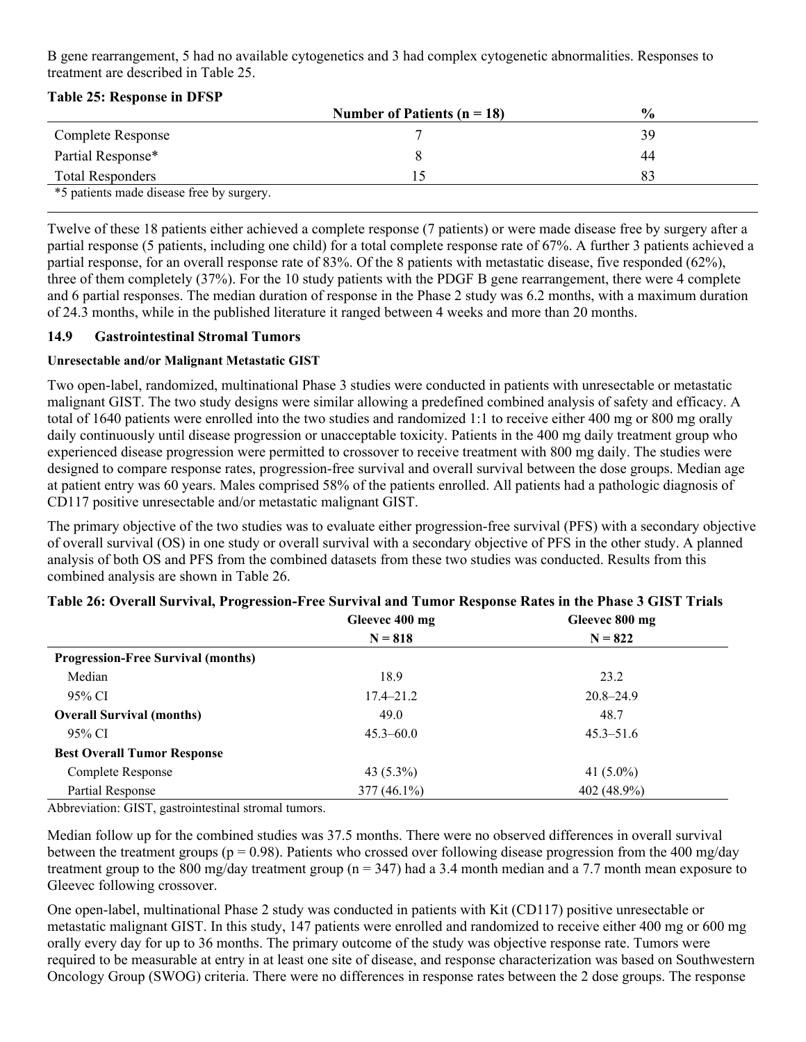B gene rearrangement, 5 had no available cytogenetics and 3 had complex cytogenetic abnormalities. Responses to treatment are described in Table 25.

| <b>Table 25: Response in DFSP</b> |  |  |
|-----------------------------------|--|--|
|                                   |  |  |

|                                           | Number of Patients ( $n = 18$ ) | $\frac{6}{9}$ |
|-------------------------------------------|---------------------------------|---------------|
| Complete Response                         |                                 | 39            |
| Partial Response*                         |                                 | 44            |
| <b>Total Responders</b>                   |                                 |               |
| *5 patients made disease free by surgery. |                                 |               |

Twelve of these 18 patients either achieved a complete response (7 patients) or were made disease free by surgery after a partial response (5 patients, including one child) for a total complete response rate of 67%. A further 3 patients achieved a partial response, for an overall response rate of 83%. Of the 8 patients with metastatic disease, five responded (62%), three of them completely (37%). For the 10 study patients with the PDGF B gene rearrangement, there were 4 complete and 6 partial responses. The median duration of response in the Phase 2 study was 6.2 months, with a maximum duration of 24.3 months, while in the published literature it ranged between 4 weeks and more than 20 months.

### <span id="page-38-0"></span>**14.9 Gastrointestinal Stromal Tumors**

### **Unresectable and/or Malignant Metastatic GIST**

Two open-label, randomized, multinational Phase 3 studies were conducted in patients with unresectable or metastatic malignant GIST. The two study designs were similar allowing a predefined combined analysis of safety and efficacy. A total of 1640 patients were enrolled into the two studies and randomized 1:1 to receive either 400 mg or 800 mg orally daily continuously until disease progression or unacceptable toxicity. Patients in the 400 mg daily treatment group who experienced disease progression were permitted to crossover to receive treatment with 800 mg daily. The studies were designed to compare response rates, progression-free survival and overall survival between the dose groups. Median age at patient entry was 60 years. Males comprised 58% of the patients enrolled. All patients had a pathologic diagnosis of CD117 positive unresectable and/or metastatic malignant GIST.

The primary objective of the two studies was to evaluate either progression-free survival (PFS) with a secondary objective of overall survival (OS) in one study or overall survival with a secondary objective of PFS in the other study. A planned analysis of both OS and PFS from the combined datasets from these two studies was conducted. Results from this combined analysis are shown in Table 26.

|                                           | Gleevec 400 mg | Gleevec 800 mg |
|-------------------------------------------|----------------|----------------|
|                                           | $N = 818$      | $N = 822$      |
| <b>Progression-Free Survival (months)</b> |                |                |
| Median                                    | 18.9           | 23.2           |
| 95% CI                                    | $17.4 - 21.2$  | $20.8 - 24.9$  |
| <b>Overall Survival (months)</b>          | 49.0           | 48.7           |
| 95% CI                                    | $45.3 - 60.0$  | $45.3 - 51.6$  |
| <b>Best Overall Tumor Response</b>        |                |                |
| Complete Response                         | 43 $(5.3\%)$   | 41 $(5.0\%)$   |
| Partial Response                          | $377(46.1\%)$  | 402 (48.9%)    |

### **Table 26: Overall Survival, Progression-Free Survival and Tumor Response Rates in the Phase 3 GIST Trials**

Abbreviation: GIST, gastrointestinal stromal tumors.

Median follow up for the combined studies was 37.5 months. There were no observed differences in overall survival between the treatment groups ( $p = 0.98$ ). Patients who crossed over following disease progression from the 400 mg/day treatment group to the 800 mg/day treatment group ( $n = 347$ ) had a 3.4 month median and a 7.7 month mean exposure to Gleevec following crossover.

One open-label, multinational Phase 2 study was conducted in patients with Kit (CD117) positive unresectable or metastatic malignant GIST. In this study, 147 patients were enrolled and randomized to receive either 400 mg or 600 mg orally every day for up to 36 months. The primary outcome of the study was objective response rate. Tumors were required to be measurable at entry in at least one site of disease, and response characterization was based on Southwestern Oncology Group (SWOG) criteria. There were no differences in response rates between the 2 dose groups. The response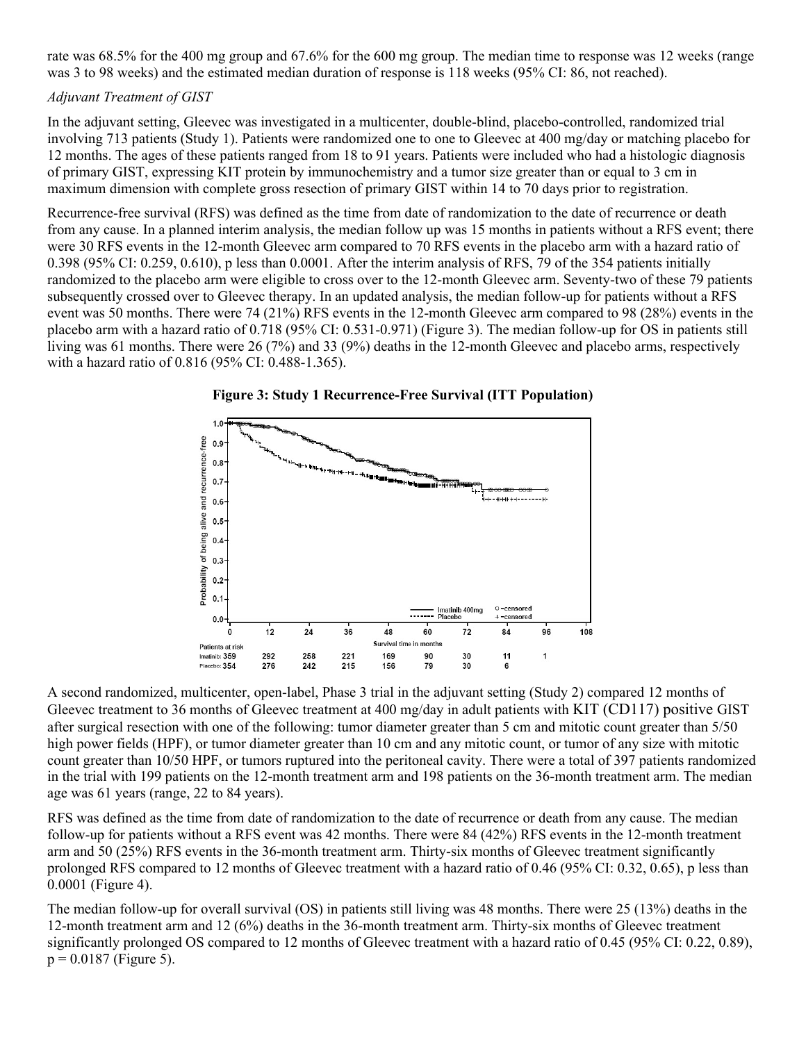rate was 68.5% for the 400 mg group and 67.6% for the 600 mg group. The median time to response was 12 weeks (range was 3 to 98 weeks) and the estimated median duration of response is 118 weeks (95% CI: 86, not reached).

### *Adjuvant Treatment of GIST*

In the adjuvant setting, Gleevec was investigated in a multicenter, double-blind, placebo-controlled, randomized trial involving 713 patients (Study 1). Patients were randomized one to one to Gleevec at 400 mg/day or matching placebo for 12 months. The ages of these patients ranged from 18 to 91 years. Patients were included who had a histologic diagnosis of primary GIST, expressing KIT protein by immunochemistry and a tumor size greater than or equal to 3 cm in maximum dimension with complete gross resection of primary GIST within 14 to 70 days prior to registration.

Recurrence-free survival (RFS) was defined as the time from date of randomization to the date of recurrence or death from any cause. In a planned interim analysis, the median follow up was 15 months in patients without a RFS event; there were 30 RFS events in the 12-month Gleevec arm compared to 70 RFS events in the placebo arm with a hazard ratio of 0.398 (95% CI: 0.259, 0.610), p less than 0.0001. After the interim analysis of RFS, 79 of the 354 patients initially randomized to the placebo arm were eligible to cross over to the 12-month Gleevec arm. Seventy-two of these 79 patients subsequently crossed over to Gleevec therapy. In an updated analysis, the median follow-up for patients without a RFS event was 50 months. There were 74 (21%) RFS events in the 12-month Gleevec arm compared to 98 (28%) events in the placebo arm with a hazard ratio of 0.718 (95% CI: 0.531-0.971) (Figure 3). The median follow-up for OS in patients still living was 61 months. There were 26 (7%) and 33 (9%) deaths in the 12-month Gleevec and placebo arms, respectively with a hazard ratio of 0.816 (95% CI: 0.488-1.365).





A second randomized, multicenter, open-label, Phase 3 trial in the adjuvant setting (Study 2) compared 12 months of Gleevec treatment to 36 months of Gleevec treatment at 400 mg/day in adult patients with KIT (CD117) positive GIST after surgical resection with one of the following: tumor diameter greater than 5 cm and mitotic count greater than 5/50 high power fields (HPF), or tumor diameter greater than 10 cm and any mitotic count, or tumor of any size with mitotic count greater than 10/50 HPF, or tumors ruptured into the peritoneal cavity. There were a total of 397 patients randomized in the trial with 199 patients on the 12-month treatment arm and 198 patients on the 36-month treatment arm. The median age was 61 years (range, 22 to 84 years).

RFS was defined as the time from date of randomization to the date of recurrence or death from any cause. The median follow-up for patients without a RFS event was 42 months. There were 84 (42%) RFS events in the 12-month treatment arm and 50 (25%) RFS events in the 36-month treatment arm. Thirty-six months of Gleevec treatment significantly prolonged RFS compared to 12 months of Gleevec treatment with a hazard ratio of 0.46 (95% CI: 0.32, 0.65), p less than 0.0001 (Figure 4).

The median follow-up for overall survival (OS) in patients still living was 48 months. There were 25 (13%) deaths in the 12-month treatment arm and 12 (6%) deaths in the 36-month treatment arm. Thirty-six months of Gleevec treatment significantly prolonged OS compared to 12 months of Gleevec treatment with a hazard ratio of 0.45 (95% CI: 0.22, 0.89),  $p = 0.0187$  (Figure 5).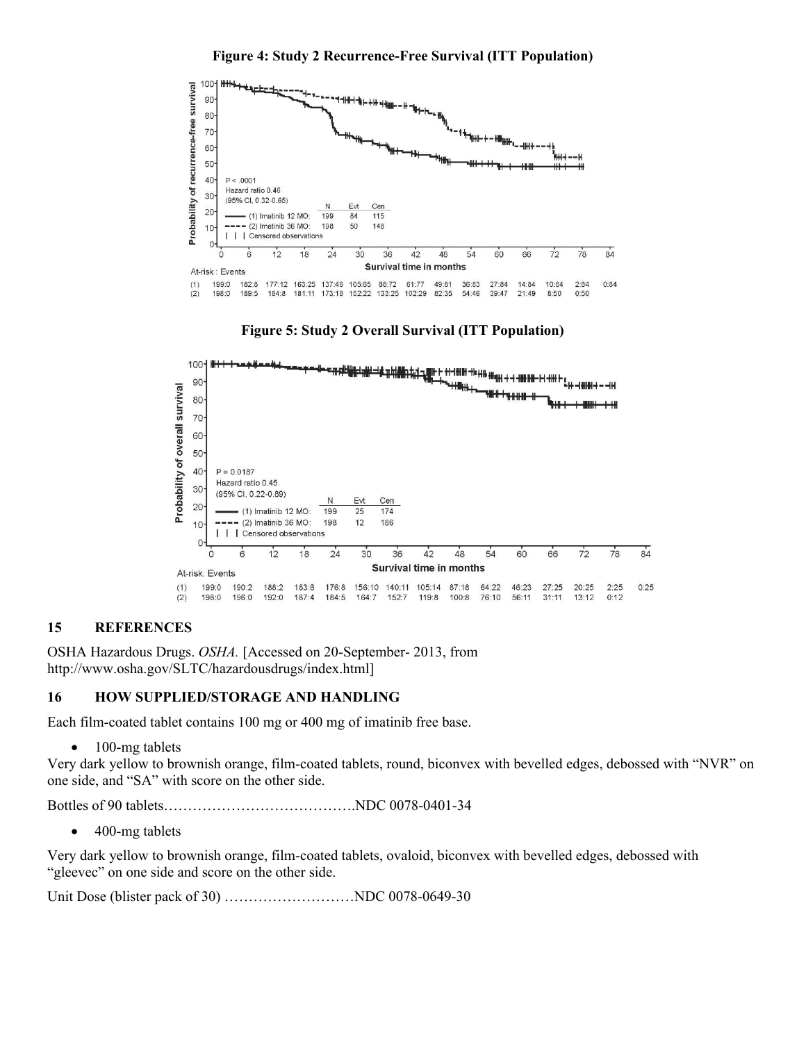**Figure 4: Study 2 Recurrence-Free Survival (ITT Population)**







#### <span id="page-40-0"></span>**15 REFERENCES**

OSHA Hazardous Drugs. *OSHA.* [Accessed on 20-September- 2013, from http://www.osha.gov/SLTC/hazardousdrugs/index.html]

#### <span id="page-40-1"></span>**16 HOW SUPPLIED/STORAGE AND HANDLING**

Each film-coated tablet contains 100 mg or 400 mg of imatinib free base.

• 100-mg tablets

Very dark yellow to brownish orange, film-coated tablets, round, biconvex with bevelled edges, debossed with "NVR" on one side, and "SA" with score on the other side.

Bottles of 90 tablets………………………………….NDC 0078-0401-34

• 400-mg tablets

Very dark yellow to brownish orange, film-coated tablets, ovaloid, biconvex with bevelled edges, debossed with "gleevec" on one side and score on the other side.

Unit Dose (blister pack of 30) ………………………NDC 0078-0649-30